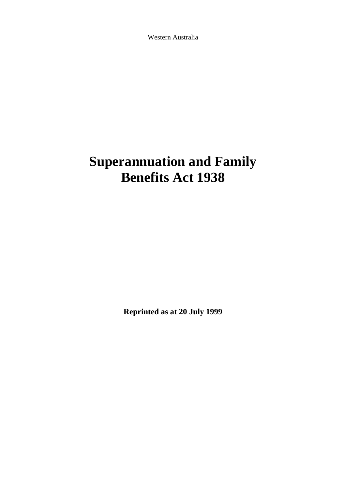Western Australia

# **Superannuation and Family Benefits Act 1938**

**Reprinted as at 20 July 1999**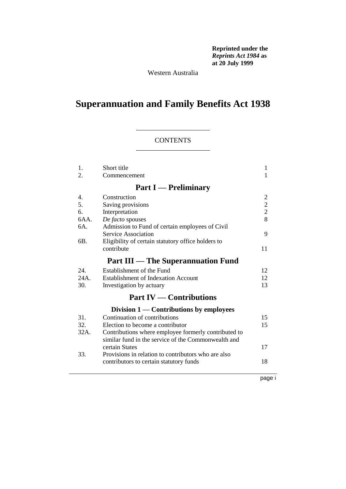**Reprinted under the**  *Reprints Act 1984* **as at 20 July 1999**

Western Australia

# **Superannuation and Family Benefits Act 1938**

### **CONTENTS**

| 1.   | Short title                                          | 1              |
|------|------------------------------------------------------|----------------|
| 2.   | Commencement                                         | 1              |
|      | <b>Part I</b> — Preliminary                          |                |
| 4.   | Construction                                         | 2              |
| 5.   | Saving provisions                                    | $\overline{c}$ |
| 6.   | Interpretation                                       | $\overline{c}$ |
| 6AA. | De facto spouses                                     | 8              |
| 6A.  | Admission to Fund of certain employees of Civil      |                |
|      | Service Association                                  | 9              |
| 6B.  | Eligibility of certain statutory office holders to   |                |
|      | contribute                                           | 11             |
|      | <b>Part III — The Superannuation Fund</b>            |                |
| 24.  | Establishment of the Fund                            | 12             |
| 24A. | <b>Establishment of Indexation Account</b>           | 12             |
| 30.  | Investigation by actuary                             | 13             |
|      | <b>Part IV — Contributions</b>                       |                |
|      | Division $1$ — Contributions by employees            |                |
| 31.  | Continuation of contributions                        | 15             |
| 32.  | Election to become a contributor                     | 15             |
| 32A. | Contributions where employee formerly contributed to |                |
|      | similar fund in the service of the Commonwealth and  |                |
|      | certain States                                       | 17             |
| 33.  | Provisions in relation to contributors who are also  |                |
|      | contributors to certain statutory funds              | 18             |
|      |                                                      |                |

page i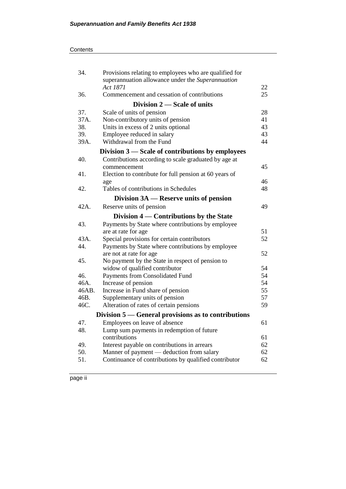#### **Contents**

| 34.   | Provisions relating to employees who are qualified for<br>superannuation allowance under the Superannuation |    |
|-------|-------------------------------------------------------------------------------------------------------------|----|
|       | Act 1871                                                                                                    | 22 |
| 36.   | Commencement and cessation of contributions                                                                 | 25 |
|       | Division $2$ – Scale of units                                                                               |    |
| 37.   | Scale of units of pension                                                                                   | 28 |
| 37A.  | Non-contributory units of pension                                                                           | 41 |
| 38.   | Units in excess of 2 units optional                                                                         | 43 |
| 39.   | Employee reduced in salary                                                                                  | 43 |
| 39A.  | Withdrawal from the Fund                                                                                    | 44 |
|       | Division 3 - Scale of contributions by employees                                                            |    |
| 40.   | Contributions according to scale graduated by age at                                                        |    |
|       | commencement                                                                                                | 45 |
| 41.   | Election to contribute for full pension at 60 years of                                                      |    |
|       | age                                                                                                         | 46 |
| 42.   | Tables of contributions in Schedules                                                                        | 48 |
|       | Division $3A$ — Reserve units of pension                                                                    |    |
| 42A.  | Reserve units of pension                                                                                    | 49 |
|       | Division 4 — Contributions by the State                                                                     |    |
| 43.   | Payments by State where contributions by employee                                                           |    |
|       | are at rate for age                                                                                         | 51 |
| 43A.  | Special provisions for certain contributors                                                                 | 52 |
| 44.   | Payments by State where contributions by employee                                                           |    |
|       | are not at rate for age                                                                                     | 52 |
| 45.   | No payment by the State in respect of pension to                                                            |    |
|       | widow of qualified contributor                                                                              | 54 |
| 46.   | Payments from Consolidated Fund                                                                             | 54 |
| 46A.  | Increase of pension                                                                                         | 54 |
| 46AB. | Increase in Fund share of pension                                                                           | 55 |
| 46B.  | Supplementary units of pension                                                                              | 57 |
| 46C.  | Alteration of rates of certain pensions                                                                     | 59 |
|       | Division $5$ — General provisions as to contributions                                                       |    |
| 47.   | Employees on leave of absence                                                                               | 61 |
| 48.   | Lump sum payments in redemption of future                                                                   |    |
|       | contributions                                                                                               | 61 |
| 49.   | Interest payable on contributions in arrears                                                                | 62 |
| 50.   | Manner of payment — deduction from salary                                                                   | 62 |
| 51.   | Continuance of contributions by qualified contributor                                                       | 62 |
|       |                                                                                                             |    |

page ii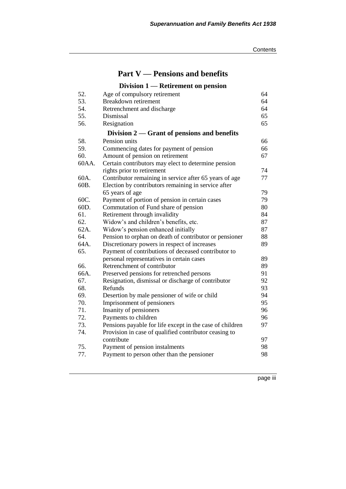# **Part V — Pensions and benefits**

# **Division 1 — Retirement on pension**

| 52.   | Age of compulsory retirement                             | 64 |
|-------|----------------------------------------------------------|----|
| 53.   | Breakdown retirement                                     | 64 |
| 54.   | Retrenchment and discharge                               | 64 |
| 55.   | Dismissal                                                | 65 |
| 56.   | Resignation                                              | 65 |
|       | Division $2$ — Grant of pensions and benefits            |    |
| 58.   | Pension units                                            | 66 |
| 59.   | Commencing dates for payment of pension                  | 66 |
| 60.   | Amount of pension on retirement                          | 67 |
| 60AA. | Certain contributors may elect to determine pension      |    |
|       | rights prior to retirement                               | 74 |
| 60A.  | Contributor remaining in service after 65 years of age   | 77 |
| 60B.  | Election by contributors remaining in service after      |    |
|       | 65 years of age                                          | 79 |
| 60C.  | Payment of portion of pension in certain cases           | 79 |
| 60D.  | Commutation of Fund share of pension                     | 80 |
| 61.   | Retirement through invalidity                            | 84 |
| 62.   | Widow's and children's benefits, etc.                    | 87 |
| 62A.  | Widow's pension enhanced initially                       | 87 |
| 64.   | Pension to orphan on death of contributor or pensioner   | 88 |
| 64A.  | Discretionary powers in respect of increases             | 89 |
| 65.   | Payment of contributions of deceased contributor to      |    |
|       | personal representatives in certain cases                | 89 |
| 66.   | Retrenchment of contributor                              | 89 |
| 66A.  | Preserved pensions for retrenched persons                | 91 |
| 67.   | Resignation, dismissal or discharge of contributor       | 92 |
| 68.   | Refunds                                                  | 93 |
| 69.   | Desertion by male pensioner of wife or child             | 94 |
| 70.   | Imprisonment of pensioners                               | 95 |
| 71.   | Insanity of pensioners                                   | 96 |
| 72.   | Payments to children                                     | 96 |
| 73.   | Pensions payable for life except in the case of children | 97 |
| 74.   | Provision in case of qualified contributor ceasing to    |    |
|       | contribute                                               | 97 |
| 75.   | Payment of pension instalments                           | 98 |
| 77.   | Payment to person other than the pensioner               | 98 |
|       |                                                          |    |

page iii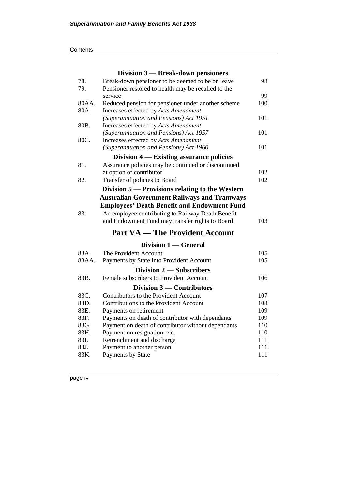| Contents |  |  |
|----------|--|--|
|          |  |  |

|       | Division $3$ — Break-down pensioners                                           |            |
|-------|--------------------------------------------------------------------------------|------------|
| 78.   | Break-down pensioner to be deemed to be on leave                               | 98         |
| 79.   | Pensioner restored to health may be recalled to the                            |            |
|       | service                                                                        | 99         |
| 80AA. | Reduced pension for pensioner under another scheme                             | 100        |
| 80A.  | Increases effected by Acts Amendment                                           |            |
|       | (Superannuation and Pensions) Act 1951                                         | 101        |
| 80B.  | Increases effected by Acts Amendment                                           |            |
| 80C.  | (Superannuation and Pensions) Act 1957                                         | 101        |
|       | Increases effected by Acts Amendment<br>(Superannuation and Pensions) Act 1960 | 101        |
|       |                                                                                |            |
|       | Division $4$ — Existing assurance policies                                     |            |
| 81.   | Assurance policies may be continued or discontinued                            |            |
|       | at option of contributor                                                       | 102<br>102 |
| 82.   | Transfer of policies to Board                                                  |            |
|       | Division 5 — Provisions relating to the Western                                |            |
|       | <b>Australian Government Railways and Tramways</b>                             |            |
|       | <b>Employees' Death Benefit and Endowment Fund</b>                             |            |
| 83.   | An employee contributing to Railway Death Benefit                              |            |
|       | and Endowment Fund may transfer rights to Board                                | 103        |
|       | <b>Part VA — The Provident Account</b>                                         |            |
|       | Division 1 — General                                                           |            |
| 83A.  | The Provident Account                                                          | 105        |
| 83AA. | Payments by State into Provident Account                                       | 105        |
|       | Division 2 – Subscribers                                                       |            |
| 83B.  | Female subscribers to Provident Account                                        | 106        |
|       | Division 3 – Contributors                                                      |            |
| 83C.  | Contributors to the Provident Account                                          | 107        |
| 83D.  | Contributions to the Provident Account                                         | 108        |
| 83E.  | Payments on retirement                                                         | 109        |
| 83F.  | Payments on death of contributor with dependants                               | 109        |
| 83G.  | Payment on death of contributor without dependants                             | 110        |
| 83H.  | Payment on resignation, etc.                                                   | 110        |
| 83I.  | Retrenchment and discharge                                                     | 111        |
| 83J.  | Payment to another person                                                      | 111        |
| 83K.  | Payments by State                                                              | 111        |

page iv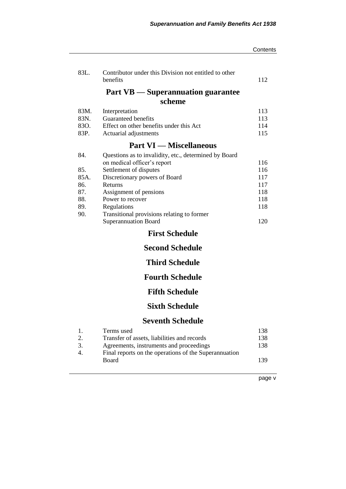|          |                                                                           | Contents |
|----------|---------------------------------------------------------------------------|----------|
|          |                                                                           |          |
| 83L.     | Contributor under this Division not entitled to other<br>benefits         | 112      |
|          |                                                                           |          |
|          | <b>Part VB</b> — Superannuation guarantee                                 |          |
|          | scheme                                                                    |          |
| 83M.     | Interpretation                                                            | 113      |
| 83N.     | Guaranteed benefits                                                       | 113      |
| 83O.     | Effect on other benefits under this Act                                   | 114      |
| 83P.     | Actuarial adjustments                                                     | 115      |
|          | <b>Part VI</b> — Miscellaneous                                            |          |
| 84.      | Questions as to invalidity, etc., determined by Board                     |          |
|          | on medical officer's report                                               | 116      |
| 85.      | Settlement of disputes                                                    | 116      |
| 85A.     | Discretionary powers of Board                                             | 117      |
| 86.      | Returns                                                                   | 117      |
| 87.      | Assignment of pensions                                                    | 118      |
| 88.      | Power to recover                                                          | 118      |
| 89.      | Regulations                                                               | 118      |
| 90.      | Transitional provisions relating to former<br><b>Superannuation Board</b> | 120      |
|          | <b>First Schedule</b>                                                     |          |
|          | <b>Second Schedule</b>                                                    |          |
|          | <b>Third Schedule</b>                                                     |          |
|          |                                                                           |          |
|          | <b>Fourth Schedule</b>                                                    |          |
|          | <b>Fifth Schedule</b>                                                     |          |
|          | <b>Sixth Schedule</b>                                                     |          |
|          | <b>Seventh Schedule</b>                                                   |          |
|          |                                                                           |          |
| 1.       | Terms used                                                                | 138      |
| 2.       | Transfer of assets, liabilities and records                               | 138      |
| 3.<br>4. | Agreements, instruments and proceedings                                   | 138      |
|          | Final reports on the operations of the Superannuation<br>Board            | 139      |
|          |                                                                           |          |
|          |                                                                           |          |

page v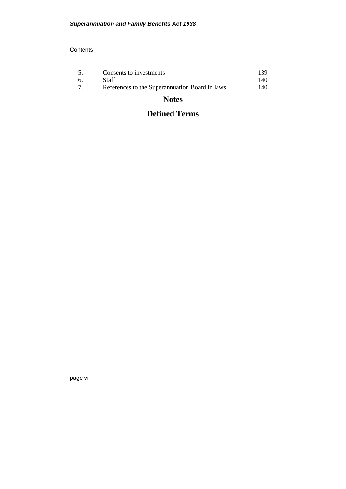#### **Contents**

|    | Consents to investments                        | 139 |
|----|------------------------------------------------|-----|
| 6. | <b>Staff</b>                                   | 140 |
|    | References to the Superannuation Board in laws | 140 |

# **Notes**

# **Defined Terms**

page vi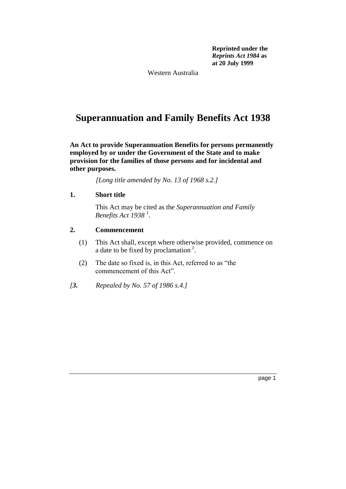**Reprinted under the**  *Reprints Act 1984* **as at 20 July 1999**

Western Australia

# **Superannuation and Family Benefits Act 1938**

**An Act to provide Superannuation Benefits for persons permanently employed by or under the Government of the State and to make provision for the families of those persons and for incidental and other purposes.** 

*[Long title amended by No. 13 of 1968 s.2.]*

# **1. Short title**

This Act may be cited as the *Superannuation and Family Benefits Act 1938* <sup>1</sup> .

## **2. Commencement**

- (1) This Act shall, except where otherwise provided, commence on a date to be fixed by proclamation<sup>1</sup>.
- (2) The date so fixed is, in this Act, referred to as "the commencement of this Act".
- *[3. Repealed by No. 57 of 1986 s.4.]*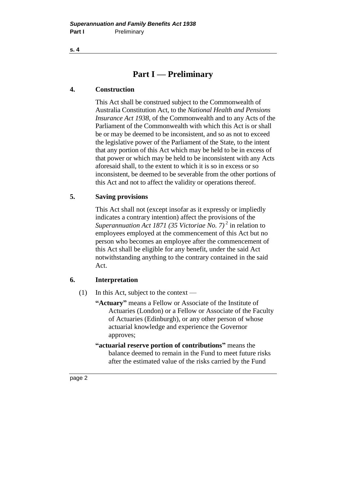# **Part I — Preliminary**

# **4. Construction**

This Act shall be construed subject to the Commonwealth of Australia Constitution Act, to the *National Health and Pensions Insurance Act 1938*, of the Commonwealth and to any Acts of the Parliament of the Commonwealth with which this Act is or shall be or may be deemed to be inconsistent, and so as not to exceed the legislative power of the Parliament of the State, to the intent that any portion of this Act which may be held to be in excess of that power or which may be held to be inconsistent with any Acts aforesaid shall, to the extent to which it is so in excess or so inconsistent, be deemed to be severable from the other portions of this Act and not to affect the validity or operations thereof.

# **5. Saving provisions**

This Act shall not (except insofar as it expressly or impliedly indicates a contrary intention) affect the provisions of the Superannuation Act 1871 (35 Victoriae No. 7)<sup>2</sup> in relation to employees employed at the commencement of this Act but no person who becomes an employee after the commencement of this Act shall be eligible for any benefit, under the said Act notwithstanding anything to the contrary contained in the said Act.

# **6. Interpretation**

(1) In this Act, subject to the context —

- **"Actuary"** means a Fellow or Associate of the Institute of Actuaries (London) or a Fellow or Associate of the Faculty of Actuaries (Edinburgh), or any other person of whose actuarial knowledge and experience the Governor approves;
- **"actuarial reserve portion of contributions"** means the balance deemed to remain in the Fund to meet future risks after the estimated value of the risks carried by the Fund

page 2

**s. 4**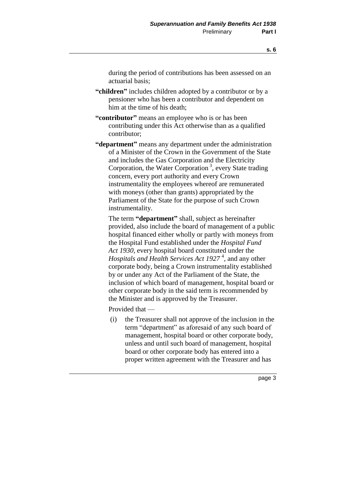during the period of contributions has been assessed on an actuarial basis;

- **"children"** includes children adopted by a contributor or by a pensioner who has been a contributor and dependent on him at the time of his death;
- **"contributor"** means an employee who is or has been contributing under this Act otherwise than as a qualified contributor;
- **"department"** means any department under the administration of a Minister of the Crown in the Government of the State and includes the Gas Corporation and the Electricity Corporation, the Water Corporation<sup>3</sup>, every State trading concern, every port authority and every Crown instrumentality the employees whereof are remunerated with moneys (other than grants) appropriated by the Parliament of the State for the purpose of such Crown instrumentality.

The term **"department"** shall, subject as hereinafter provided, also include the board of management of a public hospital financed either wholly or partly with moneys from the Hospital Fund established under the *Hospital Fund Act 1930*, every hospital board constituted under the *Hospitals and Health Services Act 1927* <sup>4</sup> , and any other corporate body, being a Crown instrumentality established by or under any Act of the Parliament of the State, the inclusion of which board of management, hospital board or other corporate body in the said term is recommended by the Minister and is approved by the Treasurer.

Provided that —

- (i) the Treasurer shall not approve of the inclusion in the term "department" as aforesaid of any such board of management, hospital board or other corporate body, unless and until such board of management, hospital board or other corporate body has entered into a proper written agreement with the Treasurer and has
	- page 3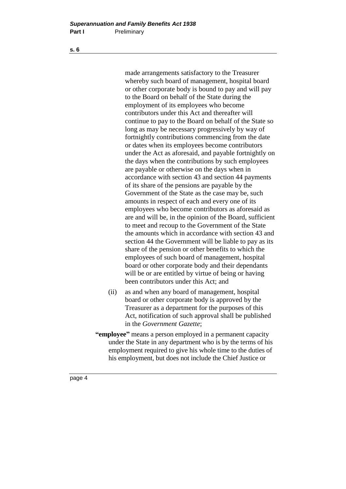made arrangements satisfactory to the Treasurer whereby such board of management, hospital board or other corporate body is bound to pay and will pay to the Board on behalf of the State during the employment of its employees who become contributors under this Act and thereafter will continue to pay to the Board on behalf of the State so long as may be necessary progressively by way of fortnightly contributions commencing from the date or dates when its employees become contributors under the Act as aforesaid, and payable fortnightly on the days when the contributions by such employees are payable or otherwise on the days when in accordance with section 43 and section 44 payments of its share of the pensions are payable by the Government of the State as the case may be, such amounts in respect of each and every one of its employees who become contributors as aforesaid as are and will be, in the opinion of the Board, sufficient to meet and recoup to the Government of the State the amounts which in accordance with section 43 and section 44 the Government will be liable to pay as its share of the pension or other benefits to which the employees of such board of management, hospital board or other corporate body and their dependants will be or are entitled by virtue of being or having been contributors under this Act; and

- (ii) as and when any board of management, hospital board or other corporate body is approved by the Treasurer as a department for the purposes of this Act, notification of such approval shall be published in the *Government Gazette*;
- **"employee"** means a person employed in a permanent capacity under the State in any department who is by the terms of his employment required to give his whole time to the duties of his employment, but does not include the Chief Justice or

**s. 6**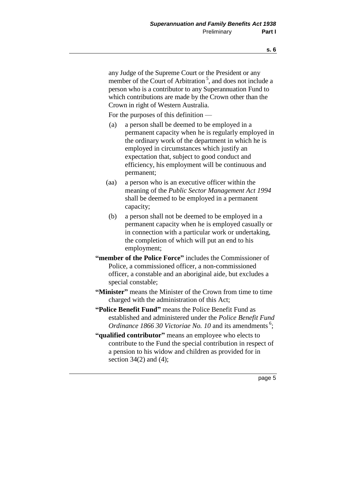any Judge of the Supreme Court or the President or any member of the Court of Arbitration<sup>5</sup>, and does not include a person who is a contributor to any Superannuation Fund to which contributions are made by the Crown other than the Crown in right of Western Australia.

For the purposes of this definition —

- (a) a person shall be deemed to be employed in a permanent capacity when he is regularly employed in the ordinary work of the department in which he is employed in circumstances which justify an expectation that, subject to good conduct and efficiency, his employment will be continuous and permanent;
- (aa) a person who is an executive officer within the meaning of the *Public Sector Management Act 1994* shall be deemed to be employed in a permanent capacity;
- (b) a person shall not be deemed to be employed in a permanent capacity when he is employed casually or in connection with a particular work or undertaking, the completion of which will put an end to his employment;
- **"member of the Police Force"** includes the Commissioner of Police, a commissioned officer, a non-commissioned officer, a constable and an aboriginal aide, but excludes a special constable;
- **"Minister"** means the Minister of the Crown from time to time charged with the administration of this Act;
- **"Police Benefit Fund"** means the Police Benefit Fund as established and administered under the *Police Benefit Fund*  Ordinance 1866 30 Victoriae No. 10 and its amendments<sup>6</sup>;
- **"qualified contributor"** means an employee who elects to contribute to the Fund the special contribution in respect of a pension to his widow and children as provided for in section  $34(2)$  and  $(4)$ ;

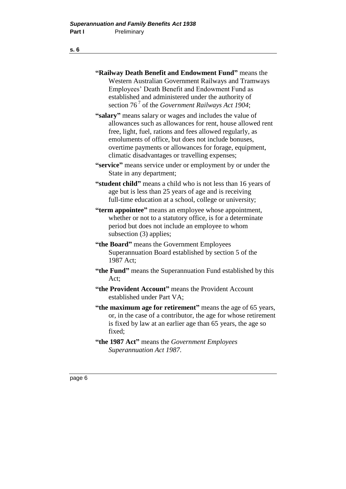- **"Railway Death Benefit and Endowment Fund"** means the Western Australian Government Railways and Tramways Employees' Death Benefit and Endowment Fund as established and administered under the authority of section 76<sup>7</sup> of the *Government Railways Act 1904*;
- **"salary"** means salary or wages and includes the value of allowances such as allowances for rent, house allowed rent free, light, fuel, rations and fees allowed regularly, as emoluments of office, but does not include bonuses, overtime payments or allowances for forage, equipment, climatic disadvantages or travelling expenses;
- **"service"** means service under or employment by or under the State in any department;
- **"student child"** means a child who is not less than 16 years of age but is less than 25 years of age and is receiving full-time education at a school, college or university;
- **"term appointee"** means an employee whose appointment, whether or not to a statutory office, is for a determinate period but does not include an employee to whom subsection (3) applies;
- **"the Board"** means the Government Employees Superannuation Board established by section 5 of the 1987 Act;
- **"the Fund"** means the Superannuation Fund established by this Act;
- **"the Provident Account"** means the Provident Account established under Part VA;
- **"the maximum age for retirement"** means the age of 65 years, or, in the case of a contributor, the age for whose retirement is fixed by law at an earlier age than 65 years, the age so fixed;
- **"the 1987 Act"** means the *Government Employees Superannuation Act 1987*.

page 6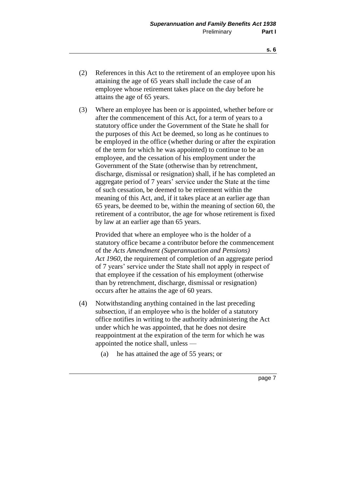- (2) References in this Act to the retirement of an employee upon his attaining the age of 65 years shall include the case of an employee whose retirement takes place on the day before he attains the age of 65 years.
- (3) Where an employee has been or is appointed, whether before or after the commencement of this Act, for a term of years to a statutory office under the Government of the State he shall for the purposes of this Act be deemed, so long as he continues to be employed in the office (whether during or after the expiration of the term for which he was appointed) to continue to be an employee, and the cessation of his employment under the Government of the State (otherwise than by retrenchment, discharge, dismissal or resignation) shall, if he has completed an aggregate period of 7 years' service under the State at the time of such cessation, be deemed to be retirement within the meaning of this Act, and, if it takes place at an earlier age than 65 years, be deemed to be, within the meaning of section 60, the retirement of a contributor, the age for whose retirement is fixed by law at an earlier age than 65 years.

Provided that where an employee who is the holder of a statutory office became a contributor before the commencement of the *Acts Amendment (Superannuation and Pensions) Act 1960*, the requirement of completion of an aggregate period of 7 years' service under the State shall not apply in respect of that employee if the cessation of his employment (otherwise than by retrenchment, discharge, dismissal or resignation) occurs after he attains the age of 60 years.

- (4) Notwithstanding anything contained in the last preceding subsection, if an employee who is the holder of a statutory office notifies in writing to the authority administering the Act under which he was appointed, that he does not desire reappointment at the expiration of the term for which he was appointed the notice shall, unless —
	- (a) he has attained the age of 55 years; or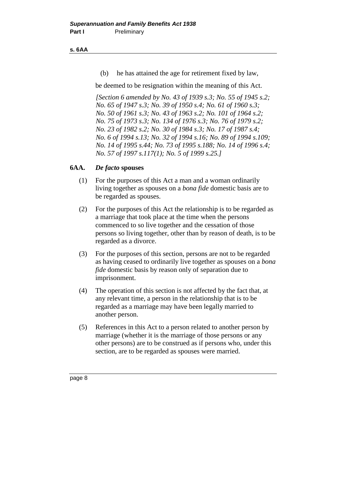#### **s. 6AA**

(b) he has attained the age for retirement fixed by law,

be deemed to be resignation within the meaning of this Act.

*[Section 6 amended by No. 43 of 1939 s.3; No. 55 of 1945 s.2; No. 65 of 1947 s.3; No. 39 of 1950 s.4; No. 61 of 1960 s.3; No. 50 of 1961 s.3; No. 43 of 1963 s.2; No. 101 of 1964 s.2; No. 75 of 1973 s.3; No. 134 of 1976 s.3; No. 76 of 1979 s.2; No. 23 of 1982 s.2; No. 30 of 1984 s.3; No. 17 of 1987 s.4; No. 6 of 1994 s.13; No. 32 of 1994 s.16; No. 89 of 1994 s.109; No. 14 of 1995 s.44; No. 73 of 1995 s.188; No. 14 of 1996 s.4; No. 57 of 1997 s.117(1); No. 5 of 1999 s.25.]* 

### **6AA.** *De facto* **spouses**

- (1) For the purposes of this Act a man and a woman ordinarily living together as spouses on a *bona fide* domestic basis are to be regarded as spouses.
- (2) For the purposes of this Act the relationship is to be regarded as a marriage that took place at the time when the persons commenced to so live together and the cessation of those persons so living together, other than by reason of death, is to be regarded as a divorce.
- (3) For the purposes of this section, persons are not to be regarded as having ceased to ordinarily live together as spouses on a *bona fide* domestic basis by reason only of separation due to imprisonment.
- (4) The operation of this section is not affected by the fact that, at any relevant time, a person in the relationship that is to be regarded as a marriage may have been legally married to another person.
- (5) References in this Act to a person related to another person by marriage (whether it is the marriage of those persons or any other persons) are to be construed as if persons who, under this section, are to be regarded as spouses were married.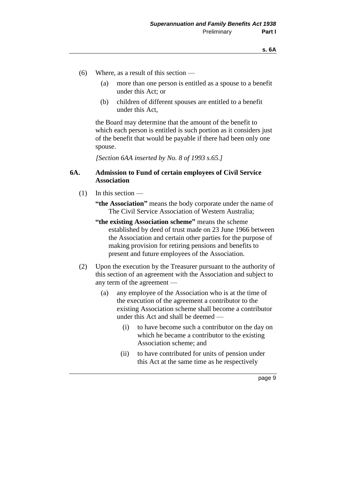- (6) Where, as a result of this section
	- (a) more than one person is entitled as a spouse to a benefit under this Act; or
	- (b) children of different spouses are entitled to a benefit under this Act,

the Board may determine that the amount of the benefit to which each person is entitled is such portion as it considers just of the benefit that would be payable if there had been only one spouse.

*[Section 6AA inserted by No. 8 of 1993 s.65.]* 

#### **6A. Admission to Fund of certain employees of Civil Service Association**

 $(1)$  In this section —

**"the Association"** means the body corporate under the name of The Civil Service Association of Western Australia;

- **"the existing Association scheme"** means the scheme established by deed of trust made on 23 June 1966 between the Association and certain other parties for the purpose of making provision for retiring pensions and benefits to present and future employees of the Association.
- (2) Upon the execution by the Treasurer pursuant to the authority of this section of an agreement with the Association and subject to any term of the agreement —
	- (a) any employee of the Association who is at the time of the execution of the agreement a contributor to the existing Association scheme shall become a contributor under this Act and shall be deemed —
		- (i) to have become such a contributor on the day on which he became a contributor to the existing Association scheme; and
		- (ii) to have contributed for units of pension under this Act at the same time as he respectively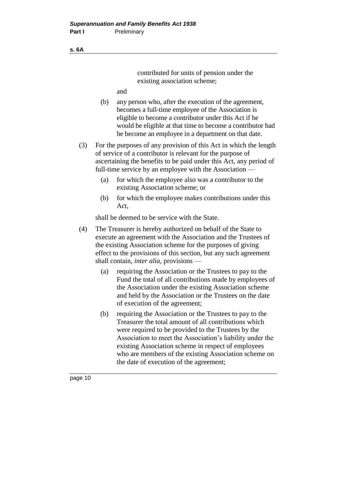#### **s. 6A**

contributed for units of pension under the existing association scheme;

and

- (b) any person who, after the execution of the agreement, becomes a full-time employee of the Association is eligible to become a contributor under this Act if he would be eligible at that time to become a contributor had he become an employee in a department on that date.
- (3) For the purposes of any provision of this Act in which the length of service of a contributor is relevant for the purpose of ascertaining the benefits to be paid under this Act, any period of full-time service by an employee with the Association —
	- (a) for which the employee also was a contributor to the existing Association scheme; or
	- (b) for which the employee makes contributions under this Act,

shall be deemed to be service with the State.

- (4) The Treasurer is hereby authorized on behalf of the State to execute an agreement with the Association and the Trustees of the existing Association scheme for the purposes of giving effect to the provisions of this section, but any such agreement shall contain, *inter alia*, provisions —
	- (a) requiring the Association or the Trustees to pay to the Fund the total of all contributions made by employees of the Association under the existing Association scheme and held by the Association or the Trustees on the date of execution of the agreement;
	- (b) requiring the Association or the Trustees to pay to the Treasurer the total amount of all contributions which were required to be provided to the Trustees by the Association to meet the Association's liability under the existing Association scheme in respect of employees who are members of the existing Association scheme on the date of execution of the agreement;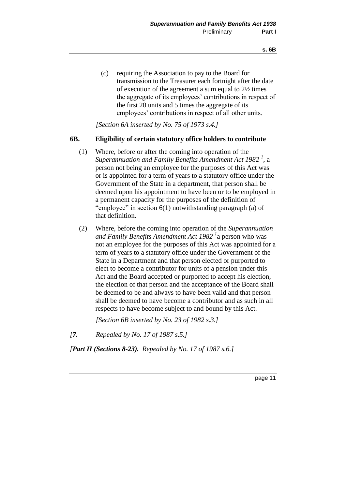(c) requiring the Association to pay to the Board for transmission to the Treasurer each fortnight after the date of execution of the agreement a sum equal to 2½ times the aggregate of its employees' contributions in respect of the first 20 units and 5 times the aggregate of its employees' contributions in respect of all other units.

*[Section 6A inserted by No. 75 of 1973 s.4.]* 

#### **6B. Eligibility of certain statutory office holders to contribute**

- (1) Where, before or after the coming into operation of the *Superannuation and Family Benefits Amendment Act 1982 <sup>1</sup>* , a person not being an employee for the purposes of this Act was or is appointed for a term of years to a statutory office under the Government of the State in a department, that person shall be deemed upon his appointment to have been or to be employed in a permanent capacity for the purposes of the definition of "employee" in section 6(1) notwithstanding paragraph (a) of that definition.
- (2) Where, before the coming into operation of the *Superannuation and Family Benefits Amendment Act 1982 <sup>1</sup>* a person who was not an employee for the purposes of this Act was appointed for a term of years to a statutory office under the Government of the State in a Department and that person elected or purported to elect to become a contributor for units of a pension under this Act and the Board accepted or purported to accept his election, the election of that person and the acceptance of the Board shall be deemed to be and always to have been valid and that person shall be deemed to have become a contributor and as such in all respects to have become subject to and bound by this Act.

*[Section 6B inserted by No. 23 of 1982 s.3.]* 

*[7. Repealed by No. 17 of 1987 s.5.]* 

*[Part II (Sections 8-23). Repealed by No. 17 of 1987 s.6.]*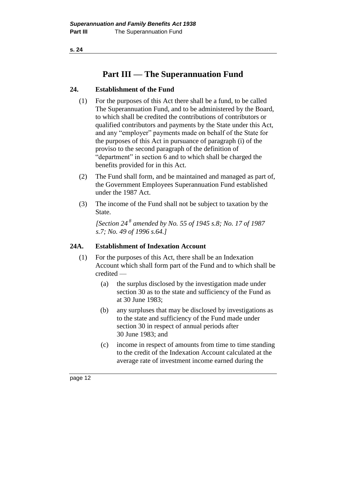# **Part III — The Superannuation Fund**

# **24. Establishment of the Fund**

- (1) For the purposes of this Act there shall be a fund, to be called The Superannuation Fund, and to be administered by the Board, to which shall be credited the contributions of contributors or qualified contributors and payments by the State under this Act, and any "employer" payments made on behalf of the State for the purposes of this Act in pursuance of paragraph (i) of the proviso to the second paragraph of the definition of "department" in section 6 and to which shall be charged the benefits provided for in this Act.
- (2) The Fund shall form, and be maintained and managed as part of, the Government Employees Superannuation Fund established under the 1987 Act.
- (3) The income of the Fund shall not be subject to taxation by the State.

*[Section 24 <sup>8</sup> amended by No. 55 of 1945 s.8; No. 17 of 1987 s.7; No. 49 of 1996 s.64.]* 

# **24A. Establishment of Indexation Account**

- (1) For the purposes of this Act, there shall be an Indexation Account which shall form part of the Fund and to which shall be credited —
	- (a) the surplus disclosed by the investigation made under section 30 as to the state and sufficiency of the Fund as at 30 June 1983;
	- (b) any surpluses that may be disclosed by investigations as to the state and sufficiency of the Fund made under section 30 in respect of annual periods after 30 June 1983; and
	- (c) income in respect of amounts from time to time standing to the credit of the Indexation Account calculated at the average rate of investment income earned during the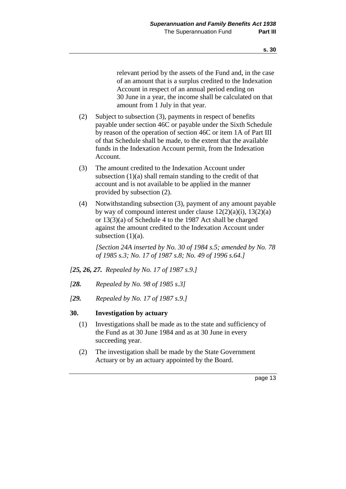relevant period by the assets of the Fund and, in the case of an amount that is a surplus credited to the Indexation Account in respect of an annual period ending on 30 June in a year, the income shall be calculated on that amount from 1 July in that year.

- (2) Subject to subsection (3), payments in respect of benefits payable under section 46C or payable under the Sixth Schedule by reason of the operation of section 46C or item 1A of Part III of that Schedule shall be made, to the extent that the available funds in the Indexation Account permit, from the Indexation Account.
- (3) The amount credited to the Indexation Account under subsection (1)(a) shall remain standing to the credit of that account and is not available to be applied in the manner provided by subsection (2).
- (4) Notwithstanding subsection (3), payment of any amount payable by way of compound interest under clause  $12(2)(a)(i)$ ,  $13(2)(a)$ or 13(3)(a) of Schedule 4 to the 1987 Act shall be charged against the amount credited to the Indexation Account under subsection  $(1)(a)$ .

*[Section 24A inserted by No. 30 of 1984 s.5; amended by No. 78 of 1985 s.3; No. 17 of 1987 s.8; No. 49 of 1996 s.64.]* 

- *[25, 26, 27. Repealed by No. 17 of 1987 s.9.]*
- *[28. Repealed by No. 98 of 1985 s.3]*
- *[29. Repealed by No. 17 of 1987 s.9.]*

#### **30. Investigation by actuary**

- (1) Investigations shall be made as to the state and sufficiency of the Fund as at 30 June 1984 and as at 30 June in every succeeding year.
- (2) The investigation shall be made by the State Government Actuary or by an actuary appointed by the Board.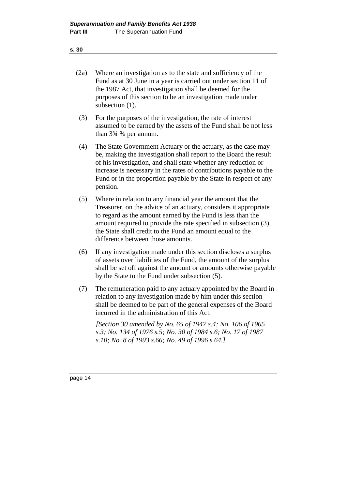# (2a) Where an investigation as to the state and sufficiency of the Fund as at 30 June in a year is carried out under section 11 of the 1987 Act, that investigation shall be deemed for the purposes of this section to be an investigation made under subsection  $(1)$ .

- (3) For the purposes of the investigation, the rate of interest assumed to be earned by the assets of the Fund shall be not less than 3¾ % per annum.
- (4) The State Government Actuary or the actuary, as the case may be, making the investigation shall report to the Board the result of his investigation, and shall state whether any reduction or increase is necessary in the rates of contributions payable to the Fund or in the proportion payable by the State in respect of any pension.
- (5) Where in relation to any financial year the amount that the Treasurer, on the advice of an actuary, considers it appropriate to regard as the amount earned by the Fund is less than the amount required to provide the rate specified in subsection (3), the State shall credit to the Fund an amount equal to the difference between those amounts.
- (6) If any investigation made under this section discloses a surplus of assets over liabilities of the Fund, the amount of the surplus shall be set off against the amount or amounts otherwise payable by the State to the Fund under subsection (5).
- (7) The remuneration paid to any actuary appointed by the Board in relation to any investigation made by him under this section shall be deemed to be part of the general expenses of the Board incurred in the administration of this Act.

*[Section 30 amended by No. 65 of 1947 s.4; No. 106 of 1965 s.3; No. 134 of 1976 s.5; No. 30 of 1984 s.6; No. 17 of 1987 s.10; No. 8 of 1993 s.66; No. 49 of 1996 s.64.]* 

#### **s. 30**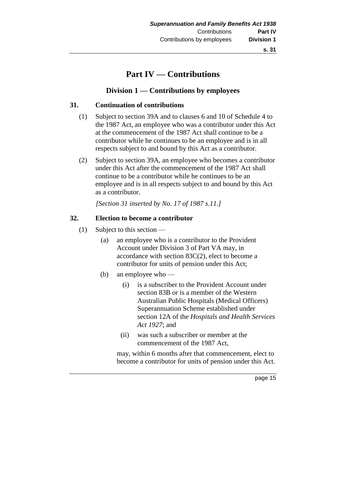# **Part IV — Contributions**

# **Division 1 — Contributions by employees**

### **31. Continuation of contributions**

- (1) Subject to section 39A and to clauses 6 and 10 of Schedule 4 to the 1987 Act, an employee who was a contributor under this Act at the commencement of the 1987 Act shall continue to be a contributor while he continues to be an employee and is in all respects subject to and bound by this Act as a contributor.
- (2) Subject to section 39A, an employee who becomes a contributor under this Act after the commencement of the 1987 Act shall continue to be a contributor while he continues to be an employee and is in all respects subject to and bound by this Act as a contributor.

*[Section 31 inserted by No. 17 of 1987 s.11.]* 

#### **32. Election to become a contributor**

- (1) Subject to this section
	- (a) an employee who is a contributor to the Provident Account under Division 3 of Part VA may, in accordance with section 83C(2), elect to become a contributor for units of pension under this Act;
	- (b) an employee who
		- (i) is a subscriber to the Provident Account under section 83B or is a member of the Western Australian Public Hospitals (Medical Officers) Superannuation Scheme established under section 12A of the *Hospitals and Health Services Act 1927*; and
		- (ii) was such a subscriber or member at the commencement of the 1987 Act,

may, within 6 months after that commencement, elect to become a contributor for units of pension under this Act.

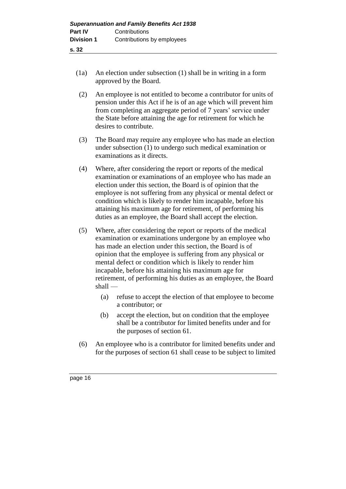- (1a) An election under subsection (1) shall be in writing in a form approved by the Board.
- (2) An employee is not entitled to become a contributor for units of pension under this Act if he is of an age which will prevent him from completing an aggregate period of 7 years' service under the State before attaining the age for retirement for which he desires to contribute.
- (3) The Board may require any employee who has made an election under subsection (1) to undergo such medical examination or examinations as it directs.
- (4) Where, after considering the report or reports of the medical examination or examinations of an employee who has made an election under this section, the Board is of opinion that the employee is not suffering from any physical or mental defect or condition which is likely to render him incapable, before his attaining his maximum age for retirement, of performing his duties as an employee, the Board shall accept the election.
- (5) Where, after considering the report or reports of the medical examination or examinations undergone by an employee who has made an election under this section, the Board is of opinion that the employee is suffering from any physical or mental defect or condition which is likely to render him incapable, before his attaining his maximum age for retirement, of performing his duties as an employee, the Board shall —
	- (a) refuse to accept the election of that employee to become a contributor; or
	- (b) accept the election, but on condition that the employee shall be a contributor for limited benefits under and for the purposes of section 61.
- (6) An employee who is a contributor for limited benefits under and for the purposes of section 61 shall cease to be subject to limited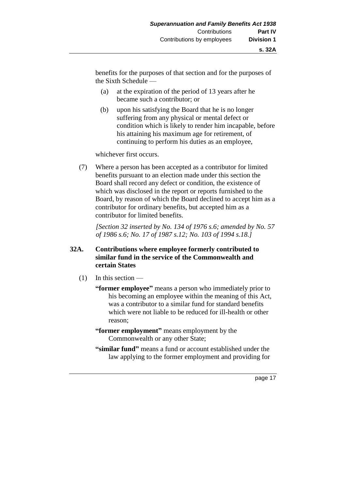benefits for the purposes of that section and for the purposes of the Sixth Schedule —

- (a) at the expiration of the period of 13 years after he became such a contributor; or
- (b) upon his satisfying the Board that he is no longer suffering from any physical or mental defect or condition which is likely to render him incapable, before his attaining his maximum age for retirement, of continuing to perform his duties as an employee,

whichever first occurs.

(7) Where a person has been accepted as a contributor for limited benefits pursuant to an election made under this section the Board shall record any defect or condition, the existence of which was disclosed in the report or reports furnished to the Board, by reason of which the Board declined to accept him as a contributor for ordinary benefits, but accepted him as a contributor for limited benefits.

*[Section 32 inserted by No. 134 of 1976 s.6; amended by No. 57 of 1986 s.6; No. 17 of 1987 s.12; No. 103 of 1994 s.18.]* 

### **32A. Contributions where employee formerly contributed to similar fund in the service of the Commonwealth and certain States**

- (1) In this section
	- **"former employee"** means a person who immediately prior to his becoming an employee within the meaning of this Act, was a contributor to a similar fund for standard benefits which were not liable to be reduced for ill-health or other reason;
	- **"former employment"** means employment by the Commonwealth or any other State;
	- **"similar fund"** means a fund or account established under the law applying to the former employment and providing for

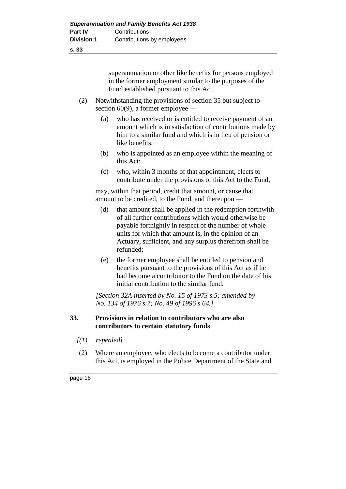superannuation or other like benefits for persons employed in the former employment similar to the purposes of the Fund established pursuant to this Act.

- (2) Notwithstanding the provisions of section 35 but subject to section  $60(9)$ , a former employee —
	- (a) who has received or is entitled to receive payment of an amount which is in satisfaction of contributions made by him to a similar fund and which is in lieu of pension or like benefits;
	- (b) who is appointed as an employee within the meaning of this Act;
	- (c) who, within 3 months of that appointment, elects to contribute under the provisions of this Act to the Fund,

may, within that period, credit that amount, or cause that amount to be credited, to the Fund, and thereupon —

- (d) that amount shall be applied in the redemption forthwith of all further contributions which would otherwise be payable fortnightly in respect of the number of whole units for which that amount is, in the opinion of an Actuary, sufficient, and any surplus therefrom shall be refunded;
- (e) the former employee shall be entitled to pension and benefits pursuant to the provisions of this Act as if he had become a contributor to the Fund on the date of his initial contribution to the similar fund.

*[Section 32A inserted by No. 15 of 1973 s.5; amended by No. 134 of 1976 s.7; No. 49 of 1996 s.64.]* 

## **33. Provisions in relation to contributors who are also contributors to certain statutory funds**

- *[(1) repealed]*
- (2) Where an employee, who elects to become a contributor under this Act, is employed in the Police Department of the State and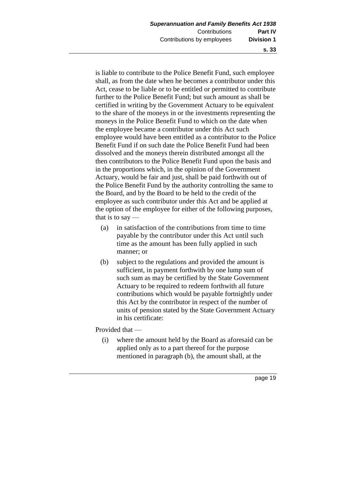is liable to contribute to the Police Benefit Fund, such employee shall, as from the date when he becomes a contributor under this Act, cease to be liable or to be entitled or permitted to contribute further to the Police Benefit Fund; but such amount as shall be certified in writing by the Government Actuary to be equivalent to the share of the moneys in or the investments representing the moneys in the Police Benefit Fund to which on the date when the employee became a contributor under this Act such employee would have been entitled as a contributor to the Police Benefit Fund if on such date the Police Benefit Fund had been dissolved and the moneys therein distributed amongst all the then contributors to the Police Benefit Fund upon the basis and in the proportions which, in the opinion of the Government Actuary, would be fair and just, shall be paid forthwith out of the Police Benefit Fund by the authority controlling the same to the Board, and by the Board to be held to the credit of the employee as such contributor under this Act and be applied at the option of the employee for either of the following purposes, that is to say —

- (a) in satisfaction of the contributions from time to time payable by the contributor under this Act until such time as the amount has been fully applied in such manner; or
- (b) subject to the regulations and provided the amount is sufficient, in payment forthwith by one lump sum of such sum as may be certified by the State Government Actuary to be required to redeem forthwith all future contributions which would be payable fortnightly under this Act by the contributor in respect of the number of units of pension stated by the State Government Actuary in his certificate:

Provided that —

(i) where the amount held by the Board as aforesaid can be applied only as to a part thereof for the purpose mentioned in paragraph (b), the amount shall, at the

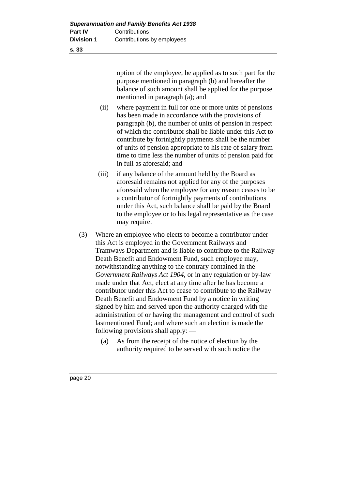option of the employee, be applied as to such part for the purpose mentioned in paragraph (b) and hereafter the balance of such amount shall be applied for the purpose mentioned in paragraph (a); and

- (ii) where payment in full for one or more units of pensions has been made in accordance with the provisions of paragraph (b), the number of units of pension in respect of which the contributor shall be liable under this Act to contribute by fortnightly payments shall be the number of units of pension appropriate to his rate of salary from time to time less the number of units of pension paid for in full as aforesaid; and
- (iii) if any balance of the amount held by the Board as aforesaid remains not applied for any of the purposes aforesaid when the employee for any reason ceases to be a contributor of fortnightly payments of contributions under this Act, such balance shall be paid by the Board to the employee or to his legal representative as the case may require.
- (3) Where an employee who elects to become a contributor under this Act is employed in the Government Railways and Tramways Department and is liable to contribute to the Railway Death Benefit and Endowment Fund, such employee may, notwithstanding anything to the contrary contained in the *Government Railways Act 1904*, or in any regulation or by-law made under that Act, elect at any time after he has become a contributor under this Act to cease to contribute to the Railway Death Benefit and Endowment Fund by a notice in writing signed by him and served upon the authority charged with the administration of or having the management and control of such lastmentioned Fund; and where such an election is made the following provisions shall apply: —
	- (a) As from the receipt of the notice of election by the authority required to be served with such notice the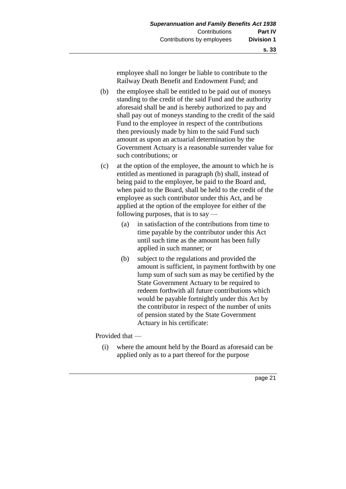employee shall no longer be liable to contribute to the Railway Death Benefit and Endowment Fund; and

- (b) the employee shall be entitled to be paid out of moneys standing to the credit of the said Fund and the authority aforesaid shall be and is hereby authorized to pay and shall pay out of moneys standing to the credit of the said Fund to the employee in respect of the contributions then previously made by him to the said Fund such amount as upon an actuarial determination by the Government Actuary is a reasonable surrender value for such contributions; or
- (c) at the option of the employee, the amount to which he is entitled as mentioned in paragraph (b) shall, instead of being paid to the employee, be paid to the Board and, when paid to the Board, shall be held to the credit of the employee as such contributor under this Act, and be applied at the option of the employee for either of the following purposes, that is to say —
	- (a) in satisfaction of the contributions from time to time payable by the contributor under this Act until such time as the amount has been fully applied in such manner; or
	- (b) subject to the regulations and provided the amount is sufficient, in payment forthwith by one lump sum of such sum as may be certified by the State Government Actuary to be required to redeem forthwith all future contributions which would be payable fortnightly under this Act by the contributor in respect of the number of units of pension stated by the State Government Actuary in his certificate:

Provided that —

(i) where the amount held by the Board as aforesaid can be applied only as to a part thereof for the purpose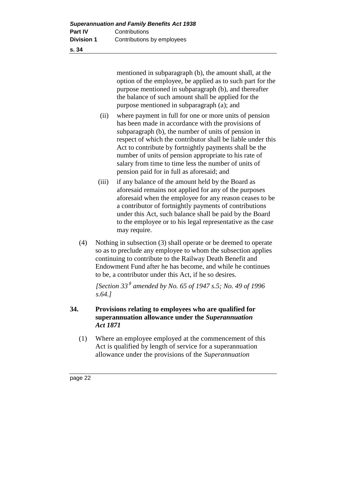mentioned in subparagraph (b), the amount shall, at the option of the employee, be applied as to such part for the purpose mentioned in subparagraph (b), and thereafter the balance of such amount shall be applied for the purpose mentioned in subparagraph (a); and

- (ii) where payment in full for one or more units of pension has been made in accordance with the provisions of subparagraph (b), the number of units of pension in respect of which the contributor shall be liable under this Act to contribute by fortnightly payments shall be the number of units of pension appropriate to his rate of salary from time to time less the number of units of pension paid for in full as aforesaid; and
- (iii) if any balance of the amount held by the Board as aforesaid remains not applied for any of the purposes aforesaid when the employee for any reason ceases to be a contributor of fortnightly payments of contributions under this Act, such balance shall be paid by the Board to the employee or to his legal representative as the case may require.
- (4) Nothing in subsection (3) shall operate or be deemed to operate so as to preclude any employee to whom the subsection applies continuing to contribute to the Railway Death Benefit and Endowment Fund after he has become, and while he continues to be, a contributor under this Act, if he so desires.

*[Section 33 <sup>8</sup> amended by No. 65 of 1947 s.5; No. 49 of 1996 s.64.]* 

# **34. Provisions relating to employees who are qualified for superannuation allowance under the** *Superannuation Act 1871*

(1) Where an employee employed at the commencement of this Act is qualified by length of service for a superannuation allowance under the provisions of the *Superannuation*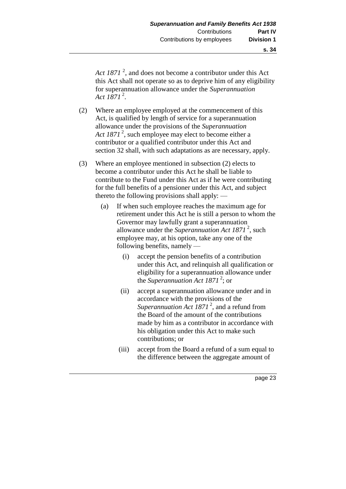Act 1871<sup>2</sup>, and does not become a contributor under this Act this Act shall not operate so as to deprive him of any eligibility for superannuation allowance under the *Superannuation Act 1871* <sup>2</sup> .

- (2) Where an employee employed at the commencement of this Act, is qualified by length of service for a superannuation allowance under the provisions of the *Superannuation*  Act 1871<sup>2</sup>, such employee may elect to become either a contributor or a qualified contributor under this Act and section 32 shall, with such adaptations as are necessary, apply.
- (3) Where an employee mentioned in subsection (2) elects to become a contributor under this Act he shall be liable to contribute to the Fund under this Act as if he were contributing for the full benefits of a pensioner under this Act, and subject thereto the following provisions shall apply: —
	- (a) If when such employee reaches the maximum age for retirement under this Act he is still a person to whom the Governor may lawfully grant a superannuation allowance under the *Superannuation Act* 1871<sup>2</sup>, such employee may, at his option, take any one of the following benefits, namely —
		- (i) accept the pension benefits of a contribution under this Act, and relinquish all qualification or eligibility for a superannuation allowance under the *Superannuation Act* 1871<sup>2</sup>; or
		- (ii) accept a superannuation allowance under and in accordance with the provisions of the Superannuation Act 1871<sup>2</sup>, and a refund from the Board of the amount of the contributions made by him as a contributor in accordance with his obligation under this Act to make such contributions; or
		- (iii) accept from the Board a refund of a sum equal to the difference between the aggregate amount of

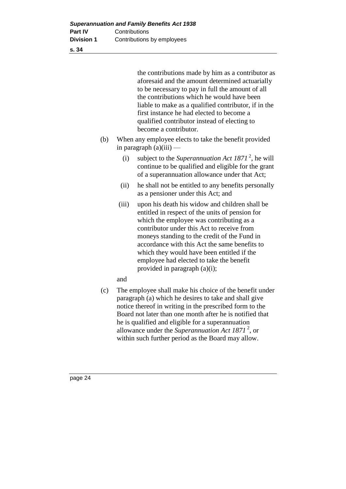|     |       | the contributions made by him as a contributor as<br>aforesaid and the amount determined actuarially<br>to be necessary to pay in full the amount of all<br>the contributions which he would have been<br>liable to make as a qualified contributor, if in the<br>first instance he had elected to become a<br>qualified contributor instead of electing to<br>become a contributor. |
|-----|-------|--------------------------------------------------------------------------------------------------------------------------------------------------------------------------------------------------------------------------------------------------------------------------------------------------------------------------------------------------------------------------------------|
| (b) |       | When any employee elects to take the benefit provided<br>in paragraph $(a)(iii)$ —                                                                                                                                                                                                                                                                                                   |
|     | (i)   | subject to the Superannuation Act 1871 <sup>2</sup> , he will<br>continue to be qualified and eligible for the grant<br>of a superannuation allowance under that Act;                                                                                                                                                                                                                |
|     | (ii)  | he shall not be entitled to any benefits personally<br>as a pensioner under this Act; and                                                                                                                                                                                                                                                                                            |
|     | (iii) | upon his death his widow and children shall be<br>entitled in respect of the units of pension for<br>which the employee was contributing as a<br>contributor under this Act to receive from<br>moneys standing to the credit of the Fund in<br>accordance with this Act the same benefits to<br>which they would have been entitled if the                                           |

and

(c) The employee shall make his choice of the benefit under paragraph (a) which he desires to take and shall give notice thereof in writing in the prescribed form to the Board not later than one month after he is notified that he is qualified and eligible for a superannuation allowance under the *Superannuation Act 1871* <sup>2</sup> , or within such further period as the Board may allow.

employee had elected to take the benefit

provided in paragraph (a)(i);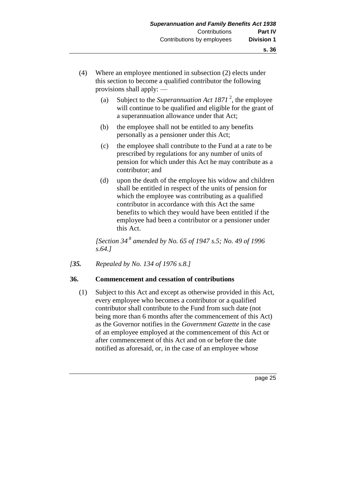- (4) Where an employee mentioned in subsection (2) elects under this section to become a qualified contributor the following provisions shall apply: —
	- (a) Subject to the *Superannuation Act*  $1871^2$ , the employee will continue to be qualified and eligible for the grant of a superannuation allowance under that Act;
	- (b) the employee shall not be entitled to any benefits personally as a pensioner under this Act;
	- (c) the employee shall contribute to the Fund at a rate to be prescribed by regulations for any number of units of pension for which under this Act he may contribute as a contributor; and
	- (d) upon the death of the employee his widow and children shall be entitled in respect of the units of pension for which the employee was contributing as a qualified contributor in accordance with this Act the same benefits to which they would have been entitled if the employee had been a contributor or a pensioner under this Act.

*[Section 34 <sup>8</sup> amended by No. 65 of 1947 s.5; No. 49 of 1996 s.64.]* 

*[35. Repealed by No. 134 of 1976 s.8.]* 

#### **36. Commencement and cessation of contributions**

(1) Subject to this Act and except as otherwise provided in this Act, every employee who becomes a contributor or a qualified contributor shall contribute to the Fund from such date (not being more than 6 months after the commencement of this Act) as the Governor notifies in the *Government Gazette* in the case of an employee employed at the commencement of this Act or after commencement of this Act and on or before the date notified as aforesaid, or, in the case of an employee whose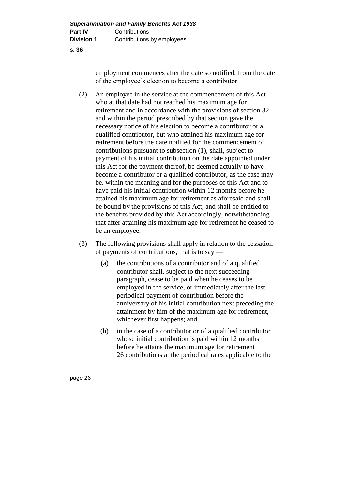employment commences after the date so notified, from the date of the employee's election to become a contributor.

- (2) An employee in the service at the commencement of this Act who at that date had not reached his maximum age for retirement and in accordance with the provisions of section 32, and within the period prescribed by that section gave the necessary notice of his election to become a contributor or a qualified contributor, but who attained his maximum age for retirement before the date notified for the commencement of contributions pursuant to subsection (1), shall, subject to payment of his initial contribution on the date appointed under this Act for the payment thereof, be deemed actually to have become a contributor or a qualified contributor, as the case may be, within the meaning and for the purposes of this Act and to have paid his initial contribution within 12 months before he attained his maximum age for retirement as aforesaid and shall be bound by the provisions of this Act, and shall be entitled to the benefits provided by this Act accordingly, notwithstanding that after attaining his maximum age for retirement he ceased to be an employee.
- (3) The following provisions shall apply in relation to the cessation of payments of contributions, that is to say —
	- (a) the contributions of a contributor and of a qualified contributor shall, subject to the next succeeding paragraph, cease to be paid when he ceases to be employed in the service, or immediately after the last periodical payment of contribution before the anniversary of his initial contribution next preceding the attainment by him of the maximum age for retirement, whichever first happens; and
	- (b) in the case of a contributor or of a qualified contributor whose initial contribution is paid within 12 months before he attains the maximum age for retirement 26 contributions at the periodical rates applicable to the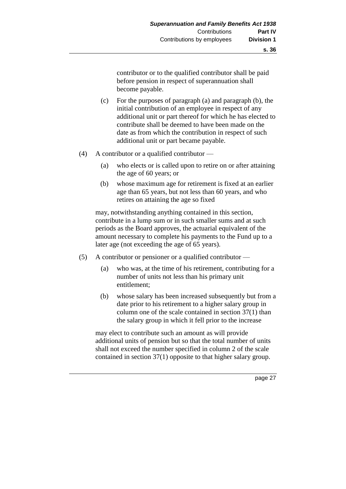contributor or to the qualified contributor shall be paid before pension in respect of superannuation shall become payable.

- (c) For the purposes of paragraph (a) and paragraph (b), the initial contribution of an employee in respect of any additional unit or part thereof for which he has elected to contribute shall be deemed to have been made on the date as from which the contribution in respect of such additional unit or part became payable.
- (4) A contributor or a qualified contributor
	- (a) who elects or is called upon to retire on or after attaining the age of 60 years; or
	- (b) whose maximum age for retirement is fixed at an earlier age than 65 years, but not less than 60 years, and who retires on attaining the age so fixed

may, notwithstanding anything contained in this section, contribute in a lump sum or in such smaller sums and at such periods as the Board approves, the actuarial equivalent of the amount necessary to complete his payments to the Fund up to a later age (not exceeding the age of 65 years).

- (5) A contributor or pensioner or a qualified contributor
	- (a) who was, at the time of his retirement, contributing for a number of units not less than his primary unit entitlement;
	- (b) whose salary has been increased subsequently but from a date prior to his retirement to a higher salary group in column one of the scale contained in section 37(1) than the salary group in which it fell prior to the increase

may elect to contribute such an amount as will provide additional units of pension but so that the total number of units shall not exceed the number specified in column 2 of the scale contained in section 37(1) opposite to that higher salary group.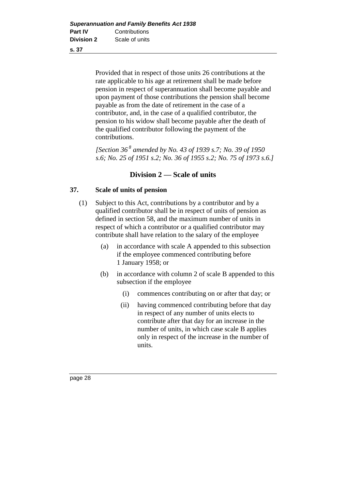Provided that in respect of those units 26 contributions at the rate applicable to his age at retirement shall be made before pension in respect of superannuation shall become payable and upon payment of those contributions the pension shall become payable as from the date of retirement in the case of a contributor, and, in the case of a qualified contributor, the pension to his widow shall become payable after the death of the qualified contributor following the payment of the contributions.

*[Section 36 <sup>8</sup> amended by No. 43 of 1939 s.7; No. 39 of 1950 s.6; No. 25 of 1951 s.2; No. 36 of 1955 s.2; No. 75 of 1973 s.6.]* 

# **Division 2 — Scale of units**

### **37. Scale of units of pension**

- (1) Subject to this Act, contributions by a contributor and by a qualified contributor shall be in respect of units of pension as defined in section 58, and the maximum number of units in respect of which a contributor or a qualified contributor may contribute shall have relation to the salary of the employee
	- (a) in accordance with scale A appended to this subsection if the employee commenced contributing before 1 January 1958; or
	- (b) in accordance with column 2 of scale B appended to this subsection if the employee
		- (i) commences contributing on or after that day; or
		- (ii) having commenced contributing before that day in respect of any number of units elects to contribute after that day for an increase in the number of units, in which case scale B applies only in respect of the increase in the number of units.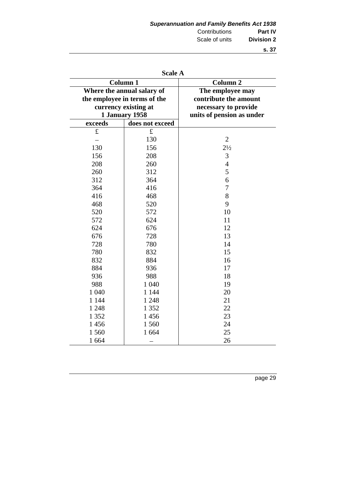| <b>Superannuation and Family Benefits Act 1938</b> |                   |  |  |
|----------------------------------------------------|-------------------|--|--|
| Contributions                                      | <b>Part IV</b>    |  |  |
| Scale of units                                     | <b>Division 2</b> |  |  |

| <b>Scale A</b>               |                      |                           |  |
|------------------------------|----------------------|---------------------------|--|
| <b>Column 1</b>              |                      | <b>Column 2</b>           |  |
| Where the annual salary of   |                      | The employee may          |  |
| the employee in terms of the |                      | contribute the amount     |  |
|                              | currency existing at | necessary to provide      |  |
|                              | 1 January 1958       | units of pension as under |  |
| exceeds                      | does not exceed      |                           |  |
| $\pounds$                    | £                    |                           |  |
|                              | 130                  | $\overline{2}$            |  |
| 130                          | 156                  | $2\frac{1}{2}$            |  |
| 156                          | 208                  | 3                         |  |
| 208                          | 260                  | $\overline{4}$            |  |
| 260                          | 312                  | 5                         |  |
| 312                          | 364                  | 6                         |  |
| 364                          | 416                  | 7                         |  |
| 416                          | 468                  | 8                         |  |
| 468                          | 520                  | 9                         |  |
| 520                          | 572                  | 10                        |  |
| 572                          | 624                  | 11                        |  |
| 624                          | 676                  | 12                        |  |
| 676                          | 728                  | 13                        |  |
| 728                          | 780                  | 14                        |  |
| 780                          | 832                  | 15                        |  |
| 832                          | 884                  | 16                        |  |
| 884                          | 936                  | 17                        |  |
| 936                          | 988                  | 18                        |  |
| 988                          | 1 0 4 0              | 19                        |  |
| 1 0 4 0                      | 1 1 4 4              | 20                        |  |
| 1 1 4 4                      | 1 2 4 8              | 21                        |  |
| 1 2 4 8                      | 1 3 5 2              | 22                        |  |
| 1 3 5 2                      | 1456                 | 23                        |  |
| 1456                         | 1560                 | 24                        |  |
| 1 560                        | 1 6 6 4              | 25                        |  |
| 1 6 6 4                      |                      | 26                        |  |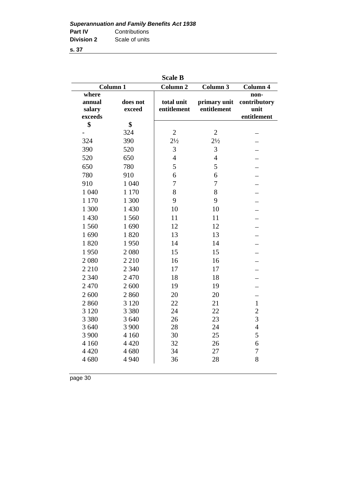| <b>Scale B</b>                       |                    |                           |                             |                                             |
|--------------------------------------|--------------------|---------------------------|-----------------------------|---------------------------------------------|
|                                      | <b>Column 1</b>    | <b>Column 2</b>           | Column 3                    | Column 4                                    |
| where<br>annual<br>salary<br>exceeds | does not<br>exceed | total unit<br>entitlement | primary unit<br>entitlement | non-<br>contributory<br>unit<br>entitlement |
| \$                                   | \$                 |                           |                             |                                             |
|                                      | 324                | $\overline{2}$            | $\overline{2}$              |                                             |
| 324                                  | 390                | $2\frac{1}{2}$            | $2\frac{1}{2}$              |                                             |
| 390                                  | 520                | 3                         | 3                           |                                             |
| 520                                  | 650                | $\overline{4}$            | $\overline{4}$              |                                             |
| 650                                  | 780                | 5                         | 5                           |                                             |
| 780                                  | 910                | 6                         | 6                           |                                             |
| 910                                  | 1 0 4 0            | $\overline{7}$            | $\overline{7}$              |                                             |
| 1 0 4 0                              | 1 1 7 0            | 8                         | 8                           |                                             |
| 1 1 7 0                              | 1 300              | 9                         | 9                           |                                             |
| 1 300                                | 1 4 3 0            | 10                        | 10                          |                                             |
| 1 4 3 0                              | 1560               | 11                        | 11                          |                                             |
| 1 560                                | 1690               | 12                        | 12                          |                                             |
| 1690                                 | 1820               | 13                        | 13                          |                                             |
| 1820                                 | 1950               | 14                        | 14                          |                                             |
| 1950                                 | 2 0 8 0            | 15                        | 15                          |                                             |
| 2 0 8 0                              | 2 2 1 0            | 16                        | 16                          |                                             |
| 2 2 1 0                              | 2 3 4 0            | 17                        | 17                          |                                             |
| 2 3 4 0                              | 2 4 7 0            | 18                        | 18                          |                                             |
| 2 4 7 0                              | 2 600              | 19                        | 19                          |                                             |
| 2 600                                | 2860               | 20                        | 20                          |                                             |
| 2860                                 | 3 1 2 0            | 22                        | 21                          | $\mathbf{1}$                                |
| 3 1 2 0                              | 3 3 8 0            | 24                        | 22                          | $\overline{2}$                              |
| 3 3 8 0                              | 3 640              | 26                        | 23                          | 3                                           |
| 3 640                                | 3 900              | 28                        | 24                          | $\overline{4}$                              |
| 3 900                                | 4 1 6 0            | 30                        | 25                          | 5                                           |
| 4 1 6 0                              | 4 4 2 0            | 32                        | 26                          | 6                                           |
| 4 4 2 0                              | 4680               | 34                        | 27                          | $\boldsymbol{7}$                            |
| 4680                                 | 4 9 4 0            | 36                        | 28                          | 8                                           |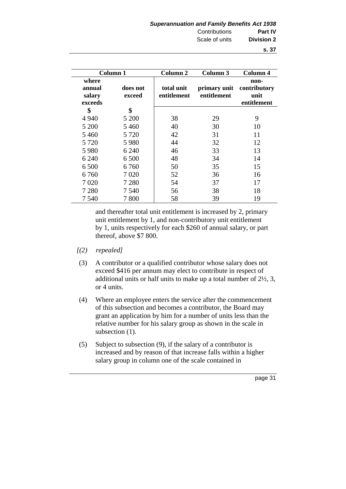|                                      | Column 1           | Column 2                  | Column 3                    | Column 4                                    |
|--------------------------------------|--------------------|---------------------------|-----------------------------|---------------------------------------------|
| where<br>annual<br>salary<br>exceeds | does not<br>exceed | total unit<br>entitlement | primary unit<br>entitlement | non-<br>contributory<br>unit<br>entitlement |
| \$                                   | \$                 |                           |                             |                                             |
| 4 9 4 0                              | 5 200              | 38                        | 29                          | 9                                           |
| 5 200                                | 5460               | 40                        | 30                          | 10                                          |
| 5460                                 | 5 7 2 0            | 42                        | 31                          | 11                                          |
| 5 7 2 0                              | 5980               | 44                        | 32                          | 12                                          |
| 5 9 8 0                              | 6 2 4 0            | 46                        | 33                          | 13                                          |
| 6 2 4 0                              | 6 500              | 48                        | 34                          | 14                                          |
| 6 500                                | 6 760              | 50                        | 35                          | 15                                          |
| 6 760                                | 7 0 2 0            | 52                        | 36                          | 16                                          |
| 7 0 20                               | 7 2 8 0            | 54                        | 37                          | 17                                          |
| 7 2 8 0                              | 7 5 4 0            | 56                        | 38                          | 18                                          |
| 7 5 4 0                              | 7800               | 58                        | 39                          | 19                                          |

and thereafter total unit entitlement is increased by 2, primary unit entitlement by 1, and non-contributory unit entitlement by 1, units respectively for each \$260 of annual salary, or part thereof, above \$7 800.

- *[(2) repealed]*
- (3) A contributor or a qualified contributor whose salary does not exceed \$416 per annum may elect to contribute in respect of additional units or half units to make up a total number of 2½, 3, or 4 units.
- (4) Where an employee enters the service after the commencement of this subsection and becomes a contributor, the Board may grant an application by him for a number of units less than the relative number for his salary group as shown in the scale in subsection  $(1)$ .
- (5) Subject to subsection (9), if the salary of a contributor is increased and by reason of that increase falls within a higher salary group in column one of the scale contained in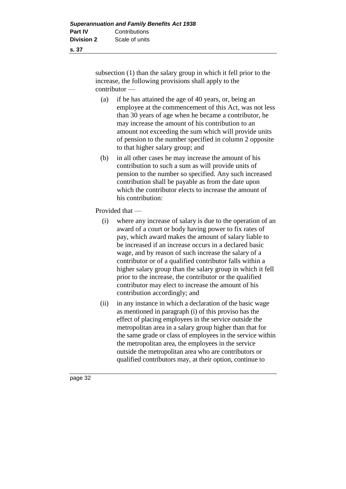subsection (1) than the salary group in which it fell prior to the increase, the following provisions shall apply to the contributor —

- (a) if he has attained the age of 40 years, or, being an employee at the commencement of this Act, was not less than 30 years of age when he became a contributor, he may increase the amount of his contribution to an amount not exceeding the sum which will provide units of pension to the number specified in column 2 opposite to that higher salary group; and
- (b) in all other cases he may increase the amount of his contribution to such a sum as will provide units of pension to the number so specified. Any such increased contribution shall be payable as from the date upon which the contributor elects to increase the amount of his contribution:

Provided that —

- (i) where any increase of salary is due to the operation of an award of a court or body having power to fix rates of pay, which award makes the amount of salary liable to be increased if an increase occurs in a declared basic wage, and by reason of such increase the salary of a contributor or of a qualified contributor falls within a higher salary group than the salary group in which it fell prior to the increase, the contributor or the qualified contributor may elect to increase the amount of his contribution accordingly; and
- (ii) in any instance in which a declaration of the basic wage as mentioned in paragraph (i) of this proviso has the effect of placing employees in the service outside the metropolitan area in a salary group higher than that for the same grade or class of employees in the service within the metropolitan area, the employees in the service outside the metropolitan area who are contributors or qualified contributors may, at their option, continue to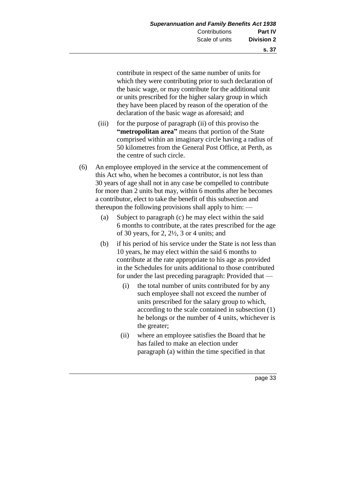contribute in respect of the same number of units for which they were contributing prior to such declaration of the basic wage, or may contribute for the additional unit or units prescribed for the higher salary group in which they have been placed by reason of the operation of the declaration of the basic wage as aforesaid; and

- (iii) for the purpose of paragraph (ii) of this proviso the **"metropolitan area"** means that portion of the State comprised within an imaginary circle having a radius of 50 kilometres from the General Post Office, at Perth, as the centre of such circle.
- (6) An employee employed in the service at the commencement of this Act who, when he becomes a contributor, is not less than 30 years of age shall not in any case be compelled to contribute for more than 2 units but may, within 6 months after he becomes a contributor, elect to take the benefit of this subsection and thereupon the following provisions shall apply to him: —
	- (a) Subject to paragraph (c) he may elect within the said 6 months to contribute, at the rates prescribed for the age of 30 years, for 2, 2½, 3 or 4 units; and
	- (b) if his period of his service under the State is not less than 10 years, he may elect within the said 6 months to contribute at the rate appropriate to his age as provided in the Schedules for units additional to those contributed for under the last preceding paragraph: Provided that —
		- (i) the total number of units contributed for by any such employee shall not exceed the number of units prescribed for the salary group to which, according to the scale contained in subsection (1) he belongs or the number of 4 units, whichever is the greater;
		- (ii) where an employee satisfies the Board that he has failed to make an election under paragraph (a) within the time specified in that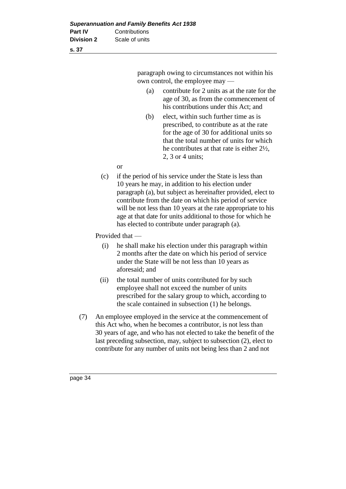paragraph owing to circumstances not within his own control, the employee may —

- (a) contribute for 2 units as at the rate for the age of 30, as from the commencement of his contributions under this Act; and
- (b) elect, within such further time as is prescribed, to contribute as at the rate for the age of 30 for additional units so that the total number of units for which he contributes at that rate is either 2½, 2, 3 or 4 units;

or

(c) if the period of his service under the State is less than 10 years he may, in addition to his election under paragraph (a), but subject as hereinafter provided, elect to contribute from the date on which his period of service will be not less than 10 years at the rate appropriate to his age at that date for units additional to those for which he has elected to contribute under paragraph (a).

Provided that —

- (i) he shall make his election under this paragraph within 2 months after the date on which his period of service under the State will be not less than 10 years as aforesaid; and
- (ii) the total number of units contributed for by such employee shall not exceed the number of units prescribed for the salary group to which, according to the scale contained in subsection (1) he belongs.
- (7) An employee employed in the service at the commencement of this Act who, when he becomes a contributor, is not less than 30 years of age, and who has not elected to take the benefit of the last preceding subsection, may, subject to subsection (2), elect to contribute for any number of units not being less than 2 and not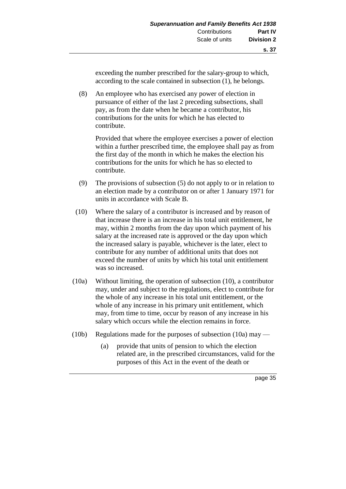exceeding the number prescribed for the salary-group to which, according to the scale contained in subsection (1), he belongs.

(8) An employee who has exercised any power of election in pursuance of either of the last 2 preceding subsections, shall pay, as from the date when he became a contributor, his contributions for the units for which he has elected to contribute.

Provided that where the employee exercises a power of election within a further prescribed time, the employee shall pay as from the first day of the month in which he makes the election his contributions for the units for which he has so elected to contribute.

- (9) The provisions of subsection (5) do not apply to or in relation to an election made by a contributor on or after 1 January 1971 for units in accordance with Scale B.
- (10) Where the salary of a contributor is increased and by reason of that increase there is an increase in his total unit entitlement, he may, within 2 months from the day upon which payment of his salary at the increased rate is approved or the day upon which the increased salary is payable, whichever is the later, elect to contribute for any number of additional units that does not exceed the number of units by which his total unit entitlement was so increased.
- (10a) Without limiting, the operation of subsection (10), a contributor may, under and subject to the regulations, elect to contribute for the whole of any increase in his total unit entitlement, or the whole of any increase in his primary unit entitlement, which may, from time to time, occur by reason of any increase in his salary which occurs while the election remains in force.
- (10b) Regulations made for the purposes of subsection (10a) may
	- (a) provide that units of pension to which the election related are, in the prescribed circumstances, valid for the purposes of this Act in the event of the death or

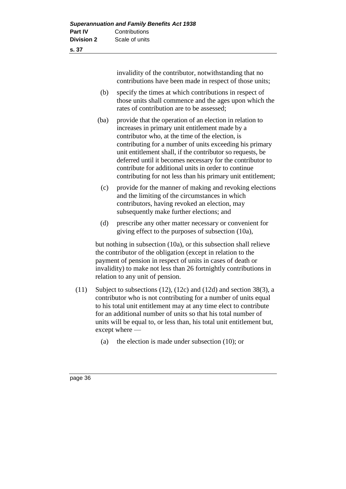| ٦<br>I<br>×<br>×<br>۰,<br>v<br>× |
|----------------------------------|
|----------------------------------|

invalidity of the contributor, notwithstanding that no contributions have been made in respect of those units;

- (b) specify the times at which contributions in respect of those units shall commence and the ages upon which the rates of contribution are to be assessed;
- (ba) provide that the operation of an election in relation to increases in primary unit entitlement made by a contributor who, at the time of the election, is contributing for a number of units exceeding his primary unit entitlement shall, if the contributor so requests, be deferred until it becomes necessary for the contributor to contribute for additional units in order to continue contributing for not less than his primary unit entitlement;
- (c) provide for the manner of making and revoking elections and the limiting of the circumstances in which contributors, having revoked an election, may subsequently make further elections; and
- (d) prescribe any other matter necessary or convenient for giving effect to the purposes of subsection (10a),

but nothing in subsection (10a), or this subsection shall relieve the contributor of the obligation (except in relation to the payment of pension in respect of units in cases of death or invalidity) to make not less than 26 fortnightly contributions in relation to any unit of pension.

- (11) Subject to subsections (12), (12c) and (12d) and section 38(3), a contributor who is not contributing for a number of units equal to his total unit entitlement may at any time elect to contribute for an additional number of units so that his total number of units will be equal to, or less than, his total unit entitlement but, except where —
	- (a) the election is made under subsection (10); or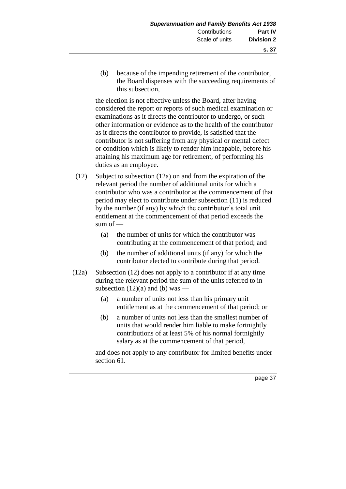(b) because of the impending retirement of the contributor, the Board dispenses with the succeeding requirements of this subsection,

the election is not effective unless the Board, after having considered the report or reports of such medical examination or examinations as it directs the contributor to undergo, or such other information or evidence as to the health of the contributor as it directs the contributor to provide, is satisfied that the contributor is not suffering from any physical or mental defect or condition which is likely to render him incapable, before his attaining his maximum age for retirement, of performing his duties as an employee.

- (12) Subject to subsection (12a) on and from the expiration of the relevant period the number of additional units for which a contributor who was a contributor at the commencement of that period may elect to contribute under subsection (11) is reduced by the number (if any) by which the contributor's total unit entitlement at the commencement of that period exceeds the sum of  $-$ 
	- (a) the number of units for which the contributor was contributing at the commencement of that period; and
	- (b) the number of additional units (if any) for which the contributor elected to contribute during that period.
- (12a) Subsection (12) does not apply to a contributor if at any time during the relevant period the sum of the units referred to in subsection  $(12)(a)$  and  $(b)$  was —
	- (a) a number of units not less than his primary unit entitlement as at the commencement of that period; or
	- (b) a number of units not less than the smallest number of units that would render him liable to make fortnightly contributions of at least 5% of his normal fortnightly salary as at the commencement of that period,

and does not apply to any contributor for limited benefits under section 61.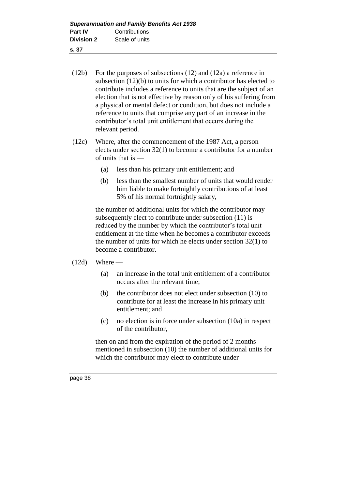| <b>Superannuation and Family Benefits Act 1938</b> |                |  |  |
|----------------------------------------------------|----------------|--|--|
| Part IV                                            | Contributions  |  |  |
| <b>Division 2</b>                                  | Scale of units |  |  |
|                                                    |                |  |  |

- **s. 37**
- (12b) For the purposes of subsections (12) and (12a) a reference in subsection (12)(b) to units for which a contributor has elected to contribute includes a reference to units that are the subject of an election that is not effective by reason only of his suffering from a physical or mental defect or condition, but does not include a reference to units that comprise any part of an increase in the contributor's total unit entitlement that occurs during the relevant period.
- (12c) Where, after the commencement of the 1987 Act, a person elects under section 32(1) to become a contributor for a number of units that is —
	- (a) less than his primary unit entitlement; and
	- (b) less than the smallest number of units that would render him liable to make fortnightly contributions of at least 5% of his normal fortnightly salary,

the number of additional units for which the contributor may subsequently elect to contribute under subsection (11) is reduced by the number by which the contributor's total unit entitlement at the time when he becomes a contributor exceeds the number of units for which he elects under section 32(1) to become a contributor.

- $(12d)$  Where
	- (a) an increase in the total unit entitlement of a contributor occurs after the relevant time;
	- (b) the contributor does not elect under subsection (10) to contribute for at least the increase in his primary unit entitlement; and
	- (c) no election is in force under subsection (10a) in respect of the contributor,

then on and from the expiration of the period of 2 months mentioned in subsection (10) the number of additional units for which the contributor may elect to contribute under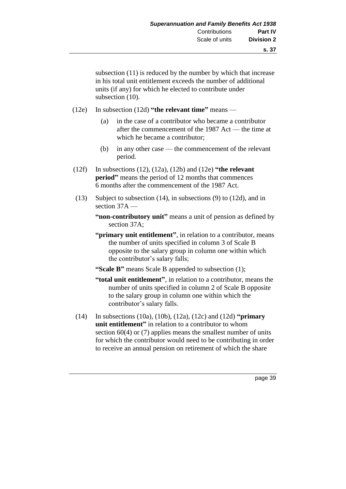subsection (11) is reduced by the number by which that increase in his total unit entitlement exceeds the number of additional units (if any) for which he elected to contribute under subsection (10).

- (12e) In subsection (12d) **"the relevant time"** means
	- (a) in the case of a contributor who became a contributor after the commencement of the 1987 Act — the time at which he became a contributor;
	- (b) in any other case the commencement of the relevant period.
- (12f) In subsections (12), (12a), (12b) and (12e) **"the relevant period**" means the period of 12 months that commences 6 months after the commencement of the 1987 Act.
- (13) Subject to subsection (14), in subsections (9) to (12d), and in section  $37A$  —
	- **"non-contributory unit"** means a unit of pension as defined by section 37A;
	- **"primary unit entitlement"**, in relation to a contributor, means the number of units specified in column 3 of Scale B opposite to the salary group in column one within which the contributor's salary falls;
	- **"Scale B"** means Scale B appended to subsection (1);
	- **"total unit entitlement"**, in relation to a contributor, means the number of units specified in column 2 of Scale B opposite to the salary group in column one within which the contributor's salary falls.
- (14) In subsections (10a), (10b), (12a), (12c) and (12d) **"primary unit entitlement"** in relation to a contributor to whom section 60(4) or (7) applies means the smallest number of units for which the contributor would need to be contributing in order to receive an annual pension on retirement of which the share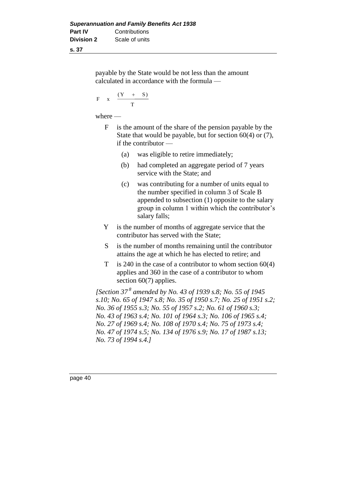payable by the State would be not less than the amount calculated in accordance with the formula —

$$
F \quad x \quad \frac{(Y \quad + \quad S)}{T}
$$

where —

- F is the amount of the share of the pension payable by the State that would be payable, but for section 60(4) or (7), if the contributor —
	- (a) was eligible to retire immediately;
	- (b) had completed an aggregate period of 7 years service with the State; and
	- (c) was contributing for a number of units equal to the number specified in column 3 of Scale B appended to subsection (1) opposite to the salary group in column 1 within which the contributor's salary falls;
- Y is the number of months of aggregate service that the contributor has served with the State;
- S is the number of months remaining until the contributor attains the age at which he has elected to retire; and
- T is 240 in the case of a contributor to whom section 60(4) applies and 360 in the case of a contributor to whom section 60(7) applies.

*[Section 37 <sup>8</sup> amended by No. 43 of 1939 s.8; No. 55 of 1945 s.10; No. 65 of 1947 s.8; No. 35 of 1950 s.7; No. 25 of 1951 s.2; No. 36 of 1955 s.3; No. 55 of 1957 s.2; No. 61 of 1960 s.3; No. 43 of 1963 s.4; No. 101 of 1964 s.3; No. 106 of 1965 s.4; No. 27 of 1969 s.4; No. 108 of 1970 s.4; No. 75 of 1973 s.4; No. 47 of 1974 s.5; No. 134 of 1976 s.9; No. 17 of 1987 s.13; No. 73 of 1994 s.4.]*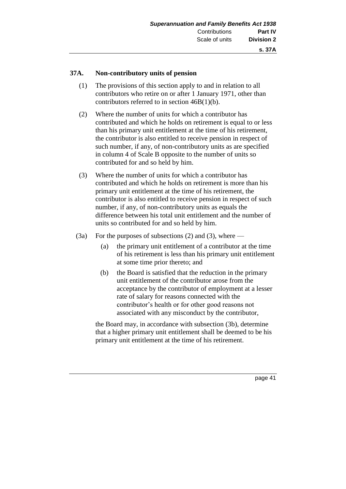#### **37A. Non-contributory units of pension**

- (1) The provisions of this section apply to and in relation to all contributors who retire on or after 1 January 1971, other than contributors referred to in section 46B(1)(b).
- (2) Where the number of units for which a contributor has contributed and which he holds on retirement is equal to or less than his primary unit entitlement at the time of his retirement, the contributor is also entitled to receive pension in respect of such number, if any, of non-contributory units as are specified in column 4 of Scale B opposite to the number of units so contributed for and so held by him.
- (3) Where the number of units for which a contributor has contributed and which he holds on retirement is more than his primary unit entitlement at the time of his retirement, the contributor is also entitled to receive pension in respect of such number, if any, of non-contributory units as equals the difference between his total unit entitlement and the number of units so contributed for and so held by him.
- (3a) For the purposes of subsections (2) and (3), where
	- (a) the primary unit entitlement of a contributor at the time of his retirement is less than his primary unit entitlement at some time prior thereto; and
	- (b) the Board is satisfied that the reduction in the primary unit entitlement of the contributor arose from the acceptance by the contributor of employment at a lesser rate of salary for reasons connected with the contributor's health or for other good reasons not associated with any misconduct by the contributor,

the Board may, in accordance with subsection (3b), determine that a higher primary unit entitlement shall be deemed to be his primary unit entitlement at the time of his retirement.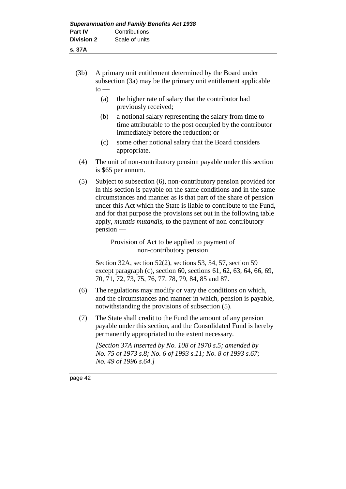| v | ۰, |  |  |
|---|----|--|--|
|   |    |  |  |

- (3b) A primary unit entitlement determined by the Board under subsection (3a) may be the primary unit entitlement applicable  $to$ 
	- (a) the higher rate of salary that the contributor had previously received;
	- (b) a notional salary representing the salary from time to time attributable to the post occupied by the contributor immediately before the reduction; or
	- (c) some other notional salary that the Board considers appropriate.
- (4) The unit of non-contributory pension payable under this section is \$65 per annum.
- (5) Subject to subsection (6), non-contributory pension provided for in this section is payable on the same conditions and in the same circumstances and manner as is that part of the share of pension under this Act which the State is liable to contribute to the Fund, and for that purpose the provisions set out in the following table apply, *mutatis mutandis*, to the payment of non-contributory pension —

Provision of Act to be applied to payment of non-contributory pension

Section 32A, section 52(2), sections 53, 54, 57, section 59 except paragraph (c), section 60, sections 61, 62, 63, 64, 66, 69, 70, 71, 72, 73, 75, 76, 77, 78, 79, 84, 85 and 87.

- (6) The regulations may modify or vary the conditions on which, and the circumstances and manner in which, pension is payable, notwithstanding the provisions of subsection (5).
- (7) The State shall credit to the Fund the amount of any pension payable under this section, and the Consolidated Fund is hereby permanently appropriated to the extent necessary.

*[Section 37A inserted by No. 108 of 1970 s.5; amended by No. 75 of 1973 s.8; No. 6 of 1993 s.11; No. 8 of 1993 s.67; No. 49 of 1996 s.64.]*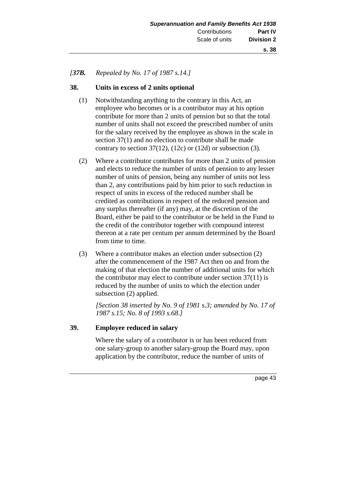## *[37B. Repealed by No. 17 of 1987 s.14.]*

#### **38. Units in excess of 2 units optional**

- (1) Notwithstanding anything to the contrary in this Act, an employee who becomes or is a contributor may at his option contribute for more than 2 units of pension but so that the total number of units shall not exceed the prescribed number of units for the salary received by the employee as shown in the scale in section 37(1) and no election to contribute shall be made contrary to section  $37(12)$ ,  $(12c)$  or  $(12d)$  or subsection  $(3)$ .
- (2) Where a contributor contributes for more than 2 units of pension and elects to reduce the number of units of pension to any lesser number of units of pension, being any number of units not less than 2, any contributions paid by him prior to such reduction in respect of units in excess of the reduced number shall be credited as contributions in respect of the reduced pension and any surplus thereafter (if any) may, at the discretion of the Board, either be paid to the contributor or be held in the Fund to the credit of the contributor together with compound interest thereon at a rate per centum per annum determined by the Board from time to time.
- (3) Where a contributor makes an election under subsection (2) after the commencement of the 1987 Act then on and from the making of that election the number of additional units for which the contributor may elect to contribute under section 37(11) is reduced by the number of units to which the election under subsection (2) applied.

*[Section 38 inserted by No. 9 of 1981 s.3; amended by No. 17 of 1987 s.15; No. 8 of 1993 s.68.]* 

#### **39. Employee reduced in salary**

Where the salary of a contributor is or has been reduced from one salary-group to another salary-group the Board may, upon application by the contributor, reduce the number of units of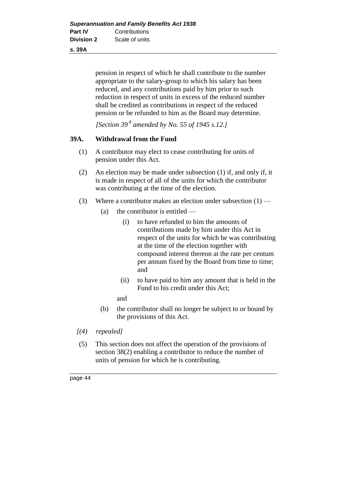**s. 39A**

pension in respect of which he shall contribute to the number appropriate to the salary-group to which his salary has been reduced, and any contributions paid by him prior to such reduction in respect of units in excess of the reduced number shall be credited as contributions in respect of the reduced pension or be refunded to him as the Board may determine.

*[Section 39 <sup>8</sup> amended by No. 55 of 1945 s.12.]* 

### **39A. Withdrawal from the Fund**

- (1) A contributor may elect to cease contributing for units of pension under this Act.
- (2) An election may be made under subsection (1) if, and only if, it is made in respect of all of the units for which the contributor was contributing at the time of the election.
- (3) Where a contributor makes an election under subsection  $(1)$ 
	- (a) the contributor is entitled
		- (i) to have refunded to him the amounts of contributions made by him under this Act in respect of the units for which he was contributing at the time of the election together with compound interest thereon at the rate per centum per annum fixed by the Board from time to time; and
		- (ii) to have paid to him any amount that is held in the Fund to his credit under this Act;
		- and
	- (b) the contributor shall no longer be subject to or bound by the provisions of this Act.
- *[(4) repealed]*
- (5) This section does not affect the operation of the provisions of section 38(2) enabling a contributor to reduce the number of units of pension for which he is contributing.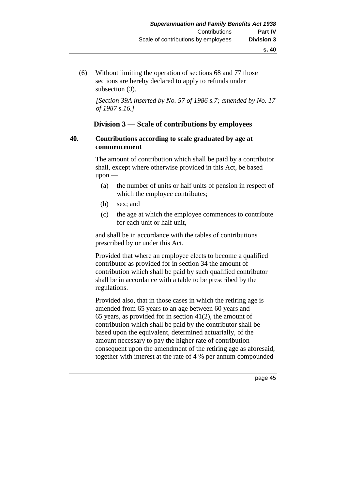(6) Without limiting the operation of sections 68 and 77 those sections are hereby declared to apply to refunds under subsection (3).

*[Section 39A inserted by No. 57 of 1986 s.7; amended by No. 17 of 1987 s.16.]* 

#### **Division 3 — Scale of contributions by employees**

#### **40. Contributions according to scale graduated by age at commencement**

The amount of contribution which shall be paid by a contributor shall, except where otherwise provided in this Act, be based  $upon$  —

- (a) the number of units or half units of pension in respect of which the employee contributes;
- (b) sex; and
- (c) the age at which the employee commences to contribute for each unit or half unit,

and shall be in accordance with the tables of contributions prescribed by or under this Act.

Provided that where an employee elects to become a qualified contributor as provided for in section 34 the amount of contribution which shall be paid by such qualified contributor shall be in accordance with a table to be prescribed by the regulations.

Provided also, that in those cases in which the retiring age is amended from 65 years to an age between 60 years and 65 years, as provided for in section 41(2), the amount of contribution which shall be paid by the contributor shall be based upon the equivalent, determined actuarially, of the amount necessary to pay the higher rate of contribution consequent upon the amendment of the retiring age as aforesaid, together with interest at the rate of 4 % per annum compounded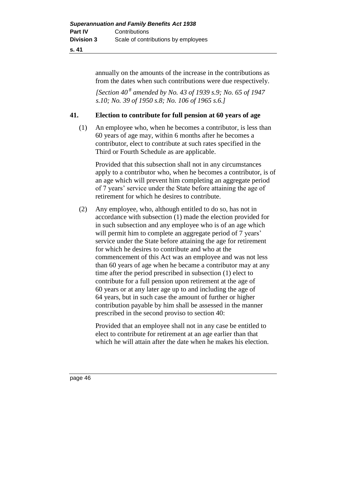annually on the amounts of the increase in the contributions as from the dates when such contributions were due respectively.

*[Section 40 <sup>8</sup> amended by No. 43 of 1939 s.9; No. 65 of 1947 s.10; No. 39 of 1950 s.8; No. 106 of 1965 s.6.]* 

## **41. Election to contribute for full pension at 60 years of age**

(1) An employee who, when he becomes a contributor, is less than 60 years of age may, within 6 months after he becomes a contributor, elect to contribute at such rates specified in the Third or Fourth Schedule as are applicable.

Provided that this subsection shall not in any circumstances apply to a contributor who, when he becomes a contributor, is of an age which will prevent him completing an aggregate period of 7 years' service under the State before attaining the age of retirement for which he desires to contribute.

(2) Any employee, who, although entitled to do so, has not in accordance with subsection (1) made the election provided for in such subsection and any employee who is of an age which will permit him to complete an aggregate period of 7 years' service under the State before attaining the age for retirement for which he desires to contribute and who at the commencement of this Act was an employee and was not less than 60 years of age when he became a contributor may at any time after the period prescribed in subsection (1) elect to contribute for a full pension upon retirement at the age of 60 years or at any later age up to and including the age of 64 years, but in such case the amount of further or higher contribution payable by him shall be assessed in the manner prescribed in the second proviso to section 40:

Provided that an employee shall not in any case be entitled to elect to contribute for retirement at an age earlier than that which he will attain after the date when he makes his election.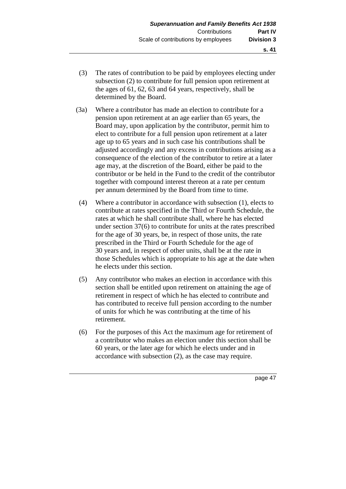- (3) The rates of contribution to be paid by employees electing under subsection (2) to contribute for full pension upon retirement at the ages of 61, 62, 63 and 64 years, respectively, shall be determined by the Board.
- (3a) Where a contributor has made an election to contribute for a pension upon retirement at an age earlier than 65 years, the Board may, upon application by the contributor, permit him to elect to contribute for a full pension upon retirement at a later age up to 65 years and in such case his contributions shall be adjusted accordingly and any excess in contributions arising as a consequence of the election of the contributor to retire at a later age may, at the discretion of the Board, either be paid to the contributor or be held in the Fund to the credit of the contributor together with compound interest thereon at a rate per centum per annum determined by the Board from time to time.
- (4) Where a contributor in accordance with subsection (1), elects to contribute at rates specified in the Third or Fourth Schedule, the rates at which he shall contribute shall, where he has elected under section 37(6) to contribute for units at the rates prescribed for the age of 30 years, be, in respect of those units, the rate prescribed in the Third or Fourth Schedule for the age of 30 years and, in respect of other units, shall be at the rate in those Schedules which is appropriate to his age at the date when he elects under this section.
- (5) Any contributor who makes an election in accordance with this section shall be entitled upon retirement on attaining the age of retirement in respect of which he has elected to contribute and has contributed to receive full pension according to the number of units for which he was contributing at the time of his retirement.
- (6) For the purposes of this Act the maximum age for retirement of a contributor who makes an election under this section shall be 60 years, or the later age for which he elects under and in accordance with subsection (2), as the case may require.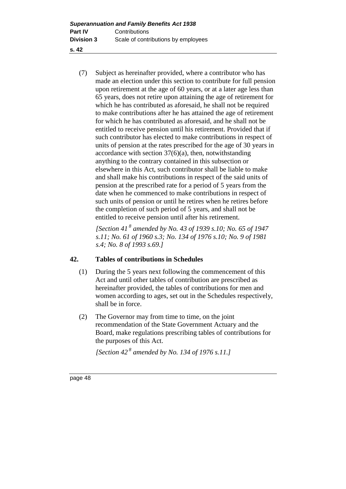- **s. 42**
	- (7) Subject as hereinafter provided, where a contributor who has made an election under this section to contribute for full pension upon retirement at the age of 60 years, or at a later age less than 65 years, does not retire upon attaining the age of retirement for which he has contributed as aforesaid, he shall not be required to make contributions after he has attained the age of retirement for which he has contributed as aforesaid, and he shall not be entitled to receive pension until his retirement. Provided that if such contributor has elected to make contributions in respect of units of pension at the rates prescribed for the age of 30 years in accordance with section  $37(6)(a)$ , then, notwithstanding anything to the contrary contained in this subsection or elsewhere in this Act, such contributor shall be liable to make and shall make his contributions in respect of the said units of pension at the prescribed rate for a period of 5 years from the date when he commenced to make contributions in respect of such units of pension or until he retires when he retires before the completion of such period of 5 years, and shall not be entitled to receive pension until after his retirement.

*[Section 41 <sup>8</sup> amended by No. 43 of 1939 s.10; No. 65 of 1947 s.11; No. 61 of 1960 s.3; No. 134 of 1976 s.10; No. 9 of 1981 s.4; No. 8 of 1993 s.69.]* 

# **42. Tables of contributions in Schedules**

- (1) During the 5 years next following the commencement of this Act and until other tables of contribution are prescribed as hereinafter provided, the tables of contributions for men and women according to ages, set out in the Schedules respectively, shall be in force.
- (2) The Governor may from time to time, on the joint recommendation of the State Government Actuary and the Board, make regulations prescribing tables of contributions for the purposes of this Act.

*[Section 42 <sup>8</sup> amended by No. 134 of 1976 s.11.]*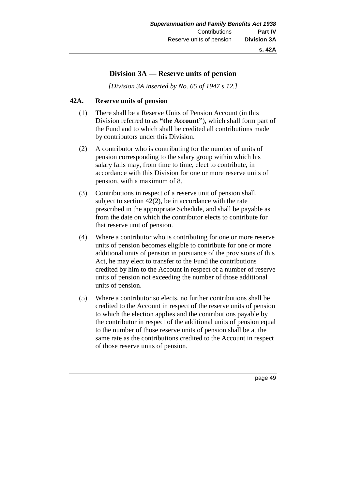# **Division 3A — Reserve units of pension**

*[Division 3A inserted by No. 65 of 1947 s.12.]*

#### **42A. Reserve units of pension**

- (1) There shall be a Reserve Units of Pension Account (in this Division referred to as **"the Account"**), which shall form part of the Fund and to which shall be credited all contributions made by contributors under this Division.
- (2) A contributor who is contributing for the number of units of pension corresponding to the salary group within which his salary falls may, from time to time, elect to contribute, in accordance with this Division for one or more reserve units of pension, with a maximum of 8.
- (3) Contributions in respect of a reserve unit of pension shall, subject to section 42(2), be in accordance with the rate prescribed in the appropriate Schedule, and shall be payable as from the date on which the contributor elects to contribute for that reserve unit of pension.
- (4) Where a contributor who is contributing for one or more reserve units of pension becomes eligible to contribute for one or more additional units of pension in pursuance of the provisions of this Act, he may elect to transfer to the Fund the contributions credited by him to the Account in respect of a number of reserve units of pension not exceeding the number of those additional units of pension.
- (5) Where a contributor so elects, no further contributions shall be credited to the Account in respect of the reserve units of pension to which the election applies and the contributions payable by the contributor in respect of the additional units of pension equal to the number of those reserve units of pension shall be at the same rate as the contributions credited to the Account in respect of those reserve units of pension.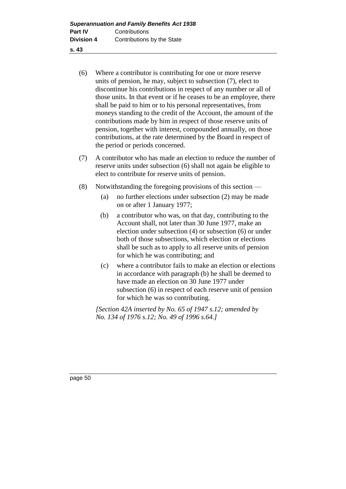- (6) Where a contributor is contributing for one or more reserve units of pension, he may, subject to subsection (7), elect to discontinue his contributions in respect of any number or all of those units. In that event or if he ceases to be an employee, there shall be paid to him or to his personal representatives, from moneys standing to the credit of the Account, the amount of the contributions made by him in respect of those reserve units of pension, together with interest, compounded annually, on those contributions, at the rate determined by the Board in respect of the period or periods concerned.
- (7) A contributor who has made an election to reduce the number of reserve units under subsection (6) shall not again be eligible to elect to contribute for reserve units of pension.
- (8) Notwithstanding the foregoing provisions of this section
	- (a) no further elections under subsection (2) may be made on or after 1 January 1977;
	- (b) a contributor who was, on that day, contributing to the Account shall, not later than 30 June 1977, make an election under subsection (4) or subsection (6) or under both of those subsections, which election or elections shall be such as to apply to all reserve units of pension for which he was contributing; and
	- (c) where a contributor fails to make an election or elections in accordance with paragraph (b) he shall be deemed to have made an election on 30 June 1977 under subsection (6) in respect of each reserve unit of pension for which he was so contributing.

*[Section 42A inserted by No. 65 of 1947 s.12; amended by No. 134 of 1976 s.12; No. 49 of 1996 s.64.]*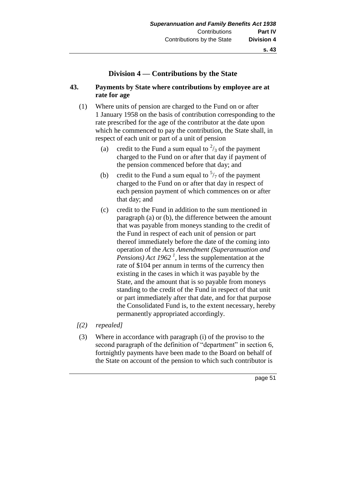# **Division 4 — Contributions by the State**

# **43. Payments by State where contributions by employee are at rate for age**

- (1) Where units of pension are charged to the Fund on or after 1 January 1958 on the basis of contribution corresponding to the rate prescribed for the age of the contributor at the date upon which he commenced to pay the contribution, the State shall, in respect of each unit or part of a unit of pension
	- (a) credit to the Fund a sum equal to  $\frac{2}{3}$  of the payment charged to the Fund on or after that day if payment of the pension commenced before that day; and
	- (b) credit to the Fund a sum equal to  $\frac{5}{7}$  of the payment charged to the Fund on or after that day in respect of each pension payment of which commences on or after that day; and
	- (c) credit to the Fund in addition to the sum mentioned in paragraph (a) or (b), the difference between the amount that was payable from moneys standing to the credit of the Fund in respect of each unit of pension or part thereof immediately before the date of the coming into operation of the *Acts Amendment (Superannuation and Pensions) Act 1962 <sup>1</sup>* , less the supplementation at the rate of \$104 per annum in terms of the currency then existing in the cases in which it was payable by the State, and the amount that is so payable from moneys standing to the credit of the Fund in respect of that unit or part immediately after that date, and for that purpose the Consolidated Fund is, to the extent necessary, hereby permanently appropriated accordingly.
- *[(2) repealed]*
- (3) Where in accordance with paragraph (i) of the proviso to the second paragraph of the definition of "department" in section 6, fortnightly payments have been made to the Board on behalf of the State on account of the pension to which such contributor is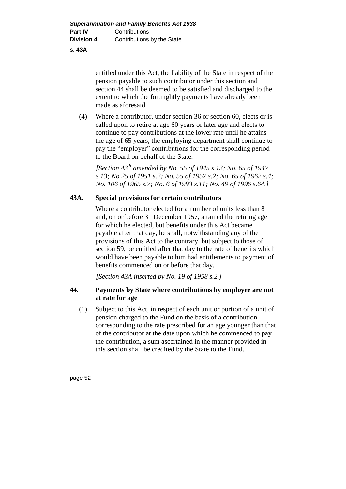#### **s. 43A**

entitled under this Act, the liability of the State in respect of the pension payable to such contributor under this section and section 44 shall be deemed to be satisfied and discharged to the extent to which the fortnightly payments have already been made as aforesaid.

(4) Where a contributor, under section 36 or section 60, elects or is called upon to retire at age 60 years or later age and elects to continue to pay contributions at the lower rate until he attains the age of 65 years, the employing department shall continue to pay the "employer" contributions for the corresponding period to the Board on behalf of the State.

*[Section 43 <sup>8</sup> amended by No. 55 of 1945 s.13; No. 65 of 1947 s.13; No.25 of 1951 s.2; No. 55 of 1957 s.2; No. 65 of 1962 s.4; No. 106 of 1965 s.7; No. 6 of 1993 s.11; No. 49 of 1996 s.64.]* 

### **43A. Special provisions for certain contributors**

Where a contributor elected for a number of units less than 8 and, on or before 31 December 1957, attained the retiring age for which he elected, but benefits under this Act became payable after that day, he shall, notwithstanding any of the provisions of this Act to the contrary, but subject to those of section 59, be entitled after that day to the rate of benefits which would have been payable to him had entitlements to payment of benefits commenced on or before that day.

*[Section 43A inserted by No. 19 of 1958 s.2.]* 

# **44. Payments by State where contributions by employee are not at rate for age**

(1) Subject to this Act, in respect of each unit or portion of a unit of pension charged to the Fund on the basis of a contribution corresponding to the rate prescribed for an age younger than that of the contributor at the date upon which he commenced to pay the contribution, a sum ascertained in the manner provided in this section shall be credited by the State to the Fund.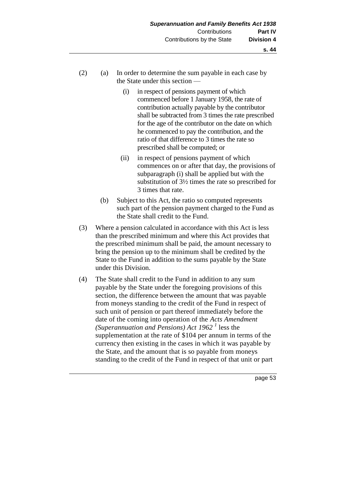- (2) (a) In order to determine the sum payable in each case by the State under this section —
	- (i) in respect of pensions payment of which commenced before 1 January 1958, the rate of contribution actually payable by the contributor shall be subtracted from 3 times the rate prescribed for the age of the contributor on the date on which he commenced to pay the contribution, and the ratio of that difference to 3 times the rate so prescribed shall be computed; or
	- (ii) in respect of pensions payment of which commences on or after that day, the provisions of subparagraph (i) shall be applied but with the substitution of 3½ times the rate so prescribed for 3 times that rate.
	- (b) Subject to this Act, the ratio so computed represents such part of the pension payment charged to the Fund as the State shall credit to the Fund.
- (3) Where a pension calculated in accordance with this Act is less than the prescribed minimum and where this Act provides that the prescribed minimum shall be paid, the amount necessary to bring the pension up to the minimum shall be credited by the State to the Fund in addition to the sums payable by the State under this Division.
- (4) The State shall credit to the Fund in addition to any sum payable by the State under the foregoing provisions of this section, the difference between the amount that was payable from moneys standing to the credit of the Fund in respect of such unit of pension or part thereof immediately before the date of the coming into operation of the *Acts Amendment (Superannuation and Pensions) Act 1962 <sup>1</sup>* less the supplementation at the rate of \$104 per annum in terms of the currency then existing in the cases in which it was payable by the State, and the amount that is so payable from moneys standing to the credit of the Fund in respect of that unit or part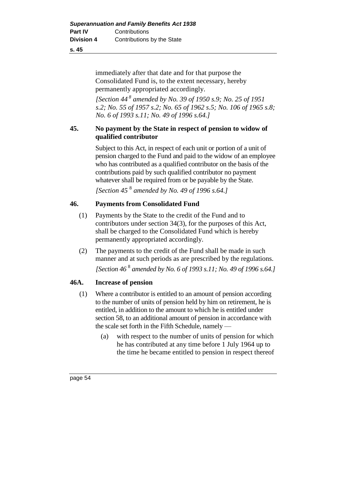immediately after that date and for that purpose the Consolidated Fund is, to the extent necessary, hereby permanently appropriated accordingly.

*[Section 44 <sup>8</sup> amended by No. 39 of 1950 s.9; No. 25 of 1951 s.2; No. 55 of 1957 s.2; No. 65 of 1962 s.5; No. 106 of 1965 s.8; No. 6 of 1993 s.11; No. 49 of 1996 s.64.]* 

# **45. No payment by the State in respect of pension to widow of qualified contributor**

Subject to this Act, in respect of each unit or portion of a unit of pension charged to the Fund and paid to the widow of an employee who has contributed as a qualified contributor on the basis of the contributions paid by such qualified contributor no payment whatever shall be required from or be payable by the State.

*[Section 45* <sup>8</sup> *amended by No. 49 of 1996 s.64.]* 

### **46. Payments from Consolidated Fund**

- (1) Payments by the State to the credit of the Fund and to contributors under section 34(3), for the purposes of this Act, shall be charged to the Consolidated Fund which is hereby permanently appropriated accordingly.
- (2) The payments to the credit of the Fund shall be made in such manner and at such periods as are prescribed by the regulations. *[Section 46* <sup>8</sup> *amended by No. 6 of 1993 s.11; No. 49 of 1996 s.64.]*

### **46A. Increase of pension**

- (1) Where a contributor is entitled to an amount of pension according to the number of units of pension held by him on retirement, he is entitled, in addition to the amount to which he is entitled under section 58, to an additional amount of pension in accordance with the scale set forth in the Fifth Schedule, namely —
	- (a) with respect to the number of units of pension for which he has contributed at any time before 1 July 1964 up to the time he became entitled to pension in respect thereof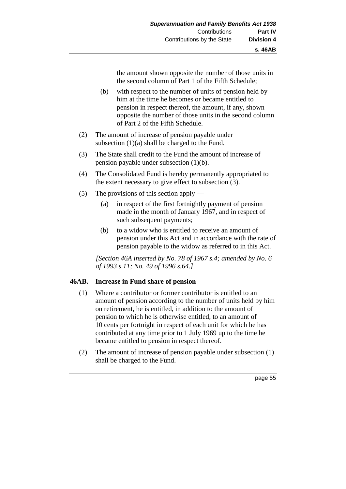the amount shown opposite the number of those units in the second column of Part 1 of the Fifth Schedule;

- (b) with respect to the number of units of pension held by him at the time he becomes or became entitled to pension in respect thereof, the amount, if any, shown opposite the number of those units in the second column of Part 2 of the Fifth Schedule.
- (2) The amount of increase of pension payable under subsection  $(1)(a)$  shall be charged to the Fund.
- (3) The State shall credit to the Fund the amount of increase of pension payable under subsection (1)(b).
- (4) The Consolidated Fund is hereby permanently appropriated to the extent necessary to give effect to subsection (3).
- (5) The provisions of this section apply
	- (a) in respect of the first fortnightly payment of pension made in the month of January 1967, and in respect of such subsequent payments;
	- (b) to a widow who is entitled to receive an amount of pension under this Act and in accordance with the rate of pension payable to the widow as referred to in this Act.

*[Section 46A inserted by No. 78 of 1967 s.4; amended by No. 6 of 1993 s.11; No. 49 of 1996 s.64.]* 

### **46AB. Increase in Fund share of pension**

- (1) Where a contributor or former contributor is entitled to an amount of pension according to the number of units held by him on retirement, he is entitled, in addition to the amount of pension to which he is otherwise entitled, to an amount of 10 cents per fortnight in respect of each unit for which he has contributed at any time prior to 1 July 1969 up to the time he became entitled to pension in respect thereof.
- (2) The amount of increase of pension payable under subsection (1) shall be charged to the Fund.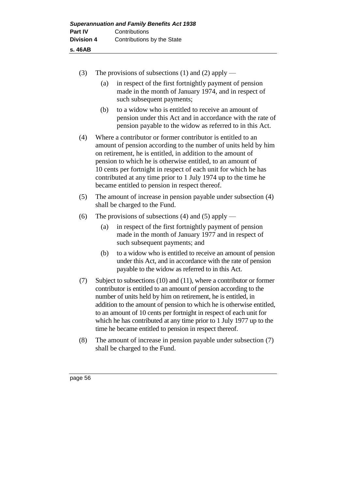| ۰. |  |
|----|--|
|    |  |

- (3) The provisions of subsections (1) and (2) apply
	- (a) in respect of the first fortnightly payment of pension made in the month of January 1974, and in respect of such subsequent payments:
	- (b) to a widow who is entitled to receive an amount of pension under this Act and in accordance with the rate of pension payable to the widow as referred to in this Act.
- (4) Where a contributor or former contributor is entitled to an amount of pension according to the number of units held by him on retirement, he is entitled, in addition to the amount of pension to which he is otherwise entitled, to an amount of 10 cents per fortnight in respect of each unit for which he has contributed at any time prior to 1 July 1974 up to the time he became entitled to pension in respect thereof.
- (5) The amount of increase in pension payable under subsection (4) shall be charged to the Fund.
- (6) The provisions of subsections (4) and (5) apply
	- (a) in respect of the first fortnightly payment of pension made in the month of January 1977 and in respect of such subsequent payments; and
	- (b) to a widow who is entitled to receive an amount of pension under this Act, and in accordance with the rate of pension payable to the widow as referred to in this Act.
- (7) Subject to subsections (10) and (11), where a contributor or former contributor is entitled to an amount of pension according to the number of units held by him on retirement, he is entitled, in addition to the amount of pension to which he is otherwise entitled, to an amount of 10 cents per fortnight in respect of each unit for which he has contributed at any time prior to 1 July 1977 up to the time he became entitled to pension in respect thereof.
- (8) The amount of increase in pension payable under subsection (7) shall be charged to the Fund.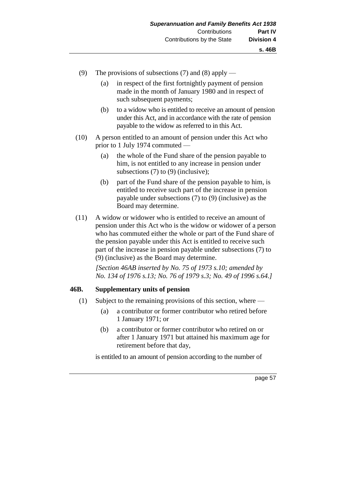- (9) The provisions of subsections (7) and (8) apply
	- (a) in respect of the first fortnightly payment of pension made in the month of January 1980 and in respect of such subsequent payments:
	- (b) to a widow who is entitled to receive an amount of pension under this Act, and in accordance with the rate of pension payable to the widow as referred to in this Act.
- (10) A person entitled to an amount of pension under this Act who prior to 1 July 1974 commuted —
	- (a) the whole of the Fund share of the pension payable to him, is not entitled to any increase in pension under subsections (7) to (9) (inclusive);
	- (b) part of the Fund share of the pension payable to him, is entitled to receive such part of the increase in pension payable under subsections (7) to (9) (inclusive) as the Board may determine.
- (11) A widow or widower who is entitled to receive an amount of pension under this Act who is the widow or widower of a person who has commuted either the whole or part of the Fund share of the pension payable under this Act is entitled to receive such part of the increase in pension payable under subsections (7) to (9) (inclusive) as the Board may determine.

*[Section 46AB inserted by No. 75 of 1973 s.10; amended by No. 134 of 1976 s.13; No. 76 of 1979 s.3; No. 49 of 1996 s.64.]* 

#### **46B. Supplementary units of pension**

- (1) Subject to the remaining provisions of this section, where
	- (a) a contributor or former contributor who retired before 1 January 1971; or
	- (b) a contributor or former contributor who retired on or after 1 January 1971 but attained his maximum age for retirement before that day,

is entitled to an amount of pension according to the number of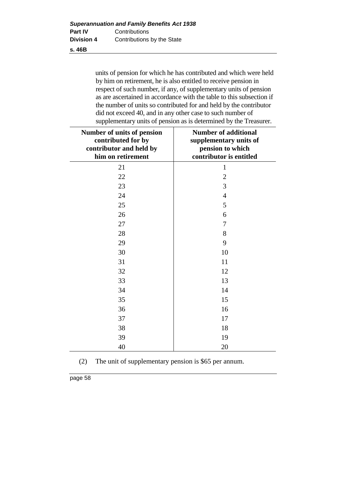**s. 46B**

units of pension for which he has contributed and which were held by him on retirement, he is also entitled to receive pension in respect of such number, if any, of supplementary units of pension as are ascertained in accordance with the table to this subsection if the number of units so contributed for and held by the contributor did not exceed 40, and in any other case to such number of supplementary units of pension as is determined by the Treasurer.

| Number of units of pension<br>contributed for by<br>contributor and held by<br>him on retirement | <b>Number of additional</b><br>supplementary units of<br>pension to which<br>contributor is entitled |
|--------------------------------------------------------------------------------------------------|------------------------------------------------------------------------------------------------------|
| 21                                                                                               | 1                                                                                                    |
| 22                                                                                               | $\mathbf{2}$                                                                                         |
| 23                                                                                               | 3                                                                                                    |
| 24                                                                                               | $\overline{4}$                                                                                       |
| 25                                                                                               | 5                                                                                                    |
| 26                                                                                               | 6                                                                                                    |
| 27                                                                                               | 7                                                                                                    |
| 28                                                                                               | 8                                                                                                    |
| 29                                                                                               | 9                                                                                                    |
| 30                                                                                               | 10                                                                                                   |
| 31                                                                                               | 11                                                                                                   |
| 32                                                                                               | 12                                                                                                   |
| 33                                                                                               | 13                                                                                                   |
| 34                                                                                               | 14                                                                                                   |
| 35                                                                                               | 15                                                                                                   |
| 36                                                                                               | 16                                                                                                   |
| 37                                                                                               | 17                                                                                                   |
| 38                                                                                               | 18                                                                                                   |
| 39                                                                                               | 19                                                                                                   |
| 40                                                                                               | 20                                                                                                   |

(2) The unit of supplementary pension is \$65 per annum.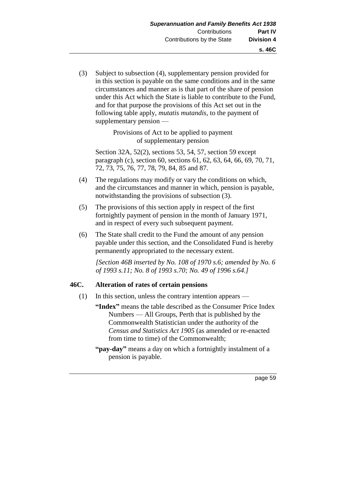(3) Subject to subsection (4), supplementary pension provided for in this section is payable on the same conditions and in the same circumstances and manner as is that part of the share of pension under this Act which the State is liable to contribute to the Fund, and for that purpose the provisions of this Act set out in the following table apply, *mutatis mutandis*, to the payment of supplementary pension —

> Provisions of Act to be applied to payment of supplementary pension

Section 32A, 52(2), sections 53, 54, 57, section 59 except paragraph (c), section 60, sections 61, 62, 63, 64, 66, 69, 70, 71, 72, 73, 75, 76, 77, 78, 79, 84, 85 and 87.

- (4) The regulations may modify or vary the conditions on which, and the circumstances and manner in which, pension is payable, notwithstanding the provisions of subsection (3).
- (5) The provisions of this section apply in respect of the first fortnightly payment of pension in the month of January 1971, and in respect of every such subsequent payment.
- (6) The State shall credit to the Fund the amount of any pension payable under this section, and the Consolidated Fund is hereby permanently appropriated to the necessary extent.

*[Section 46B inserted by No. 108 of 1970 s.6; amended by No. 6 of 1993 s.11; No. 8 of 1993 s.70; No. 49 of 1996 s.64.]*

#### **46C. Alteration of rates of certain pensions**

- (1) In this section, unless the contrary intention appears
	- **"Index"** means the table described as the Consumer Price Index Numbers — All Groups, Perth that is published by the Commonwealth Statistician under the authority of the *Census and Statistics Act 1905* (as amended or re-enacted from time to time) of the Commonwealth;
	- **"pay-day"** means a day on which a fortnightly instalment of a pension is payable.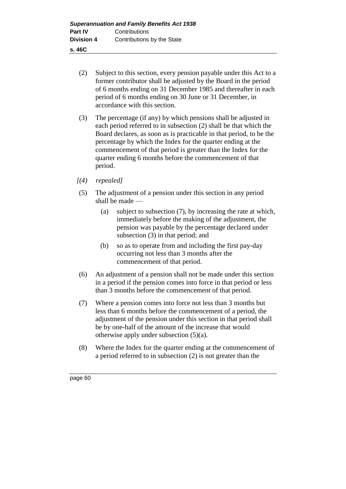**s. 46C**

- (2) Subject to this section, every pension payable under this Act to a former contributor shall be adjusted by the Board in the period of 6 months ending on 31 December 1985 and thereafter in each period of 6 months ending on 30 June or 31 December, in accordance with this section.
- (3) The percentage (if any) by which pensions shall be adjusted in each period referred to in subsection (2) shall be that which the Board declares, as soon as is practicable in that period, to be the percentage by which the Index for the quarter ending at the commencement of that period is greater than the Index for the quarter ending 6 months before the commencement of that period.
- *[(4) repealed]*
- (5) The adjustment of a pension under this section in any period shall be made —
	- (a) subject to subsection (7), by increasing the rate at which, immediately before the making of the adjustment, the pension was payable by the percentage declared under subsection (3) in that period; and
	- (b) so as to operate from and including the first pay-day occurring not less than 3 months after the commencement of that period.
- (6) An adjustment of a pension shall not be made under this section in a period if the pension comes into force in that period or less than 3 months before the commencement of that period.
- (7) Where a pension comes into force not less than 3 months but less than 6 months before the commencement of a period, the adjustment of the pension under this section in that period shall be by one-half of the amount of the increase that would otherwise apply under subsection (5)(a).
- (8) Where the Index for the quarter ending at the commencement of a period referred to in subsection (2) is not greater than the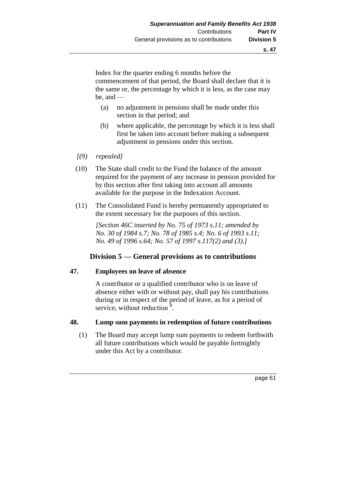Index for the quarter ending 6 months before the commencement of that period, the Board shall declare that it is the same or, the percentage by which it is less, as the case may be, and —

- (a) no adjustment in pensions shall be made under this section in that period; and
- (b) where applicable, the percentage by which it is less shall first be taken into account before making a subsequent adjustment in pensions under this section.
- *[(9) repealed]*
- (10) The State shall credit to the Fund the balance of the amount required for the payment of any increase in pension provided for by this section after first taking into account all amounts available for the purpose in the Indexation Account.
- (11) The Consolidated Fund is hereby permanently appropriated to the extent necessary for the purposes of this section.

*[Section 46C inserted by No. 75 of 1973 s.11; amended by No. 30 of 1984 s.7; No. 78 of 1985 s.4; No. 6 of 1993 s.11; No. 49 of 1996 s.64; No. 57 of 1997 s.117(2) and (3).]*

# **Division 5 — General provisions as to contributions**

### **47. Employees on leave of absence**

A contributor or a qualified contributor who is on leave of absence either with or without pay, shall pay his contributions during or in respect of the period of leave, as for a period of service, without reduction  $\frac{8}{3}$ .

### **48. Lump sum payments in redemption of future contributions**

(1) The Board may accept lump sum payments to redeem forthwith all future contributions which would be payable fortnightly under this Act by a contributor.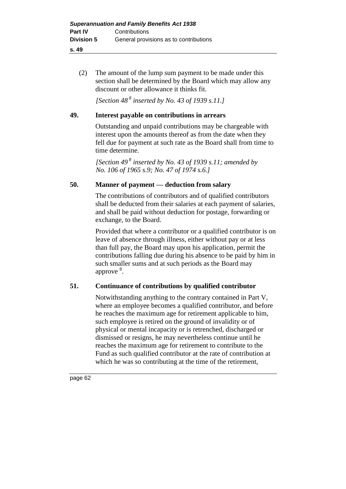(2) The amount of the lump sum payment to be made under this section shall be determined by the Board which may allow any discount or other allowance it thinks fit.

*[Section 48 <sup>8</sup> inserted by No. 43 of 1939 s.11.]* 

#### **49. Interest payable on contributions in arrears**

Outstanding and unpaid contributions may be chargeable with interest upon the amounts thereof as from the date when they fell due for payment at such rate as the Board shall from time to time determine.

*[Section 49 <sup>8</sup> inserted by No. 43 of 1939 s.11; amended by No. 106 of 1965 s.9; No. 47 of 1974 s.6.]* 

### **50. Manner of payment — deduction from salary**

The contributions of contributors and of qualified contributors shall be deducted from their salaries at each payment of salaries, and shall be paid without deduction for postage, forwarding or exchange, to the Board.

Provided that where a contributor or a qualified contributor is on leave of absence through illness, either without pay or at less than full pay, the Board may upon his application, permit the contributions falling due during his absence to be paid by him in such smaller sums and at such periods as the Board may approve <sup>8</sup>.

### **51. Continuance of contributions by qualified contributor**

Notwithstanding anything to the contrary contained in Part V, where an employee becomes a qualified contributor, and before he reaches the maximum age for retirement applicable to him, such employee is retired on the ground of invalidity or of physical or mental incapacity or is retrenched, discharged or dismissed or resigns, he may nevertheless continue until he reaches the maximum age for retirement to contribute to the Fund as such qualified contributor at the rate of contribution at which he was so contributing at the time of the retirement,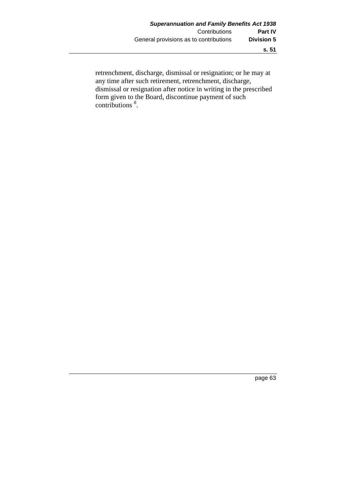retrenchment, discharge, dismissal or resignation; or he may at any time after such retirement, retrenchment, discharge, dismissal or resignation after notice in writing in the prescribed form given to the Board, discontinue payment of such contributions<sup>8</sup>.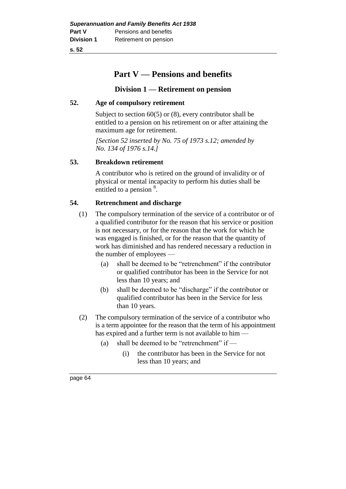# **Part V — Pensions and benefits**

# **Division 1 — Retirement on pension**

## **52. Age of compulsory retirement**

Subject to section 60(5) or (8), every contributor shall be entitled to a pension on his retirement on or after attaining the maximum age for retirement.

*[Section 52 inserted by No. 75 of 1973 s.12; amended by No. 134 of 1976 s.14.]* 

## **53. Breakdown retirement**

A contributor who is retired on the ground of invalidity or of physical or mental incapacity to perform his duties shall be entitled to a pension  $8$ .

# **54. Retrenchment and discharge**

- (1) The compulsory termination of the service of a contributor or of a qualified contributor for the reason that his service or position is not necessary, or for the reason that the work for which he was engaged is finished, or for the reason that the quantity of work has diminished and has rendered necessary a reduction in the number of employees —
	- (a) shall be deemed to be "retrenchment" if the contributor or qualified contributor has been in the Service for not less than 10 years; and
	- (b) shall be deemed to be "discharge" if the contributor or qualified contributor has been in the Service for less than 10 years.
- (2) The compulsory termination of the service of a contributor who is a term appointee for the reason that the term of his appointment has expired and a further term is not available to him —
	- (a) shall be deemed to be "retrenchment" if  $-$ 
		- (i) the contributor has been in the Service for not less than 10 years; and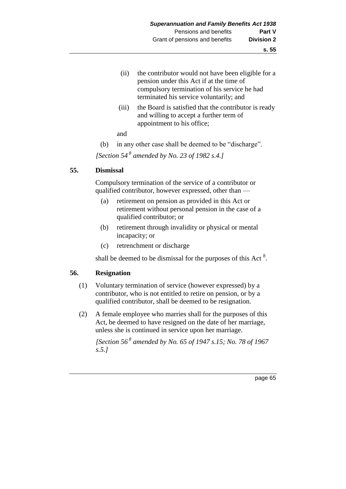- (ii) the contributor would not have been eligible for a pension under this Act if at the time of compulsory termination of his service he had terminated his service voluntarily; and
- (iii) the Board is satisfied that the contributor is ready and willing to accept a further term of appointment to his office;
- and
- (b) in any other case shall be deemed to be "discharge".

*[Section 54 <sup>8</sup> amended by No. 23 of 1982 s.4.]* 

### **55. Dismissal**

Compulsory termination of the service of a contributor or qualified contributor, however expressed, other than —

- (a) retirement on pension as provided in this Act or retirement without personal pension in the case of a qualified contributor; or
- (b) retirement through invalidity or physical or mental incapacity; or
- (c) retrenchment or discharge

shall be deemed to be dismissal for the purposes of this Act  $8$ .

#### **56. Resignation**

- (1) Voluntary termination of service (however expressed) by a contributor, who is not entitled to retire on pension, or by a qualified contributor, shall be deemed to be resignation.
- (2) A female employee who marries shall for the purposes of this Act, be deemed to have resigned on the date of her marriage, unless she is continued in service upon her marriage.

*[Section 56 <sup>8</sup> amended by No. 65 of 1947 s.15; No. 78 of 1967 s.5.]*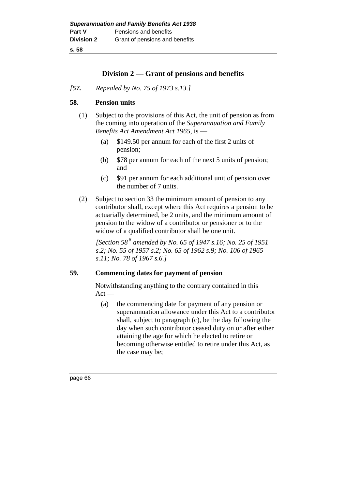# **Division 2 — Grant of pensions and benefits**

*[57. Repealed by No. 75 of 1973 s.13.]* 

# **58. Pension units**

- (1) Subject to the provisions of this Act, the unit of pension as from the coming into operation of the *Superannuation and Family Benefits Act Amendment Act 1965*, is —
	- (a) \$149.50 per annum for each of the first 2 units of pension;
	- (b) \$78 per annum for each of the next 5 units of pension; and
	- (c) \$91 per annum for each additional unit of pension over the number of 7 units.
- (2) Subject to section 33 the minimum amount of pension to any contributor shall, except where this Act requires a pension to be actuarially determined, be 2 units, and the minimum amount of pension to the widow of a contributor or pensioner or to the widow of a qualified contributor shall be one unit.

*[Section 58 <sup>8</sup> amended by No. 65 of 1947 s.16; No. 25 of 1951 s.2; No. 55 of 1957 s.2; No. 65 of 1962 s.9; No. 106 of 1965 s.11; No. 78 of 1967 s.6.]* 

### **59. Commencing dates for payment of pension**

Notwithstanding anything to the contrary contained in this  $Act -$ 

(a) the commencing date for payment of any pension or superannuation allowance under this Act to a contributor shall, subject to paragraph (c), be the day following the day when such contributor ceased duty on or after either attaining the age for which he elected to retire or becoming otherwise entitled to retire under this Act, as the case may be;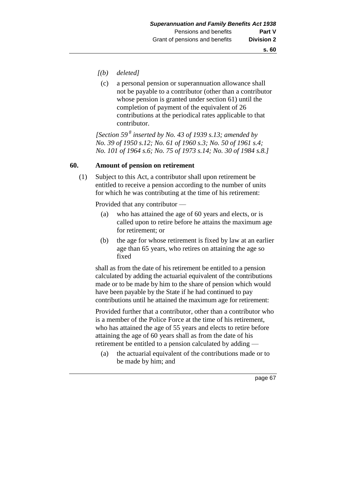- *[(b) deleted]* 
	- (c) a personal pension or superannuation allowance shall not be payable to a contributor (other than a contributor whose pension is granted under section 61) until the completion of payment of the equivalent of 26 contributions at the periodical rates applicable to that contributor.

*[Section 59 <sup>8</sup> inserted by No. 43 of 1939 s.13; amended by No. 39 of 1950 s.12; No. 61 of 1960 s.3; No. 50 of 1961 s.4; No. 101 of 1964 s.6; No. 75 of 1973 s.14; No. 30 of 1984 s.8.]* 

#### **60. Amount of pension on retirement**

(1) Subject to this Act, a contributor shall upon retirement be entitled to receive a pension according to the number of units for which he was contributing at the time of his retirement:

Provided that any contributor —

- (a) who has attained the age of 60 years and elects, or is called upon to retire before he attains the maximum age for retirement; or
- (b) the age for whose retirement is fixed by law at an earlier age than 65 years, who retires on attaining the age so fixed

shall as from the date of his retirement be entitled to a pension calculated by adding the actuarial equivalent of the contributions made or to be made by him to the share of pension which would have been payable by the State if he had continued to pay contributions until he attained the maximum age for retirement:

Provided further that a contributor, other than a contributor who is a member of the Police Force at the time of his retirement, who has attained the age of 55 years and elects to retire before attaining the age of 60 years shall as from the date of his retirement be entitled to a pension calculated by adding —

(a) the actuarial equivalent of the contributions made or to be made by him; and

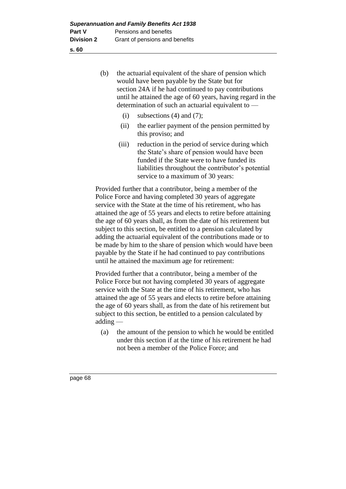- (b) the actuarial equivalent of the share of pension which would have been payable by the State but for section 24A if he had continued to pay contributions until he attained the age of 60 years, having regard in the determination of such an actuarial equivalent to —
	- (i) subsections  $(4)$  and  $(7)$ :
	- (ii) the earlier payment of the pension permitted by this proviso; and
	- (iii) reduction in the period of service during which the State's share of pension would have been funded if the State were to have funded its liabilities throughout the contributor's potential service to a maximum of 30 years:

Provided further that a contributor, being a member of the Police Force and having completed 30 years of aggregate service with the State at the time of his retirement, who has attained the age of 55 years and elects to retire before attaining the age of 60 years shall, as from the date of his retirement but subject to this section, be entitled to a pension calculated by adding the actuarial equivalent of the contributions made or to be made by him to the share of pension which would have been payable by the State if he had continued to pay contributions until he attained the maximum age for retirement:

Provided further that a contributor, being a member of the Police Force but not having completed 30 years of aggregate service with the State at the time of his retirement, who has attained the age of 55 years and elects to retire before attaining the age of 60 years shall, as from the date of his retirement but subject to this section, be entitled to a pension calculated by adding —

(a) the amount of the pension to which he would be entitled under this section if at the time of his retirement he had not been a member of the Police Force; and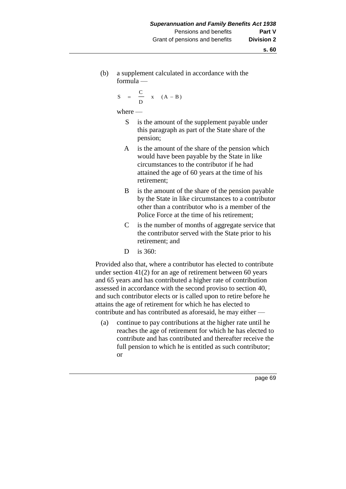(b) a supplement calculated in accordance with the formula —

$$
S = \frac{C}{D} \times (A - B)
$$

where —

- S is the amount of the supplement payable under this paragraph as part of the State share of the pension;
- A is the amount of the share of the pension which would have been payable by the State in like circumstances to the contributor if he had attained the age of 60 years at the time of his retirement;
- B is the amount of the share of the pension payable by the State in like circumstances to a contributor other than a contributor who is a member of the Police Force at the time of his retirement;
- C is the number of months of aggregate service that the contributor served with the State prior to his retirement; and
- D is 360:

Provided also that, where a contributor has elected to contribute under section 41(2) for an age of retirement between 60 years and 65 years and has contributed a higher rate of contribution assessed in accordance with the second proviso to section 40, and such contributor elects or is called upon to retire before he attains the age of retirement for which he has elected to contribute and has contributed as aforesaid, he may either —

(a) continue to pay contributions at the higher rate until he reaches the age of retirement for which he has elected to contribute and has contributed and thereafter receive the full pension to which he is entitled as such contributor; or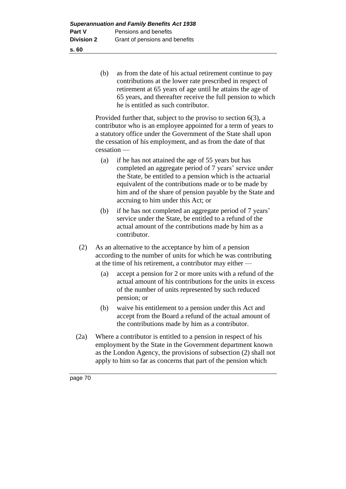(b) as from the date of his actual retirement continue to pay contributions at the lower rate prescribed in respect of retirement at 65 years of age until he attains the age of 65 years, and thereafter receive the full pension to which he is entitled as such contributor.

Provided further that, subject to the proviso to section 6(3), a contributor who is an employee appointed for a term of years to a statutory office under the Government of the State shall upon the cessation of his employment, and as from the date of that cessation —

- (a) if he has not attained the age of 55 years but has completed an aggregate period of 7 years' service under the State, be entitled to a pension which is the actuarial equivalent of the contributions made or to be made by him and of the share of pension payable by the State and accruing to him under this Act; or
- (b) if he has not completed an aggregate period of 7 years' service under the State, be entitled to a refund of the actual amount of the contributions made by him as a contributor.
- (2) As an alternative to the acceptance by him of a pension according to the number of units for which he was contributing at the time of his retirement, a contributor may either —
	- (a) accept a pension for 2 or more units with a refund of the actual amount of his contributions for the units in excess of the number of units represented by such reduced pension; or
	- (b) waive his entitlement to a pension under this Act and accept from the Board a refund of the actual amount of the contributions made by him as a contributor.
- (2a) Where a contributor is entitled to a pension in respect of his employment by the State in the Government department known as the London Agency, the provisions of subsection (2) shall not apply to him so far as concerns that part of the pension which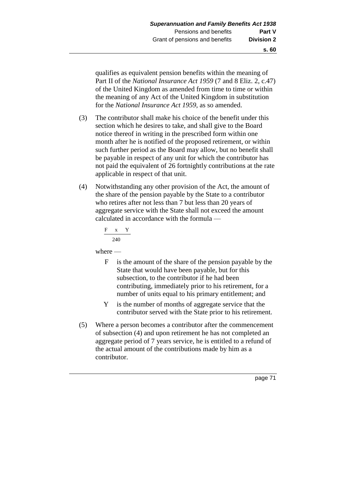qualifies as equivalent pension benefits within the meaning of Part II of the *National Insurance Act 1959* (7 and 8 Eliz. 2, c.47) of the United Kingdom as amended from time to time or within the meaning of any Act of the United Kingdom in substitution for the *National Insurance Act 1959*, as so amended.

- (3) The contributor shall make his choice of the benefit under this section which he desires to take, and shall give to the Board notice thereof in writing in the prescribed form within one month after he is notified of the proposed retirement, or within such further period as the Board may allow, but no benefit shall be payable in respect of any unit for which the contributor has not paid the equivalent of 26 fortnightly contributions at the rate applicable in respect of that unit.
- (4) Notwithstanding any other provision of the Act, the amount of the share of the pension payable by the State to a contributor who retires after not less than 7 but less than 20 years of aggregate service with the State shall not exceed the amount calculated in accordance with the formula —

$$
\frac{F\quad x\quad Y}{240}
$$

where —

- F is the amount of the share of the pension payable by the State that would have been payable, but for this subsection, to the contributor if he had been contributing, immediately prior to his retirement, for a number of units equal to his primary entitlement; and
- Y is the number of months of aggregate service that the contributor served with the State prior to his retirement.
- (5) Where a person becomes a contributor after the commencement of subsection (4) and upon retirement he has not completed an aggregate period of 7 years service, he is entitled to a refund of the actual amount of the contributions made by him as a contributor.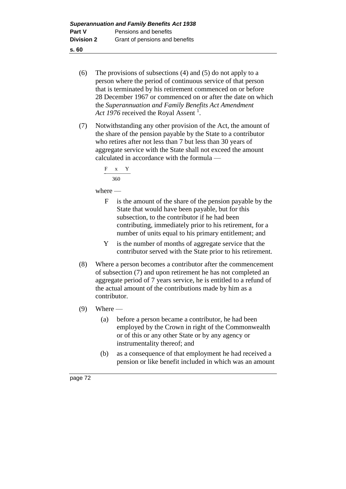- (6) The provisions of subsections (4) and (5) do not apply to a person where the period of continuous service of that person that is terminated by his retirement commenced on or before 28 December 1967 or commenced on or after the date on which the *Superannuation and Family Benefits Act Amendment*  Act  $1976$  received the Royal Assent<sup>1</sup>.
- (7) Notwithstanding any other provision of the Act, the amount of the share of the pension payable by the State to a contributor who retires after not less than 7 but less than 30 years of aggregate service with the State shall not exceed the amount calculated in accordance with the formula —

$$
\frac{F x Y}{360}
$$

where —

- F is the amount of the share of the pension payable by the State that would have been payable, but for this subsection, to the contributor if he had been contributing, immediately prior to his retirement, for a number of units equal to his primary entitlement; and
- Y is the number of months of aggregate service that the contributor served with the State prior to his retirement.
- (8) Where a person becomes a contributor after the commencement of subsection (7) and upon retirement he has not completed an aggregate period of 7 years service, he is entitled to a refund of the actual amount of the contributions made by him as a contributor.
- $(9)$  Where
	- (a) before a person became a contributor, he had been employed by the Crown in right of the Commonwealth or of this or any other State or by any agency or instrumentality thereof; and
	- (b) as a consequence of that employment he had received a pension or like benefit included in which was an amount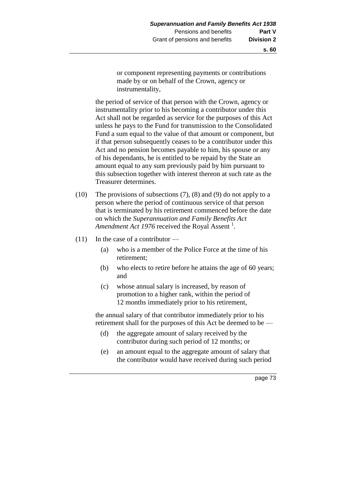or component representing payments or contributions made by or on behalf of the Crown, agency or instrumentality,

the period of service of that person with the Crown, agency or instrumentality prior to his becoming a contributor under this Act shall not be regarded as service for the purposes of this Act unless he pays to the Fund for transmission to the Consolidated Fund a sum equal to the value of that amount or component, but if that person subsequently ceases to be a contributor under this Act and no pension becomes payable to him, his spouse or any of his dependants, he is entitled to be repaid by the State an amount equal to any sum previously paid by him pursuant to this subsection together with interest thereon at such rate as the Treasurer determines.

- (10) The provisions of subsections (7), (8) and (9) do not apply to a person where the period of continuous service of that person that is terminated by his retirement commenced before the date on which the *Superannuation and Family Benefits Act*  Amendment Act 1976 received the Royal Assent<sup>1</sup>.
- $(11)$  In the case of a contributor
	- (a) who is a member of the Police Force at the time of his retirement;
	- (b) who elects to retire before he attains the age of 60 years; and
	- (c) whose annual salary is increased, by reason of promotion to a higher rank, within the period of 12 months immediately prior to his retirement,

the annual salary of that contributor immediately prior to his retirement shall for the purposes of this Act be deemed to be —

- (d) the aggregate amount of salary received by the contributor during such period of 12 months; or
- (e) an amount equal to the aggregate amount of salary that the contributor would have received during such period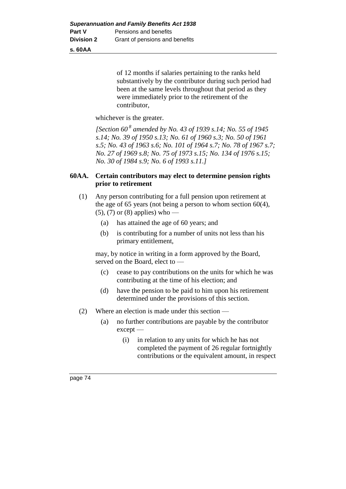**s. 60AA**

of 12 months if salaries pertaining to the ranks held substantively by the contributor during such period had been at the same levels throughout that period as they were immediately prior to the retirement of the contributor,

whichever is the greater.

*[Section 60 <sup>8</sup> amended by No. 43 of 1939 s.14; No. 55 of 1945 s.14; No. 39 of 1950 s.13; No. 61 of 1960 s.3; No. 50 of 1961 s.5; No. 43 of 1963 s.6; No. 101 of 1964 s.7; No. 78 of 1967 s.7; No. 27 of 1969 s.8; No. 75 of 1973 s.15; No. 134 of 1976 s.15; No. 30 of 1984 s.9; No. 6 of 1993 s.11.]* 

### **60AA. Certain contributors may elect to determine pension rights prior to retirement**

- (1) Any person contributing for a full pension upon retirement at the age of 65 years (not being a person to whom section 60(4),  $(5)$ ,  $(7)$  or  $(8)$  applies) who —
	- (a) has attained the age of 60 years; and
	- (b) is contributing for a number of units not less than his primary entitlement,

may, by notice in writing in a form approved by the Board, served on the Board, elect to —

- (c) cease to pay contributions on the units for which he was contributing at the time of his election; and
- (d) have the pension to be paid to him upon his retirement determined under the provisions of this section.
- (2) Where an election is made under this section
	- (a) no further contributions are payable by the contributor except —
		- (i) in relation to any units for which he has not completed the payment of 26 regular fortnightly contributions or the equivalent amount, in respect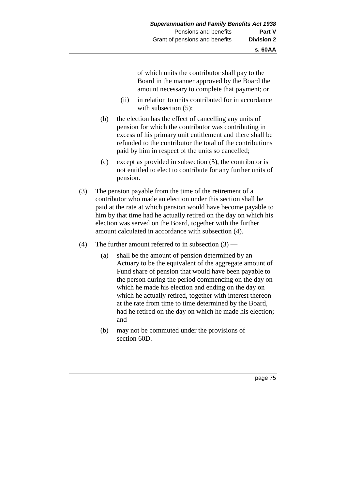of which units the contributor shall pay to the Board in the manner approved by the Board the amount necessary to complete that payment; or

- (ii) in relation to units contributed for in accordance with subsection (5):
- (b) the election has the effect of cancelling any units of pension for which the contributor was contributing in excess of his primary unit entitlement and there shall be refunded to the contributor the total of the contributions paid by him in respect of the units so cancelled;
- (c) except as provided in subsection (5), the contributor is not entitled to elect to contribute for any further units of pension.
- (3) The pension payable from the time of the retirement of a contributor who made an election under this section shall be paid at the rate at which pension would have become payable to him by that time had he actually retired on the day on which his election was served on the Board, together with the further amount calculated in accordance with subsection (4).
- (4) The further amount referred to in subsection  $(3)$ 
	- (a) shall be the amount of pension determined by an Actuary to be the equivalent of the aggregate amount of Fund share of pension that would have been payable to the person during the period commencing on the day on which he made his election and ending on the day on which he actually retired, together with interest thereon at the rate from time to time determined by the Board, had he retired on the day on which he made his election; and
	- (b) may not be commuted under the provisions of section 60D.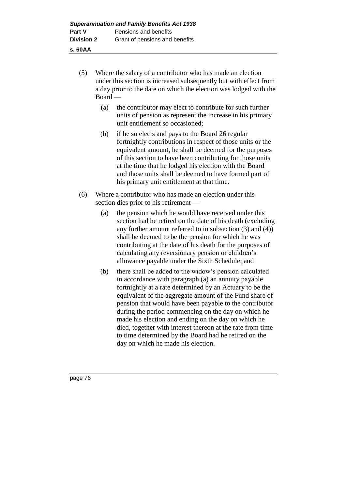**s. 60AA**

- (5) Where the salary of a contributor who has made an election under this section is increased subsequently but with effect from a day prior to the date on which the election was lodged with the Board —
	- (a) the contributor may elect to contribute for such further units of pension as represent the increase in his primary unit entitlement so occasioned;
	- (b) if he so elects and pays to the Board 26 regular fortnightly contributions in respect of those units or the equivalent amount, he shall be deemed for the purposes of this section to have been contributing for those units at the time that he lodged his election with the Board and those units shall be deemed to have formed part of his primary unit entitlement at that time.
- (6) Where a contributor who has made an election under this section dies prior to his retirement —
	- (a) the pension which he would have received under this section had he retired on the date of his death (excluding any further amount referred to in subsection (3) and (4)) shall be deemed to be the pension for which he was contributing at the date of his death for the purposes of calculating any reversionary pension or children's allowance payable under the Sixth Schedule; and
	- (b) there shall be added to the widow's pension calculated in accordance with paragraph (a) an annuity payable fortnightly at a rate determined by an Actuary to be the equivalent of the aggregate amount of the Fund share of pension that would have been payable to the contributor during the period commencing on the day on which he made his election and ending on the day on which he died, together with interest thereon at the rate from time to time determined by the Board had he retired on the day on which he made his election.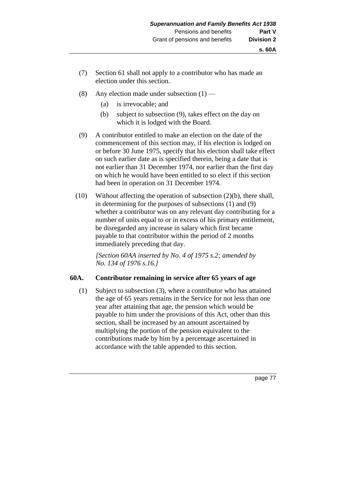- (7) Section 61 shall not apply to a contributor who has made an election under this section.
- (8) Any election made under subsection  $(1)$ 
	- (a) is irrevocable; and
	- (b) subject to subsection (9), takes effect on the day on which it is lodged with the Board.
- (9) A contributor entitled to make an election on the date of the commencement of this section may, if his election is lodged on or before 30 June 1975, specify that his election shall take effect on such earlier date as is specified therein, being a date that is not earlier than 31 December 1974, nor earlier than the first day on which he would have been entitled to so elect if this section had been in operation on 31 December 1974.
- (10) Without affecting the operation of subsection (2)(b), there shall, in determining for the purposes of subsections (1) and (9) whether a contributor was on any relevant day contributing for a number of units equal to or in excess of his primary entitlement, be disregarded any increase in salary which first became payable to that contributor within the period of 2 months immediately preceding that day.

*[Section 60AA inserted by No. 4 of 1975 s.2; amended by No. 134 of 1976 s.16.]* 

### **60A. Contributor remaining in service after 65 years of age**

(1) Subject to subsection (3), where a contributor who has attained the age of 65 years remains in the Service for not less than one year after attaining that age, the pension which would be payable to him under the provisions of this Act, other than this section, shall be increased by an amount ascertained by multiplying the portion of the pension equivalent to the contributions made by him by a percentage ascertained in accordance with the table appended to this section.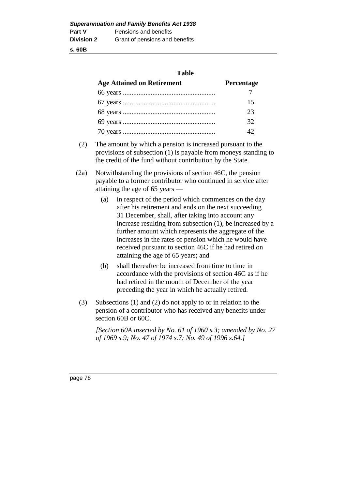**s. 60B**

# **Table**

| <b>Age Attained on Retirement</b> | Percentage |
|-----------------------------------|------------|
|                                   |            |
|                                   | 15         |
|                                   | 23         |
|                                   | 32         |
|                                   | ΛQ         |

- (2) The amount by which a pension is increased pursuant to the provisions of subsection (1) is payable from moneys standing to the credit of the fund without contribution by the State.
- (2a) Notwithstanding the provisions of section 46C, the pension payable to a former contributor who continued in service after attaining the age of 65 years —
	- (a) in respect of the period which commences on the day after his retirement and ends on the next succeeding 31 December, shall, after taking into account any increase resulting from subsection (1), be increased by a further amount which represents the aggregate of the increases in the rates of pension which he would have received pursuant to section 46C if he had retired on attaining the age of 65 years; and
	- (b) shall thereafter be increased from time to time in accordance with the provisions of section 46C as if he had retired in the month of December of the year preceding the year in which he actually retired.
- (3) Subsections (1) and (2) do not apply to or in relation to the pension of a contributor who has received any benefits under section 60B or 60C.

*[Section 60A inserted by No. 61 of 1960 s.3; amended by No. 27 of 1969 s.9; No. 47 of 1974 s.7; No. 49 of 1996 s.64.]*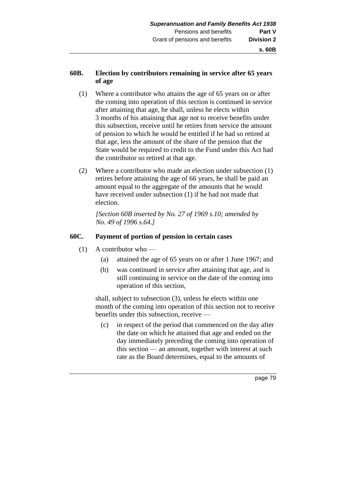# **60B. Election by contributors remaining in service after 65 years of age**

- (1) Where a contributor who attains the age of 65 years on or after the coming into operation of this section is continued in service after attaining that age, he shall, unless he elects within 3 months of his attaining that age not to receive benefits under this subsection, receive until he retires from service the amount of pension to which he would be entitled if he had so retired at that age, less the amount of the share of the pension that the State would be required to credit to the Fund under this Act had the contributor so retired at that age.
- (2) Where a contributor who made an election under subsection (1) retires before attaining the age of 66 years, he shall be paid an amount equal to the aggregate of the amounts that he would have received under subsection (1) if he had not made that election.

*[Section 60B inserted by No. 27 of 1969 s.10; amended by No. 49 of 1996 s.64.]* 

# **60C. Payment of portion of pension in certain cases**

- (1) A contributor who
	- (a) attained the age of 65 years on or after 1 June 1967; and
	- (b) was continued in service after attaining that age, and is still continuing in service on the date of the coming into operation of this section,

shall, subject to subsection (3), unless he elects within one month of the coming into operation of this section not to receive benefits under this subsection, receive —

(c) in respect of the period that commenced on the day after the date on which he attained that age and ended on the day immediately preceding the coming into operation of this section — an amount, together with interest at such rate as the Board determines, equal to the amounts of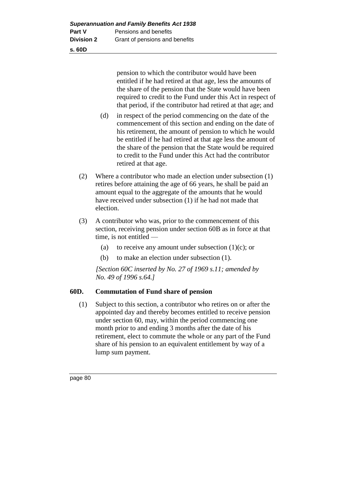**s. 60D**

pension to which the contributor would have been entitled if he had retired at that age, less the amounts of the share of the pension that the State would have been required to credit to the Fund under this Act in respect of that period, if the contributor had retired at that age; and

- (d) in respect of the period commencing on the date of the commencement of this section and ending on the date of his retirement, the amount of pension to which he would be entitled if he had retired at that age less the amount of the share of the pension that the State would be required to credit to the Fund under this Act had the contributor retired at that age.
- (2) Where a contributor who made an election under subsection (1) retires before attaining the age of 66 years, he shall be paid an amount equal to the aggregate of the amounts that he would have received under subsection (1) if he had not made that election.
- (3) A contributor who was, prior to the commencement of this section, receiving pension under section 60B as in force at that time, is not entitled —
	- (a) to receive any amount under subsection  $(1)(c)$ ; or
	- (b) to make an election under subsection (1).

*[Section 60C inserted by No. 27 of 1969 s.11; amended by No. 49 of 1996 s.64.]* 

# **60D. Commutation of Fund share of pension**

(1) Subject to this section, a contributor who retires on or after the appointed day and thereby becomes entitled to receive pension under section 60, may, within the period commencing one month prior to and ending 3 months after the date of his retirement, elect to commute the whole or any part of the Fund share of his pension to an equivalent entitlement by way of a lump sum payment.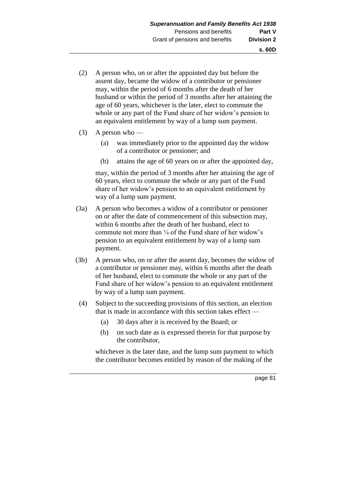- (2) A person who, on or after the appointed day but before the assent day, became the widow of a contributor or pensioner may, within the period of 6 months after the death of her husband or within the period of 3 months after her attaining the age of 60 years, whichever is the later, elect to commute the whole or any part of the Fund share of her widow's pension to an equivalent entitlement by way of a lump sum payment.
- $(3)$  A person who
	- (a) was immediately prior to the appointed day the widow of a contributor or pensioner; and
	- (b) attains the age of 60 years on or after the appointed day,

may, within the period of 3 months after her attaining the age of 60 years, elect to commute the whole or any part of the Fund share of her widow's pension to an equivalent entitlement by way of a lump sum payment.

- (3a) A person who becomes a widow of a contributor or pensioner on or after the date of commencement of this subsection may, within 6 months after the death of her husband, elect to commute not more than  $\frac{1}{4}$  of the Fund share of her widow's pension to an equivalent entitlement by way of a lump sum payment.
- (3b) A person who, on or after the assent day, becomes the widow of a contributor or pensioner may, within 6 months after the death of her husband, elect to commute the whole or any part of the Fund share of her widow's pension to an equivalent entitlement by way of a lump sum payment.
	- (4) Subject to the succeeding provisions of this section, an election that is made in accordance with this section takes effect —
		- (a) 30 days after it is received by the Board; or
		- (b) on such date as is expressed therein for that purpose by the contributor,

whichever is the later date, and the lump sum payment to which the contributor becomes entitled by reason of the making of the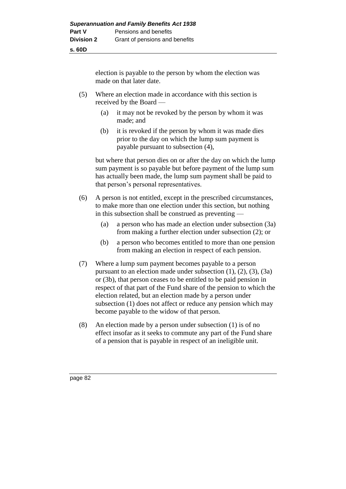**s. 60D**

election is payable to the person by whom the election was made on that later date.

- (5) Where an election made in accordance with this section is received by the Board —
	- (a) it may not be revoked by the person by whom it was made; and
	- (b) it is revoked if the person by whom it was made dies prior to the day on which the lump sum payment is payable pursuant to subsection (4),

but where that person dies on or after the day on which the lump sum payment is so payable but before payment of the lump sum has actually been made, the lump sum payment shall be paid to that person's personal representatives.

- (6) A person is not entitled, except in the prescribed circumstances, to make more than one election under this section, but nothing in this subsection shall be construed as preventing —
	- (a) a person who has made an election under subsection (3a) from making a further election under subsection (2); or
	- (b) a person who becomes entitled to more than one pension from making an election in respect of each pension.
- (7) Where a lump sum payment becomes payable to a person pursuant to an election made under subsection  $(1)$ ,  $(2)$ ,  $(3)$ ,  $(3a)$ or (3b), that person ceases to be entitled to be paid pension in respect of that part of the Fund share of the pension to which the election related, but an election made by a person under subsection (1) does not affect or reduce any pension which may become payable to the widow of that person.
- (8) An election made by a person under subsection (1) is of no effect insofar as it seeks to commute any part of the Fund share of a pension that is payable in respect of an ineligible unit.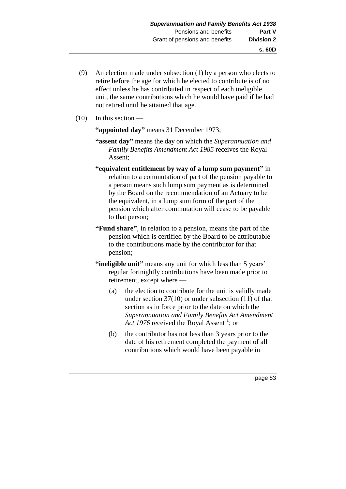(9) An election made under subsection (1) by a person who elects to retire before the age for which he elected to contribute is of no effect unless he has contributed in respect of each ineligible unit, the same contributions which he would have paid if he had not retired until he attained that age.

 $(10)$  In this section —

**"appointed day"** means 31 December 1973;

- **"assent day"** means the day on which the *Superannuation and Family Benefits Amendment Act 1985* receives the Royal Assent;
- **"equivalent entitlement by way of a lump sum payment"** in relation to a commutation of part of the pension payable to a person means such lump sum payment as is determined by the Board on the recommendation of an Actuary to be the equivalent, in a lump sum form of the part of the pension which after commutation will cease to be payable to that person;
- **"Fund share"**, in relation to a pension, means the part of the pension which is certified by the Board to be attributable to the contributions made by the contributor for that pension;
- **"ineligible unit"** means any unit for which less than 5 years' regular fortnightly contributions have been made prior to retirement, except where —
	- (a) the election to contribute for the unit is validly made under section 37(10) or under subsection (11) of that section as in force prior to the date on which the *Superannuation and Family Benefits Act Amendment*  Act 1976 received the Royal Assent<sup>1</sup>; or
	- (b) the contributor has not less than 3 years prior to the date of his retirement completed the payment of all contributions which would have been payable in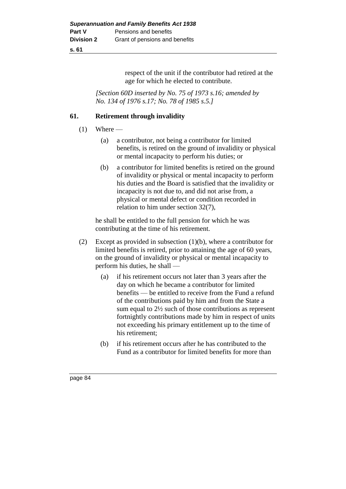respect of the unit if the contributor had retired at the age for which he elected to contribute.

*[Section 60D inserted by No. 75 of 1973 s.16; amended by No. 134 of 1976 s.17; No. 78 of 1985 s.5.]* 

### **61. Retirement through invalidity**

- $(1)$  Where
	- (a) a contributor, not being a contributor for limited benefits, is retired on the ground of invalidity or physical or mental incapacity to perform his duties; or
	- (b) a contributor for limited benefits is retired on the ground of invalidity or physical or mental incapacity to perform his duties and the Board is satisfied that the invalidity or incapacity is not due to, and did not arise from, a physical or mental defect or condition recorded in relation to him under section 32(7),

he shall be entitled to the full pension for which he was contributing at the time of his retirement.

- (2) Except as provided in subsection (1)(b), where a contributor for limited benefits is retired, prior to attaining the age of 60 years, on the ground of invalidity or physical or mental incapacity to perform his duties, he shall —
	- (a) if his retirement occurs not later than 3 years after the day on which he became a contributor for limited benefits — be entitled to receive from the Fund a refund of the contributions paid by him and from the State a sum equal to 2½ such of those contributions as represent fortnightly contributions made by him in respect of units not exceeding his primary entitlement up to the time of his retirement;
	- (b) if his retirement occurs after he has contributed to the Fund as a contributor for limited benefits for more than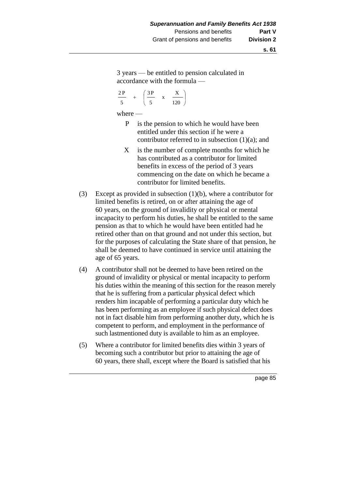3 years — be entitled to pension calculated in accordance with the formula —

$$
\frac{2P}{5} + \left(\frac{3P}{5} \times \frac{X}{120}\right)
$$

where —

- P is the pension to which he would have been entitled under this section if he were a contributor referred to in subsection (1)(a); and
- X is the number of complete months for which he has contributed as a contributor for limited benefits in excess of the period of 3 years commencing on the date on which he became a contributor for limited benefits.
- (3) Except as provided in subsection (1)(b), where a contributor for limited benefits is retired, on or after attaining the age of 60 years, on the ground of invalidity or physical or mental incapacity to perform his duties, he shall be entitled to the same pension as that to which he would have been entitled had he retired other than on that ground and not under this section, but for the purposes of calculating the State share of that pension, he shall be deemed to have continued in service until attaining the age of 65 years.
- (4) A contributor shall not be deemed to have been retired on the ground of invalidity or physical or mental incapacity to perform his duties within the meaning of this section for the reason merely that he is suffering from a particular physical defect which renders him incapable of performing a particular duty which he has been performing as an employee if such physical defect does not in fact disable him from performing another duty, which he is competent to perform, and employment in the performance of such lastmentioned duty is available to him as an employee.
- (5) Where a contributor for limited benefits dies within 3 years of becoming such a contributor but prior to attaining the age of 60 years, there shall, except where the Board is satisfied that his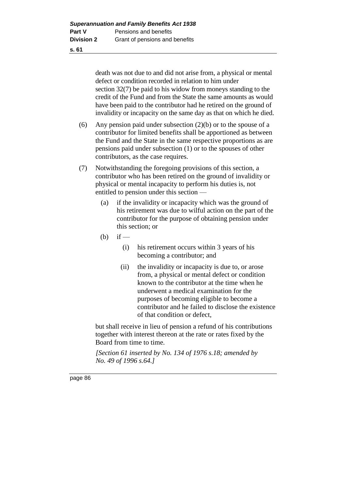death was not due to and did not arise from, a physical or mental defect or condition recorded in relation to him under section 32(7) be paid to his widow from moneys standing to the credit of the Fund and from the State the same amounts as would have been paid to the contributor had he retired on the ground of invalidity or incapacity on the same day as that on which he died.

- (6) Any pension paid under subsection (2)(b) or to the spouse of a contributor for limited benefits shall be apportioned as between the Fund and the State in the same respective proportions as are pensions paid under subsection (1) or to the spouses of other contributors, as the case requires.
- (7) Notwithstanding the foregoing provisions of this section, a contributor who has been retired on the ground of invalidity or physical or mental incapacity to perform his duties is, not entitled to pension under this section —
	- (a) if the invalidity or incapacity which was the ground of his retirement was due to wilful action on the part of the contributor for the purpose of obtaining pension under this section; or
	- $(b)$  if
		- (i) his retirement occurs within 3 years of his becoming a contributor; and
		- (ii) the invalidity or incapacity is due to, or arose from, a physical or mental defect or condition known to the contributor at the time when he underwent a medical examination for the purposes of becoming eligible to become a contributor and he failed to disclose the existence of that condition or defect,

but shall receive in lieu of pension a refund of his contributions together with interest thereon at the rate or rates fixed by the Board from time to time.

*[Section 61 inserted by No. 134 of 1976 s.18; amended by No. 49 of 1996 s.64.]*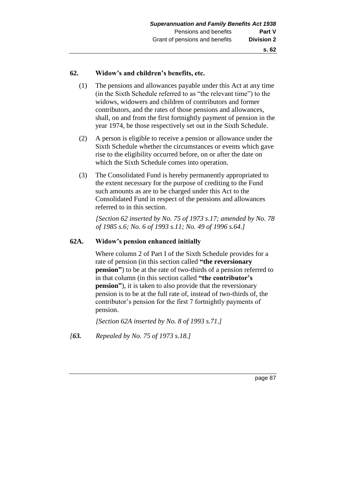### **62. Widow's and children's benefits, etc.**

- (1) The pensions and allowances payable under this Act at any time (in the Sixth Schedule referred to as "the relevant time") to the widows, widowers and children of contributors and former contributors, and the rates of those pensions and allowances, shall, on and from the first fortnightly payment of pension in the year 1974, be those respectively set out in the Sixth Schedule.
- (2) A person is eligible to receive a pension or allowance under the Sixth Schedule whether the circumstances or events which gave rise to the eligibility occurred before, on or after the date on which the Sixth Schedule comes into operation.
- (3) The Consolidated Fund is hereby permanently appropriated to the extent necessary for the purpose of crediting to the Fund such amounts as are to be charged under this Act to the Consolidated Fund in respect of the pensions and allowances referred to in this section.

*[Section 62 inserted by No. 75 of 1973 s.17; amended by No. 78 of 1985 s.6; No. 6 of 1993 s.11; No. 49 of 1996 s.64.]* 

### **62A. Widow's pension enhanced initially**

Where column 2 of Part I of the Sixth Schedule provides for a rate of pension (in this section called **"the reversionary pension"**) to be at the rate of two-thirds of a pension referred to in that column (in this section called **"the contributor's pension"**), it is taken to also provide that the reversionary pension is to be at the full rate of, instead of two-thirds of, the contributor's pension for the first 7 fortnightly payments of pension.

*[Section 62A inserted by No. 8 of 1993 s.71.]* 

*[63. Repealed by No. 75 of 1973 s.18.]*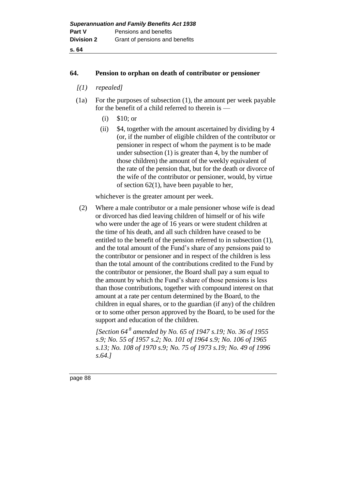### **64. Pension to orphan on death of contributor or pensioner**

- *[(1) repealed]*
- (1a) For the purposes of subsection (1), the amount per week payable for the benefit of a child referred to therein is —
	- (i) \$10; or
	- (ii) \$4, together with the amount ascertained by dividing by 4 (or, if the number of eligible children of the contributor or pensioner in respect of whom the payment is to be made under subsection (1) is greater than 4, by the number of those children) the amount of the weekly equivalent of the rate of the pension that, but for the death or divorce of the wife of the contributor or pensioner, would, by virtue of section 62(1), have been payable to her,

whichever is the greater amount per week.

(2) Where a male contributor or a male pensioner whose wife is dead or divorced has died leaving children of himself or of his wife who were under the age of 16 years or were student children at the time of his death, and all such children have ceased to be entitled to the benefit of the pension referred to in subsection (1), and the total amount of the Fund's share of any pensions paid to the contributor or pensioner and in respect of the children is less than the total amount of the contributions credited to the Fund by the contributor or pensioner, the Board shall pay a sum equal to the amount by which the Fund's share of those pensions is less than those contributions, together with compound interest on that amount at a rate per centum determined by the Board, to the children in equal shares, or to the guardian (if any) of the children or to some other person approved by the Board, to be used for the support and education of the children.

*[Section 64 <sup>8</sup> amended by No. 65 of 1947 s.19; No. 36 of 1955 s.9; No. 55 of 1957 s.2; No. 101 of 1964 s.9; No. 106 of 1965 s.13; No. 108 of 1970 s.9; No. 75 of 1973 s.19; No. 49 of 1996 s.64.]*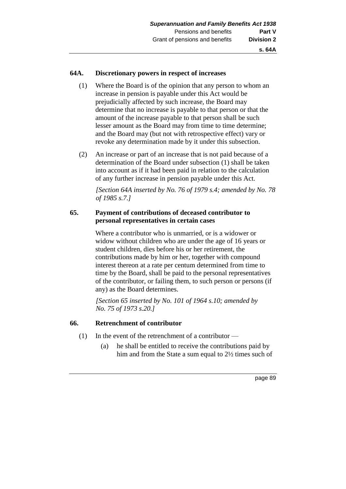### **64A. Discretionary powers in respect of increases**

- (1) Where the Board is of the opinion that any person to whom an increase in pension is payable under this Act would be prejudicially affected by such increase, the Board may determine that no increase is payable to that person or that the amount of the increase payable to that person shall be such lesser amount as the Board may from time to time determine; and the Board may (but not with retrospective effect) vary or revoke any determination made by it under this subsection.
- (2) An increase or part of an increase that is not paid because of a determination of the Board under subsection (1) shall be taken into account as if it had been paid in relation to the calculation of any further increase in pension payable under this Act.

*[Section 64A inserted by No. 76 of 1979 s.4; amended by No. 78 of 1985 s.7.]* 

# **65. Payment of contributions of deceased contributor to personal representatives in certain cases**

Where a contributor who is unmarried, or is a widower or widow without children who are under the age of 16 years or student children, dies before his or her retirement, the contributions made by him or her, together with compound interest thereon at a rate per centum determined from time to time by the Board, shall be paid to the personal representatives of the contributor, or failing them, to such person or persons (if any) as the Board determines.

*[Section 65 inserted by No. 101 of 1964 s.10; amended by No. 75 of 1973 s.20.]* 

### **66. Retrenchment of contributor**

- (1) In the event of the retrenchment of a contributor
	- (a) he shall be entitled to receive the contributions paid by him and from the State a sum equal to  $2\frac{1}{2}$  times such of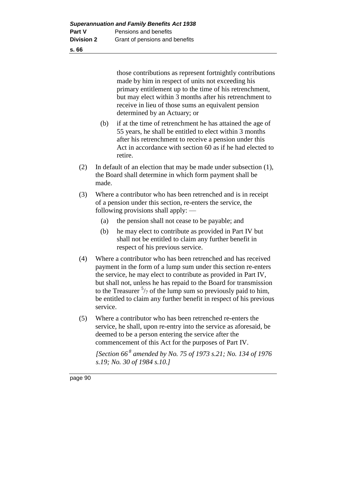those contributions as represent fortnightly contributions made by him in respect of units not exceeding his primary entitlement up to the time of his retrenchment, but may elect within 3 months after his retrenchment to receive in lieu of those sums an equivalent pension determined by an Actuary; or

- (b) if at the time of retrenchment he has attained the age of 55 years, he shall be entitled to elect within 3 months after his retrenchment to receive a pension under this Act in accordance with section 60 as if he had elected to retire.
- (2) In default of an election that may be made under subsection (1), the Board shall determine in which form payment shall be made.
- (3) Where a contributor who has been retrenched and is in receipt of a pension under this section, re-enters the service, the following provisions shall apply: —
	- (a) the pension shall not cease to be payable; and
	- (b) he may elect to contribute as provided in Part IV but shall not be entitled to claim any further benefit in respect of his previous service.
- (4) Where a contributor who has been retrenched and has received payment in the form of a lump sum under this section re-enters the service, he may elect to contribute as provided in Part IV, but shall not, unless he has repaid to the Board for transmission to the Treasurer  $\frac{5}{7}$  of the lump sum so previously paid to him, be entitled to claim any further benefit in respect of his previous service.
- (5) Where a contributor who has been retrenched re-enters the service, he shall, upon re-entry into the service as aforesaid, be deemed to be a person entering the service after the commencement of this Act for the purposes of Part IV.

*[Section 66 <sup>8</sup> amended by No. 75 of 1973 s.21; No. 134 of 1976 s.19; No. 30 of 1984 s.10.]*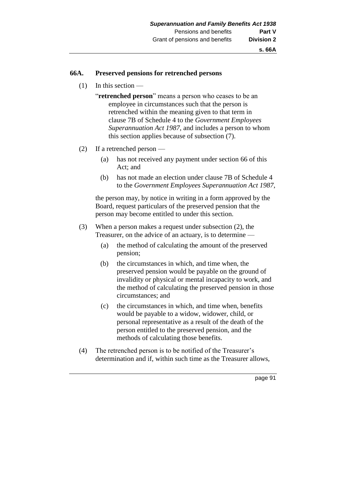### **66A. Preserved pensions for retrenched persons**

- (1) In this section
	- "**retrenched person**" means a person who ceases to be an employee in circumstances such that the person is retrenched within the meaning given to that term in clause 7B of Schedule 4 to the *Government Employees Superannuation Act 1987*, and includes a person to whom this section applies because of subsection (7).
- (2) If a retrenched person
	- (a) has not received any payment under section 66 of this Act; and
	- (b) has not made an election under clause 7B of Schedule 4 to the *Government Employees Superannuation Act 1987*,

the person may, by notice in writing in a form approved by the Board, request particulars of the preserved pension that the person may become entitled to under this section.

- (3) When a person makes a request under subsection (2), the Treasurer, on the advice of an actuary, is to determine —
	- (a) the method of calculating the amount of the preserved pension;
	- (b) the circumstances in which, and time when, the preserved pension would be payable on the ground of invalidity or physical or mental incapacity to work, and the method of calculating the preserved pension in those circumstances; and
	- (c) the circumstances in which, and time when, benefits would be payable to a widow, widower, child, or personal representative as a result of the death of the person entitled to the preserved pension, and the methods of calculating those benefits.
- (4) The retrenched person is to be notified of the Treasurer's determination and if, within such time as the Treasurer allows,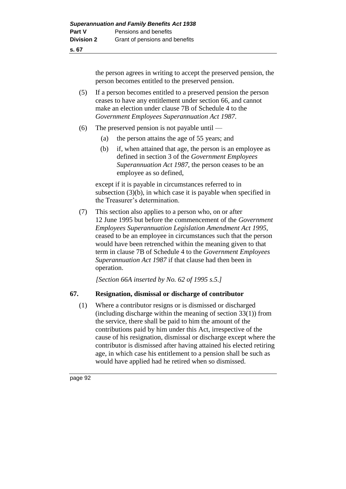the person agrees in writing to accept the preserved pension, the person becomes entitled to the preserved pension.

- (5) If a person becomes entitled to a preserved pension the person ceases to have any entitlement under section 66, and cannot make an election under clause 7B of Schedule 4 to the *Government Employees Superannuation Act 1987*.
- (6) The preserved pension is not payable until
	- (a) the person attains the age of 55 years; and
	- (b) if, when attained that age, the person is an employee as defined in section 3 of the *Government Employees Superannuation Act 1987*, the person ceases to be an employee as so defined,

except if it is payable in circumstances referred to in subsection (3)(b), in which case it is payable when specified in the Treasurer's determination.

(7) This section also applies to a person who, on or after 12 June 1995 but before the commencement of the *Government Employees Superannuation Legislation Amendment Act 1995*, ceased to be an employee in circumstances such that the person would have been retrenched within the meaning given to that term in clause 7B of Schedule 4 to the *Government Employees Superannuation Act 1987* if that clause had then been in operation.

*[Section 66A inserted by No. 62 of 1995 s.5.]* 

### **67. Resignation, dismissal or discharge of contributor**

(1) Where a contributor resigns or is dismissed or discharged (including discharge within the meaning of section 33(1)) from the service, there shall be paid to him the amount of the contributions paid by him under this Act, irrespective of the cause of his resignation, dismissal or discharge except where the contributor is dismissed after having attained his elected retiring age, in which case his entitlement to a pension shall be such as would have applied had he retired when so dismissed.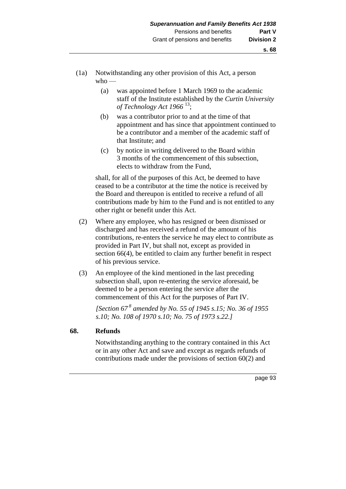- (1a) Notwithstanding any other provision of this Act, a person  $w$ ho —
	- (a) was appointed before 1 March 1969 to the academic staff of the Institute established by the *Curtin University of Technology Act 1966* <sup>13</sup> ;
	- (b) was a contributor prior to and at the time of that appointment and has since that appointment continued to be a contributor and a member of the academic staff of that Institute; and
	- (c) by notice in writing delivered to the Board within 3 months of the commencement of this subsection, elects to withdraw from the Fund,

shall, for all of the purposes of this Act, be deemed to have ceased to be a contributor at the time the notice is received by the Board and thereupon is entitled to receive a refund of all contributions made by him to the Fund and is not entitled to any other right or benefit under this Act.

- (2) Where any employee, who has resigned or been dismissed or discharged and has received a refund of the amount of his contributions, re-enters the service he may elect to contribute as provided in Part IV, but shall not, except as provided in section 66(4), be entitled to claim any further benefit in respect of his previous service.
- (3) An employee of the kind mentioned in the last preceding subsection shall, upon re-entering the service aforesaid, be deemed to be a person entering the service after the commencement of this Act for the purposes of Part IV.

*[Section 67 <sup>8</sup> amended by No. 55 of 1945 s.15; No. 36 of 1955 s.10; No. 108 of 1970 s.10; No. 75 of 1973 s.22.]* 

#### **68. Refunds**

Notwithstanding anything to the contrary contained in this Act or in any other Act and save and except as regards refunds of contributions made under the provisions of section 60(2) and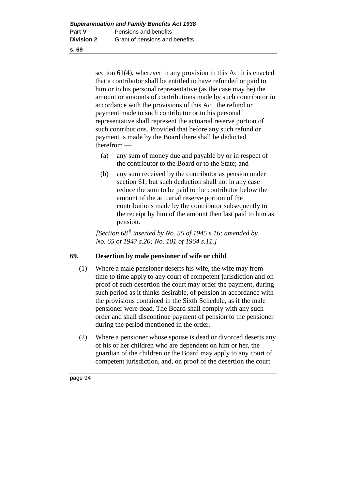section 61(4), wherever in any provision in this Act it is enacted that a contributor shall be entitled to have refunded or paid to him or to his personal representative (as the case may be) the amount or amounts of contributions made by such contributor in accordance with the provisions of this Act, the refund or payment made to such contributor or to his personal representative shall represent the actuarial reserve portion of such contributions. Provided that before any such refund or payment is made by the Board there shall be deducted therefrom —

- (a) any sum of money due and payable by or in respect of the contributor to the Board or to the State; and
- (b) any sum received by the contributor as pension under section 61; but such deduction shall not in any case reduce the sum to be paid to the contributor below the amount of the actuarial reserve portion of the contributions made by the contributor subsequently to the receipt by him of the amount then last paid to him as pension.

*[Section 68 <sup>8</sup> inserted by No. 55 of 1945 s.16; amended by No. 65 of 1947 s.20; No. 101 of 1964 s.11.]* 

# **69. Desertion by male pensioner of wife or child**

- (1) Where a male pensioner deserts his wife, the wife may from time to time apply to any court of competent jurisdiction and on proof of such desertion the court may order the payment, during such period as it thinks desirable, of pension in accordance with the provisions contained in the Sixth Schedule, as if the male pensioner were dead. The Board shall comply with any such order and shall discontinue payment of pension to the pensioner during the period mentioned in the order.
- (2) Where a pensioner whose spouse is dead or divorced deserts any of his or her children who are dependent on him or her, the guardian of the children or the Board may apply to any court of competent jurisdiction, and, on proof of the desertion the court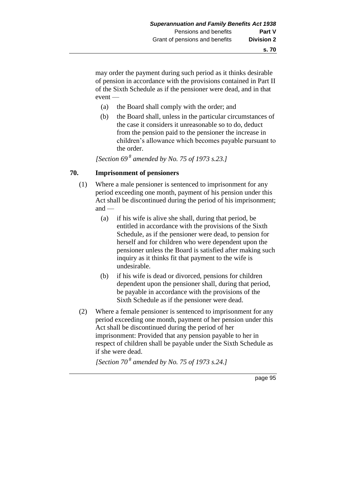may order the payment during such period as it thinks desirable of pension in accordance with the provisions contained in Part II of the Sixth Schedule as if the pensioner were dead, and in that event —

- (a) the Board shall comply with the order; and
- (b) the Board shall, unless in the particular circumstances of the case it considers it unreasonable so to do, deduct from the pension paid to the pensioner the increase in children's allowance which becomes payable pursuant to the order.

*[Section 69 <sup>8</sup> amended by No. 75 of 1973 s.23.]* 

### **70. Imprisonment of pensioners**

- (1) Where a male pensioner is sentenced to imprisonment for any period exceeding one month, payment of his pension under this Act shall be discontinued during the period of his imprisonment; and —
	- (a) if his wife is alive she shall, during that period, be entitled in accordance with the provisions of the Sixth Schedule, as if the pensioner were dead, to pension for herself and for children who were dependent upon the pensioner unless the Board is satisfied after making such inquiry as it thinks fit that payment to the wife is undesirable.
	- (b) if his wife is dead or divorced, pensions for children dependent upon the pensioner shall, during that period, be payable in accordance with the provisions of the Sixth Schedule as if the pensioner were dead.
- (2) Where a female pensioner is sentenced to imprisonment for any period exceeding one month, payment of her pension under this Act shall be discontinued during the period of her imprisonment: Provided that any pension payable to her in respect of children shall be payable under the Sixth Schedule as if she were dead.

*[Section 70 <sup>8</sup> amended by No. 75 of 1973 s.24.]*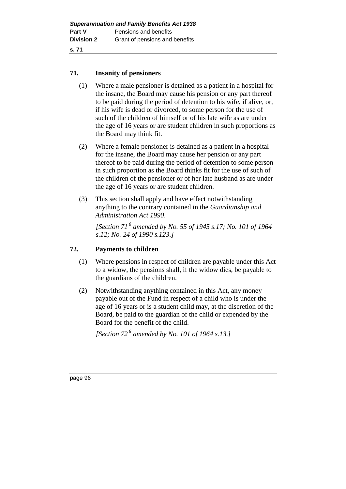### **71. Insanity of pensioners**

- (1) Where a male pensioner is detained as a patient in a hospital for the insane, the Board may cause his pension or any part thereof to be paid during the period of detention to his wife, if alive, or, if his wife is dead or divorced, to some person for the use of such of the children of himself or of his late wife as are under the age of 16 years or are student children in such proportions as the Board may think fit.
- (2) Where a female pensioner is detained as a patient in a hospital for the insane, the Board may cause her pension or any part thereof to be paid during the period of detention to some person in such proportion as the Board thinks fit for the use of such of the children of the pensioner or of her late husband as are under the age of 16 years or are student children.
- (3) This section shall apply and have effect notwithstanding anything to the contrary contained in the *Guardianship and Administration Act 1990*.

*[Section 71 <sup>8</sup> amended by No. 55 of 1945 s.17; No. 101 of 1964 s.12; No. 24 of 1990 s.123.]* 

### **72. Payments to children**

- (1) Where pensions in respect of children are payable under this Act to a widow, the pensions shall, if the widow dies, be payable to the guardians of the children.
- (2) Notwithstanding anything contained in this Act, any money payable out of the Fund in respect of a child who is under the age of 16 years or is a student child may, at the discretion of the Board, be paid to the guardian of the child or expended by the Board for the benefit of the child.

*[Section 72 <sup>8</sup> amended by No. 101 of 1964 s.13.]*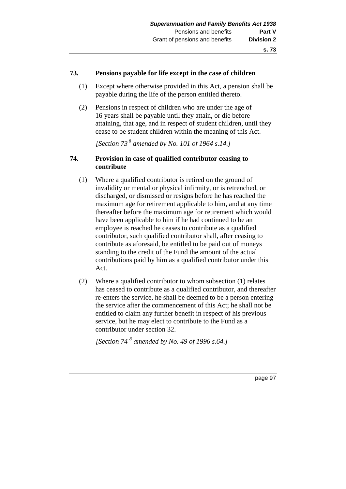### **73. Pensions payable for life except in the case of children**

- (1) Except where otherwise provided in this Act, a pension shall be payable during the life of the person entitled thereto.
- (2) Pensions in respect of children who are under the age of 16 years shall be payable until they attain, or die before attaining, that age, and in respect of student children, until they cease to be student children within the meaning of this Act.

*[Section 73 <sup>8</sup> amended by No. 101 of 1964 s.14.]* 

### **74. Provision in case of qualified contributor ceasing to contribute**

- (1) Where a qualified contributor is retired on the ground of invalidity or mental or physical infirmity, or is retrenched, or discharged, or dismissed or resigns before he has reached the maximum age for retirement applicable to him, and at any time thereafter before the maximum age for retirement which would have been applicable to him if he had continued to be an employee is reached he ceases to contribute as a qualified contributor, such qualified contributor shall, after ceasing to contribute as aforesaid, be entitled to be paid out of moneys standing to the credit of the Fund the amount of the actual contributions paid by him as a qualified contributor under this Act.
- (2) Where a qualified contributor to whom subsection (1) relates has ceased to contribute as a qualified contributor, and thereafter re-enters the service, he shall be deemed to be a person entering the service after the commencement of this Act; he shall not be entitled to claim any further benefit in respect of his previous service, but he may elect to contribute to the Fund as a contributor under section 32.

*[Section 74 <sup>8</sup> amended by No. 49 of 1996 s.64.]*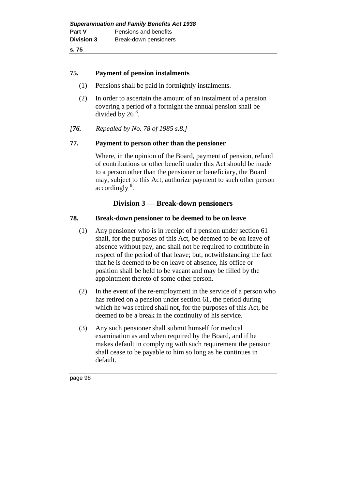#### **75. Payment of pension instalments**

- (1) Pensions shall be paid in fortnightly instalments.
- (2) In order to ascertain the amount of an instalment of a pension covering a period of a fortnight the annual pension shall be divided by  $26<sup>8</sup>$ .
- *[76. Repealed by No. 78 of 1985 s.8.]*

#### **77. Payment to person other than the pensioner**

Where, in the opinion of the Board, payment of pension, refund of contributions or other benefit under this Act should be made to a person other than the pensioner or beneficiary, the Board may, subject to this Act, authorize payment to such other person accordingly<sup>8</sup>.

# **Division 3 — Break-down pensioners**

#### **78. Break-down pensioner to be deemed to be on leave**

- (1) Any pensioner who is in receipt of a pension under section 61 shall, for the purposes of this Act, be deemed to be on leave of absence without pay, and shall not be required to contribute in respect of the period of that leave; but, notwithstanding the fact that he is deemed to be on leave of absence, his office or position shall be held to be vacant and may be filled by the appointment thereto of some other person.
- (2) In the event of the re-employment in the service of a person who has retired on a pension under section 61, the period during which he was retired shall not, for the purposes of this Act, be deemed to be a break in the continuity of his service.
- (3) Any such pensioner shall submit himself for medical examination as and when required by the Board, and if he makes default in complying with such requirement the pension shall cease to be payable to him so long as he continues in default.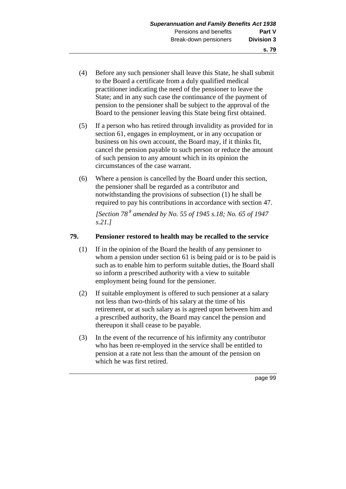- (4) Before any such pensioner shall leave this State, he shall submit to the Board a certificate from a duly qualified medical practitioner indicating the need of the pensioner to leave the State; and in any such case the continuance of the payment of pension to the pensioner shall be subject to the approval of the Board to the pensioner leaving this State being first obtained.
- (5) If a person who has retired through invalidity as provided for in section 61, engages in employment, or in any occupation or business on his own account, the Board may, if it thinks fit, cancel the pension payable to such person or reduce the amount of such pension to any amount which in its opinion the circumstances of the case warrant.
- (6) Where a pension is cancelled by the Board under this section, the pensioner shall be regarded as a contributor and notwithstanding the provisions of subsection (1) he shall be required to pay his contributions in accordance with section 47.

*[Section 78 <sup>8</sup> amended by No. 55 of 1945 s.18; No. 65 of 1947 s.21.]* 

#### **79. Pensioner restored to health may be recalled to the service**

- (1) If in the opinion of the Board the health of any pensioner to whom a pension under section 61 is being paid or is to be paid is such as to enable him to perform suitable duties, the Board shall so inform a prescribed authority with a view to suitable employment being found for the pensioner.
- (2) If suitable employment is offered to such pensioner at a salary not less than two-thirds of his salary at the time of his retirement, or at such salary as is agreed upon between him and a prescribed authority, the Board may cancel the pension and thereupon it shall cease to be payable.
- (3) In the event of the recurrence of his infirmity any contributor who has been re-employed in the service shall be entitled to pension at a rate not less than the amount of the pension on which he was first retired.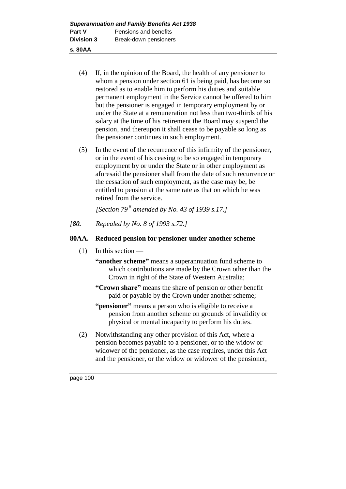- (4) If, in the opinion of the Board, the health of any pensioner to whom a pension under section 61 is being paid, has become so restored as to enable him to perform his duties and suitable permanent employment in the Service cannot be offered to him but the pensioner is engaged in temporary employment by or under the State at a remuneration not less than two-thirds of his salary at the time of his retirement the Board may suspend the pension, and thereupon it shall cease to be payable so long as the pensioner continues in such employment.
- (5) In the event of the recurrence of this infirmity of the pensioner, or in the event of his ceasing to be so engaged in temporary employment by or under the State or in other employment as aforesaid the pensioner shall from the date of such recurrence or the cessation of such employment, as the case may be, be entitled to pension at the same rate as that on which he was retired from the service.

*[Section 79 <sup>8</sup> amended by No. 43 of 1939 s.17.]* 

*[80. Repealed by No. 8 of 1993 s.72.]* 

# **80AA. Reduced pension for pensioner under another scheme**

- (1) In this section
	- **"another scheme"** means a superannuation fund scheme to which contributions are made by the Crown other than the Crown in right of the State of Western Australia;
	- **"Crown share"** means the share of pension or other benefit paid or payable by the Crown under another scheme;
	- **"pensioner"** means a person who is eligible to receive a pension from another scheme on grounds of invalidity or physical or mental incapacity to perform his duties.
- (2) Notwithstanding any other provision of this Act, where a pension becomes payable to a pensioner, or to the widow or widower of the pensioner, as the case requires, under this Act and the pensioner, or the widow or widower of the pensioner,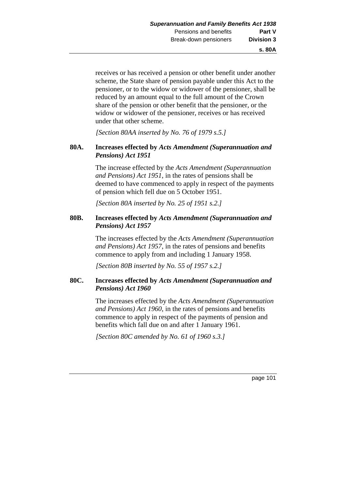receives or has received a pension or other benefit under another scheme, the State share of pension payable under this Act to the pensioner, or to the widow or widower of the pensioner, shall be reduced by an amount equal to the full amount of the Crown share of the pension or other benefit that the pensioner, or the widow or widower of the pensioner, receives or has received under that other scheme.

*[Section 80AA inserted by No. 76 of 1979 s.5.]* 

#### **80A. Increases effected by** *Acts Amendment (Superannuation and Pensions) Act 1951*

The increase effected by the *Acts Amendment (Superannuation and Pensions) Act 1951*, in the rates of pensions shall be deemed to have commenced to apply in respect of the payments of pension which fell due on 5 October 1951.

*[Section 80A inserted by No. 25 of 1951 s.2.]* 

#### **80B. Increases effected by** *Acts Amendment (Superannuation and Pensions) Act 1957*

The increases effected by the *Acts Amendment (Superannuation and Pensions) Act 1957*, in the rates of pensions and benefits commence to apply from and including 1 January 1958.

*[Section 80B inserted by No. 55 of 1957 s.2.]* 

#### **80C. Increases effected by** *Acts Amendment (Superannuation and Pensions) Act 1960*

The increases effected by the *Acts Amendment (Superannuation and Pensions) Act 1960*, in the rates of pensions and benefits commence to apply in respect of the payments of pension and benefits which fall due on and after 1 January 1961.

*[Section 80C amended by No. 61 of 1960 s.3.]*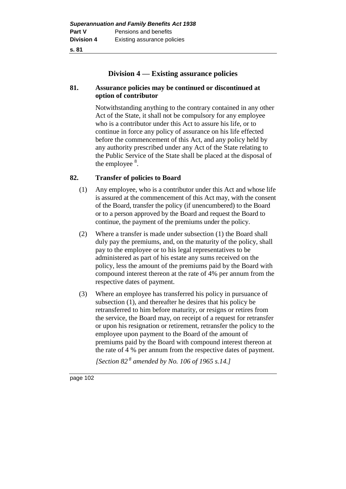| <b>Superannuation and Family Benefits Act 1938</b> |                             |  |
|----------------------------------------------------|-----------------------------|--|
| Part V                                             | Pensions and benefits       |  |
| <b>Division 4</b>                                  | Existing assurance policies |  |

### **Division 4 — Existing assurance policies**

#### **81. Assurance policies may be continued or discontinued at option of contributor**

Notwithstanding anything to the contrary contained in any other Act of the State, it shall not be compulsory for any employee who is a contributor under this Act to assure his life, or to continue in force any policy of assurance on his life effected before the commencement of this Act, and any policy held by any authority prescribed under any Act of the State relating to the Public Service of the State shall be placed at the disposal of the employee  $8$ .

#### **82. Transfer of policies to Board**

- (1) Any employee, who is a contributor under this Act and whose life is assured at the commencement of this Act may, with the consent of the Board, transfer the policy (if unencumbered) to the Board or to a person approved by the Board and request the Board to continue, the payment of the premiums under the policy.
- (2) Where a transfer is made under subsection (1) the Board shall duly pay the premiums, and, on the maturity of the policy, shall pay to the employee or to his legal representatives to be administered as part of his estate any sums received on the policy, less the amount of the premiums paid by the Board with compound interest thereon at the rate of 4% per annum from the respective dates of payment.
- (3) Where an employee has transferred his policy in pursuance of subsection (1), and thereafter he desires that his policy be retransferred to him before maturity, or resigns or retires from the service, the Board may, on receipt of a request for retransfer or upon his resignation or retirement, retransfer the policy to the employee upon payment to the Board of the amount of premiums paid by the Board with compound interest thereon at the rate of 4 % per annum from the respective dates of payment.

*[Section 82 <sup>8</sup> amended by No. 106 of 1965 s.14.]*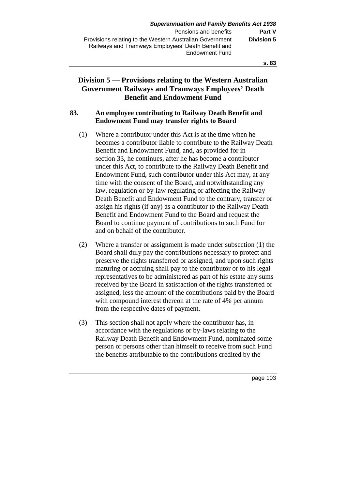#### **s. 83**

## **Division 5 — Provisions relating to the Western Australian Government Railways and Tramways Employees' Death Benefit and Endowment Fund**

## **83. An employee contributing to Railway Death Benefit and Endowment Fund may transfer rights to Board**

- (1) Where a contributor under this Act is at the time when he becomes a contributor liable to contribute to the Railway Death Benefit and Endowment Fund, and, as provided for in section 33, he continues, after he has become a contributor under this Act, to contribute to the Railway Death Benefit and Endowment Fund, such contributor under this Act may, at any time with the consent of the Board, and notwithstanding any law, regulation or by-law regulating or affecting the Railway Death Benefit and Endowment Fund to the contrary, transfer or assign his rights (if any) as a contributor to the Railway Death Benefit and Endowment Fund to the Board and request the Board to continue payment of contributions to such Fund for and on behalf of the contributor.
- (2) Where a transfer or assignment is made under subsection (1) the Board shall duly pay the contributions necessary to protect and preserve the rights transferred or assigned, and upon such rights maturing or accruing shall pay to the contributor or to his legal representatives to be administered as part of his estate any sums received by the Board in satisfaction of the rights transferred or assigned, less the amount of the contributions paid by the Board with compound interest thereon at the rate of 4% per annum from the respective dates of payment.
- (3) This section shall not apply where the contributor has, in accordance with the regulations or by-laws relating to the Railway Death Benefit and Endowment Fund, nominated some person or persons other than himself to receive from such Fund the benefits attributable to the contributions credited by the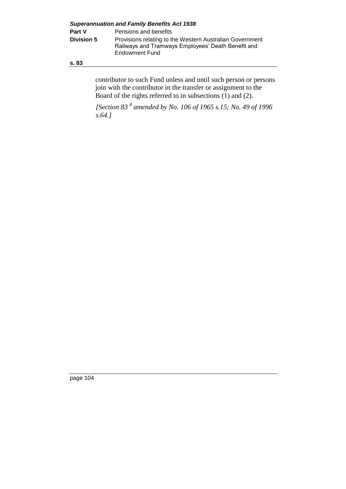| <b>Superannuation and Family Benefits Act 1938</b> |                                                                                                                                         |  |  |
|----------------------------------------------------|-----------------------------------------------------------------------------------------------------------------------------------------|--|--|
| Part V                                             | Pensions and benefits                                                                                                                   |  |  |
| <b>Division 5</b>                                  | Provisions relating to the Western Australian Government<br>Railways and Tramways Employees' Death Benefit and<br><b>Endowment Fund</b> |  |  |

#### **s. 83**

contributor to such Fund unless and until such person or persons join with the contributor in the transfer or assignment to the Board of the rights referred to in subsections  $(1)$  and  $(2)$ .

*[Section 83 <sup>8</sup> amended by No. 106 of 1965 s.15; No. 49 of 1996 s.64.]*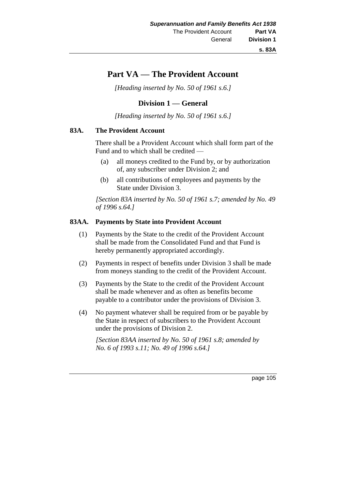## **Part VA — The Provident Account**

*[Heading inserted by No. 50 of 1961 s.6.]* 

## **Division 1 — General**

*[Heading inserted by No. 50 of 1961 s.6.]*

#### **83A. The Provident Account**

There shall be a Provident Account which shall form part of the Fund and to which shall be credited —

- (a) all moneys credited to the Fund by, or by authorization of, any subscriber under Division 2; and
- (b) all contributions of employees and payments by the State under Division 3.

*[Section 83A inserted by No. 50 of 1961 s.7; amended by No. 49 of 1996 s.64.]* 

#### **83AA. Payments by State into Provident Account**

- (1) Payments by the State to the credit of the Provident Account shall be made from the Consolidated Fund and that Fund is hereby permanently appropriated accordingly.
- (2) Payments in respect of benefits under Division 3 shall be made from moneys standing to the credit of the Provident Account.
- (3) Payments by the State to the credit of the Provident Account shall be made whenever and as often as benefits become payable to a contributor under the provisions of Division 3.
- (4) No payment whatever shall be required from or be payable by the State in respect of subscribers to the Provident Account under the provisions of Division 2.

*[Section 83AA inserted by No. 50 of 1961 s.8; amended by No. 6 of 1993 s.11; No. 49 of 1996 s.64.]*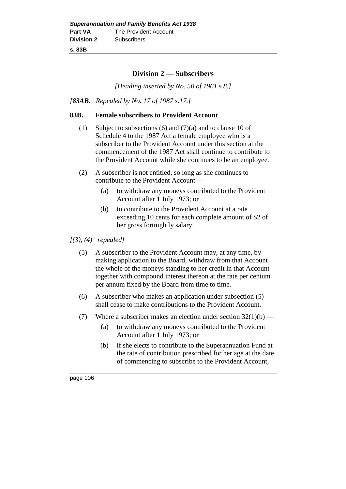**s. 83B**

#### **Division 2 — Subscribers**

*[Heading inserted by No. 50 of 1961 s.8.]*

*[83AB. Repealed by No. 17 of 1987 s.17.]* 

#### **83B. Female subscribers to Provident Account**

- (1) Subject to subsections (6) and (7)(a) and to clause 10 of Schedule 4 to the 1987 Act a female employee who is a subscriber to the Provident Account under this section at the commencement of the 1987 Act shall continue to contribute to the Provident Account while she continues to be an employee.
- (2) A subscriber is not entitled, so long as she continues to contribute to the Provident Account —
	- (a) to withdraw any moneys contributed to the Provident Account after 1 July 1973; or
	- (b) to contribute to the Provident Account at a rate exceeding 10 cents for each complete amount of \$2 of her gross fortnightly salary.

#### *[(3), (4) repealed]*

- (5) A subscriber to the Provident Account may, at any time, by making application to the Board, withdraw from that Account the whole of the moneys standing to her credit in that Account together with compound interest thereon at the rate per centum per annum fixed by the Board from time to time.
- (6) A subscriber who makes an application under subsection (5) shall cease to make contributions to the Provident Account.
- (7) Where a subscriber makes an election under section  $32(1)(b)$ 
	- (a) to withdraw any moneys contributed to the Provident Account after 1 July 1973; or
	- (b) if she elects to contribute to the Superannuation Fund at the rate of contribution prescribed for her age at the date of commencing to subscribe to the Provident Account,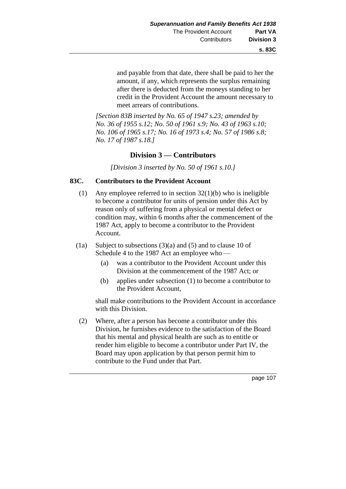and payable from that date, there shall be paid to her the amount, if any, which represents the surplus remaining after there is deducted from the moneys standing to her credit in the Provident Account the amount necessary to meet arrears of contributions.

*[Section 83B inserted by No. 65 of 1947 s.23; amended by No. 36 of 1955 s.12; No. 50 of 1961 s.9; No. 43 of 1963 s.10; No. 106 of 1965 s.17; No. 16 of 1973 s.4; No. 57 of 1986 s.8; No. 17 of 1987 s.18.]* 

#### **Division 3 — Contributors**

*[Division 3 inserted by No. 50 of 1961 s.10.]*

#### **83C. Contributors to the Provident Account**

- (1) Any employee referred to in section  $32(1)(b)$  who is ineligible to become a contributor for units of pension under this Act by reason only of suffering from a physical or mental defect or condition may, within 6 months after the commencement of the 1987 Act, apply to become a contributor to the Provident Account.
- (1a) Subject to subsections  $(3)(a)$  and  $(5)$  and to clause 10 of Schedule 4 to the 1987 Act an employee who —
	- (a) was a contributor to the Provident Account under this Division at the commencement of the 1987 Act; or
	- (b) applies under subsection (1) to become a contributor to the Provident Account,

shall make contributions to the Provident Account in accordance with this Division.

(2) Where, after a person has become a contributor under this Division, he furnishes evidence to the satisfaction of the Board that his mental and physical health are such as to entitle or render him eligible to become a contributor under Part IV, the Board may upon application by that person permit him to contribute to the Fund under that Part.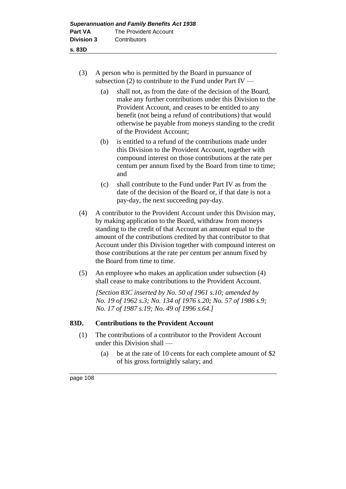- **s. 83D**
	- (3) A person who is permitted by the Board in pursuance of subsection (2) to contribute to the Fund under Part IV —
		- (a) shall not, as from the date of the decision of the Board, make any further contributions under this Division to the Provident Account, and ceases to be entitled to any benefit (not being a refund of contributions) that would otherwise be payable from moneys standing to the credit of the Provident Account;
		- (b) is entitled to a refund of the contributions made under this Division to the Provident Account, together with compound interest on those contributions at the rate per centum per annum fixed by the Board from time to time; and
		- (c) shall contribute to the Fund under Part IV as from the date of the decision of the Board or, if that date is not a pay-day, the next succeeding pay-day.
	- (4) A contributor to the Provident Account under this Division may, by making application to the Board, withdraw from moneys standing to the credit of that Account an amount equal to the amount of the contributions credited by that contributor to that Account under this Division together with compound interest on those contributions at the rate per centum per annum fixed by the Board from time to time.
	- (5) An employee who makes an application under subsection (4) shall cease to make contributions to the Provident Account.

*[Section 83C inserted by No. 50 of 1961 s.10; amended by No. 19 of 1962 s.3; No. 134 of 1976 s.20; No. 57 of 1986 s.9; No. 17 of 1987 s.19; No. 49 of 1996 s.64.]* 

#### **83D. Contributions to the Provident Account**

- (1) The contributions of a contributor to the Provident Account under this Division shall —
	- (a) be at the rate of 10 cents for each complete amount of \$2 of his gross fortnightly salary; and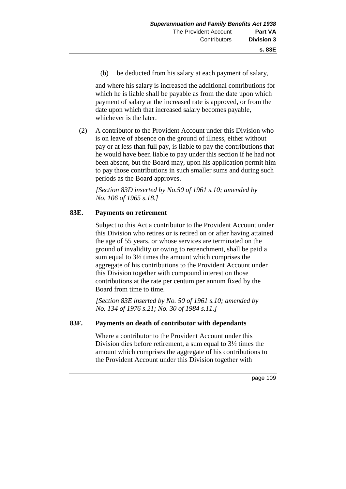(b) be deducted from his salary at each payment of salary,

and where his salary is increased the additional contributions for which he is liable shall be payable as from the date upon which payment of salary at the increased rate is approved, or from the date upon which that increased salary becomes payable, whichever is the later.

(2) A contributor to the Provident Account under this Division who is on leave of absence on the ground of illness, either without pay or at less than full pay, is liable to pay the contributions that he would have been liable to pay under this section if he had not been absent, but the Board may, upon his application permit him to pay those contributions in such smaller sums and during such periods as the Board approves.

*[Section 83D inserted by No.50 of 1961 s.10; amended by No. 106 of 1965 s.18.]* 

### **83E. Payments on retirement**

Subject to this Act a contributor to the Provident Account under this Division who retires or is retired on or after having attained the age of 55 years, or whose services are terminated on the ground of invalidity or owing to retrenchment, shall be paid a sum equal to 3½ times the amount which comprises the aggregate of his contributions to the Provident Account under this Division together with compound interest on those contributions at the rate per centum per annum fixed by the Board from time to time.

*[Section 83E inserted by No. 50 of 1961 s.10; amended by No. 134 of 1976 s.21; No. 30 of 1984 s.11.]* 

### **83F. Payments on death of contributor with dependants**

Where a contributor to the Provident Account under this Division dies before retirement, a sum equal to 3½ times the amount which comprises the aggregate of his contributions to the Provident Account under this Division together with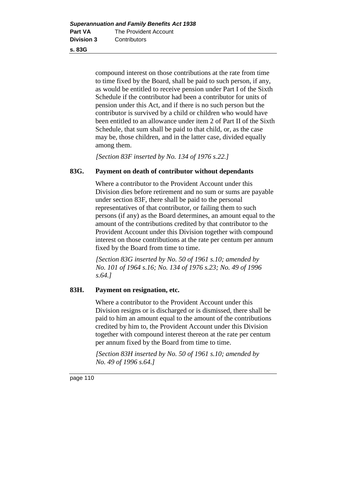**s. 83G**

compound interest on those contributions at the rate from time to time fixed by the Board, shall be paid to such person, if any, as would be entitled to receive pension under Part I of the Sixth Schedule if the contributor had been a contributor for units of pension under this Act, and if there is no such person but the contributor is survived by a child or children who would have been entitled to an allowance under item 2 of Part II of the Sixth Schedule, that sum shall be paid to that child, or, as the case may be, those children, and in the latter case, divided equally among them.

*[Section 83F inserted by No. 134 of 1976 s.22.]* 

#### **83G. Payment on death of contributor without dependants**

Where a contributor to the Provident Account under this Division dies before retirement and no sum or sums are payable under section 83F, there shall be paid to the personal representatives of that contributor, or failing them to such persons (if any) as the Board determines, an amount equal to the amount of the contributions credited by that contributor to the Provident Account under this Division together with compound interest on those contributions at the rate per centum per annum fixed by the Board from time to time.

*[Section 83G inserted by No. 50 of 1961 s.10; amended by No. 101 of 1964 s.16; No. 134 of 1976 s.23; No. 49 of 1996 s.64.]* 

#### **83H. Payment on resignation, etc.**

Where a contributor to the Provident Account under this Division resigns or is discharged or is dismissed, there shall be paid to him an amount equal to the amount of the contributions credited by him to, the Provident Account under this Division together with compound interest thereon at the rate per centum per annum fixed by the Board from time to time.

*[Section 83H inserted by No. 50 of 1961 s.10; amended by No. 49 of 1996 s.64.]*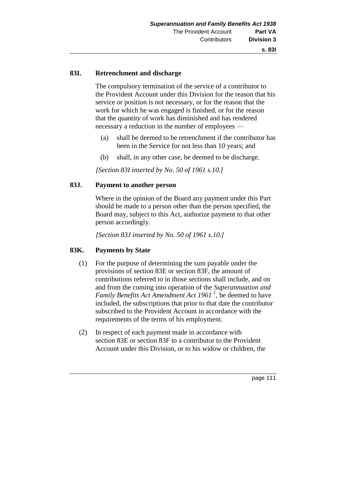#### **83I. Retrenchment and discharge**

The compulsory termination of the service of a contributor to the Provident Account under this Division for the reason that his service or position is not necessary, or for the reason that the work for which he was engaged is finished, or for the reason that the quantity of work has diminished and has rendered necessary a reduction in the number of employees —

- (a) shall be deemed to be retrenchment if the contributor has been in the Service for not less than 10 years; and
- (b) shall, in any other case, be deemed to be discharge.

*[Section 83I inserted by No. 50 of 1961 s.10.]* 

#### **83J. Payment to another person**

Where in the opinion of the Board any payment under this Part should be made to a person other than the person specified, the Board may, subject to this Act, authorize payment to that other person accordingly.

*[Section 83J inserted by No. 50 of 1961 s.10.]* 

#### **83K. Payments by State**

- (1) For the purpose of determining the sum payable under the provisions of section 83E or section 83F, the amount of contributions referred to in those sections shall include, and on and from the coming into operation of the *Superannuation and Family Benefits Act Amendment Act 1961 <sup>1</sup>* , be deemed to have included, the subscriptions that prior to that date the contributor subscribed to the Provident Account in accordance with the requirements of the terms of his employment.
- (2) In respect of each payment made in accordance with section 83E or section 83F to a contributor to the Provident Account under this Division, or to his widow or children, the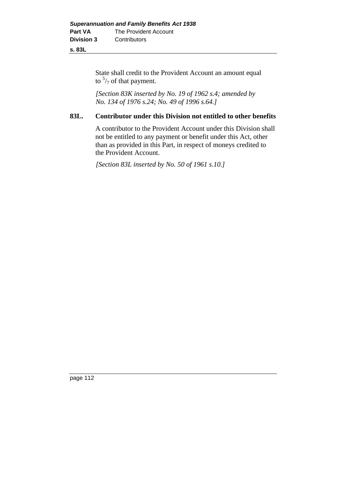#### **s. 83L**

State shall credit to the Provident Account an amount equal to  $\frac{5}{7}$  of that payment.

*[Section 83K inserted by No. 19 of 1962 s.4; amended by No. 134 of 1976 s.24; No. 49 of 1996 s.64.]* 

#### **83L. Contributor under this Division not entitled to other benefits**

A contributor to the Provident Account under this Division shall not be entitled to any payment or benefit under this Act, other than as provided in this Part, in respect of moneys credited to the Provident Account.

*[Section 83L inserted by No. 50 of 1961 s.10.]*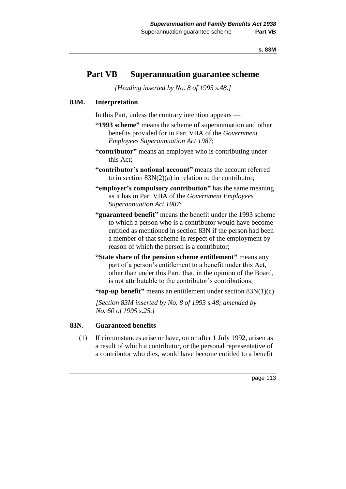## **Part VB — Superannuation guarantee scheme**

*[Heading inserted by No. 8 of 1993 s.48.]* 

#### **83M. Interpretation**

In this Part, unless the contrary intention appears —

- **"1993 scheme"** means the scheme of superannuation and other benefits provided for in Part VIIA of the *Government Employees Superannuation Act 1987*;
- **"contributor"** means an employee who is contributing under this Act;
- **"contributor's notional account"** means the account referred to in section 83N(2)(a) in relation to the contributor;
- **"employer's compulsory contribution"** has the same meaning as it has in Part VIIA of the *Government Employees Superannuation Act 1987*;
- **"guaranteed benefit"** means the benefit under the 1993 scheme to which a person who is a contributor would have become entitled as mentioned in section 83N if the person had been a member of that scheme in respect of the employment by reason of which the person is a contributor;
- **"State share of the pension scheme entitlement"** means any part of a person's entitlement to a benefit under this Act, other than under this Part, that, in the opinion of the Board, is not attributable to the contributor's contributions;

**"top-up benefit"** means an entitlement under section 83N(1)(c).

*[Section 83M inserted by No. 8 of 1993 s.48; amended by No. 60 of 1995 s.25.]* 

#### **83N. Guaranteed benefits**

(1) If circumstances arise or have, on or after 1 July 1992, arisen as a result of which a contributor, or the personal representative of a contributor who dies, would have become entitled to a benefit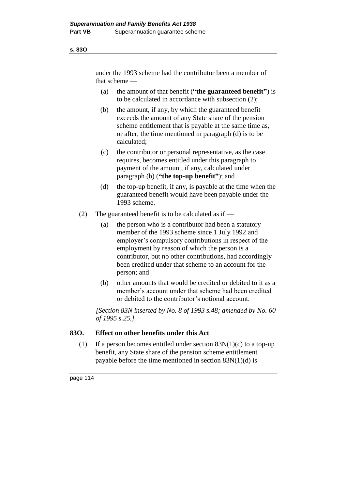#### **s. 83O**

under the 1993 scheme had the contributor been a member of that scheme —

- (a) the amount of that benefit (**"the guaranteed benefit"**) is to be calculated in accordance with subsection (2);
- (b) the amount, if any, by which the guaranteed benefit exceeds the amount of any State share of the pension scheme entitlement that is payable at the same time as, or after, the time mentioned in paragraph (d) is to be calculated;
- (c) the contributor or personal representative, as the case requires, becomes entitled under this paragraph to payment of the amount, if any, calculated under paragraph (b) (**"the top-up benefit"**); and
- (d) the top-up benefit, if any, is payable at the time when the guaranteed benefit would have been payable under the 1993 scheme.
- (2) The guaranteed benefit is to be calculated as if
	- (a) the person who is a contributor had been a statutory member of the 1993 scheme since 1 July 1992 and employer's compulsory contributions in respect of the employment by reason of which the person is a contributor, but no other contributions, had accordingly been credited under that scheme to an account for the person; and
	- (b) other amounts that would be credited or debited to it as a member's account under that scheme had been credited or debited to the contributor's notional account.

*[Section 83N inserted by No. 8 of 1993 s.48; amended by No. 60 of 1995 s.25.]* 

#### **83O. Effect on other benefits under this Act**

(1) If a person becomes entitled under section  $83N(1)(c)$  to a top-up benefit, any State share of the pension scheme entitlement payable before the time mentioned in section  $83N(1)(d)$  is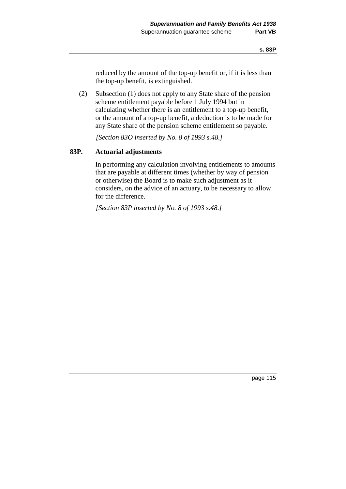reduced by the amount of the top-up benefit or, if it is less than the top-up benefit, is extinguished.

(2) Subsection (1) does not apply to any State share of the pension scheme entitlement payable before 1 July 1994 but in calculating whether there is an entitlement to a top-up benefit, or the amount of a top-up benefit, a deduction is to be made for any State share of the pension scheme entitlement so payable.

*[Section 83O inserted by No. 8 of 1993 s.48.]* 

#### **83P. Actuarial adjustments**

In performing any calculation involving entitlements to amounts that are payable at different times (whether by way of pension or otherwise) the Board is to make such adjustment as it considers, on the advice of an actuary, to be necessary to allow for the difference.

*[Section 83P inserted by No. 8 of 1993 s.48.]*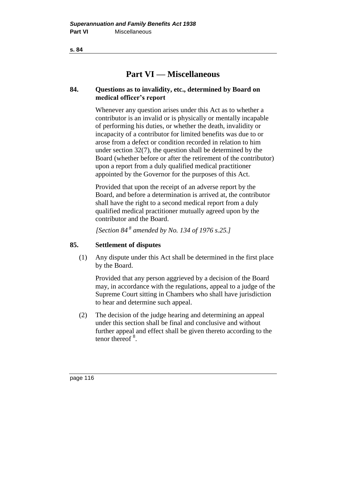**s. 84**

# **Part VI — Miscellaneous**

#### **84. Questions as to invalidity, etc., determined by Board on medical officer's report**

Whenever any question arises under this Act as to whether a contributor is an invalid or is physically or mentally incapable of performing his duties, or whether the death, invalidity or incapacity of a contributor for limited benefits was due to or arose from a defect or condition recorded in relation to him under section 32(7), the question shall be determined by the Board (whether before or after the retirement of the contributor) upon a report from a duly qualified medical practitioner appointed by the Governor for the purposes of this Act.

Provided that upon the receipt of an adverse report by the Board, and before a determination is arrived at, the contributor shall have the right to a second medical report from a duly qualified medical practitioner mutually agreed upon by the contributor and the Board.

*[Section 84 <sup>8</sup> amended by No. 134 of 1976 s.25.]* 

#### **85. Settlement of disputes**

(1) Any dispute under this Act shall be determined in the first place by the Board.

Provided that any person aggrieved by a decision of the Board may, in accordance with the regulations, appeal to a judge of the Supreme Court sitting in Chambers who shall have jurisdiction to hear and determine such appeal.

(2) The decision of the judge hearing and determining an appeal under this section shall be final and conclusive and without further appeal and effect shall be given thereto according to the tenor thereof  $8$ .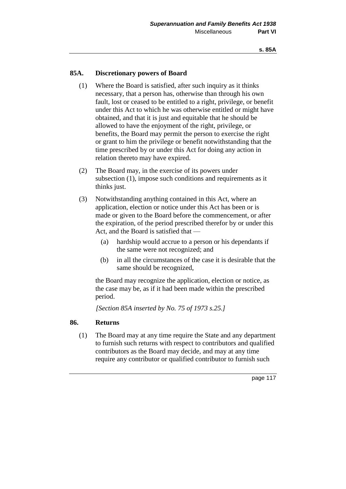#### **85A. Discretionary powers of Board**

- (1) Where the Board is satisfied, after such inquiry as it thinks necessary, that a person has, otherwise than through his own fault, lost or ceased to be entitled to a right, privilege, or benefit under this Act to which he was otherwise entitled or might have obtained, and that it is just and equitable that he should be allowed to have the enjoyment of the right, privilege, or benefits, the Board may permit the person to exercise the right or grant to him the privilege or benefit notwithstanding that the time prescribed by or under this Act for doing any action in relation thereto may have expired.
- (2) The Board may, in the exercise of its powers under subsection (1), impose such conditions and requirements as it thinks just.
- (3) Notwithstanding anything contained in this Act, where an application, election or notice under this Act has been or is made or given to the Board before the commencement, or after the expiration, of the period prescribed therefor by or under this Act, and the Board is satisfied that —
	- (a) hardship would accrue to a person or his dependants if the same were not recognized; and
	- (b) in all the circumstances of the case it is desirable that the same should be recognized,

the Board may recognize the application, election or notice, as the case may be, as if it had been made within the prescribed period.

*[Section 85A inserted by No. 75 of 1973 s.25.]* 

#### **86. Returns**

(1) The Board may at any time require the State and any department to furnish such returns with respect to contributors and qualified contributors as the Board may decide, and may at any time require any contributor or qualified contributor to furnish such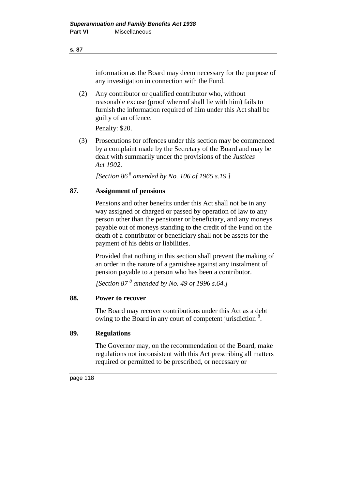#### **s. 87**

information as the Board may deem necessary for the purpose of any investigation in connection with the Fund.

(2) Any contributor or qualified contributor who, without reasonable excuse (proof whereof shall lie with him) fails to furnish the information required of him under this Act shall be guilty of an offence.

Penalty: \$20.

(3) Prosecutions for offences under this section may be commenced by a complaint made by the Secretary of the Board and may be dealt with summarily under the provisions of the *Justices Act 1902*.

*[Section 86 <sup>8</sup> amended by No. 106 of 1965 s.19.]* 

### **87. Assignment of pensions**

Pensions and other benefits under this Act shall not be in any way assigned or charged or passed by operation of law to any person other than the pensioner or beneficiary, and any moneys payable out of moneys standing to the credit of the Fund on the death of a contributor or beneficiary shall not be assets for the payment of his debts or liabilities.

Provided that nothing in this section shall prevent the making of an order in the nature of a garnishee against any instalment of pension payable to a person who has been a contributor.

*[Section 87 <sup>8</sup> amended by No. 49 of 1996 s.64.]* 

#### **88. Power to recover**

The Board may recover contributions under this Act as a debt owing to the Board in any court of competent jurisdiction <sup>8</sup>.

#### **89. Regulations**

The Governor may, on the recommendation of the Board, make regulations not inconsistent with this Act prescribing all matters required or permitted to be prescribed, or necessary or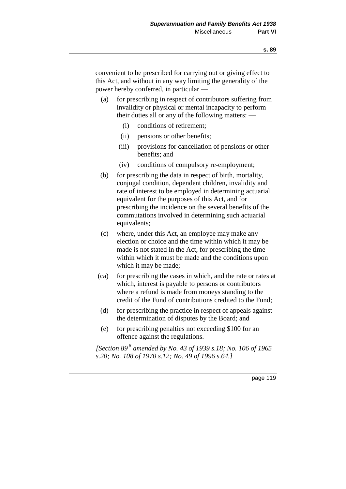convenient to be prescribed for carrying out or giving effect to this Act, and without in any way limiting the generality of the power hereby conferred, in particular —

- (a) for prescribing in respect of contributors suffering from invalidity or physical or mental incapacity to perform their duties all or any of the following matters: —
	- (i) conditions of retirement;
	- (ii) pensions or other benefits;
	- (iii) provisions for cancellation of pensions or other benefits; and
	- (iv) conditions of compulsory re-employment;
- (b) for prescribing the data in respect of birth, mortality, conjugal condition, dependent children, invalidity and rate of interest to be employed in determining actuarial equivalent for the purposes of this Act, and for prescribing the incidence on the several benefits of the commutations involved in determining such actuarial equivalents;
- (c) where, under this Act, an employee may make any election or choice and the time within which it may be made is not stated in the Act, for prescribing the time within which it must be made and the conditions upon which it may be made;
- (ca) for prescribing the cases in which, and the rate or rates at which, interest is payable to persons or contributors where a refund is made from moneys standing to the credit of the Fund of contributions credited to the Fund;
- (d) for prescribing the practice in respect of appeals against the determination of disputes by the Board; and
- (e) for prescribing penalties not exceeding \$100 for an offence against the regulations.

*[Section 89 <sup>8</sup> amended by No. 43 of 1939 s.18; No. 106 of 1965 s.20; No. 108 of 1970 s.12; No. 49 of 1996 s.64.]*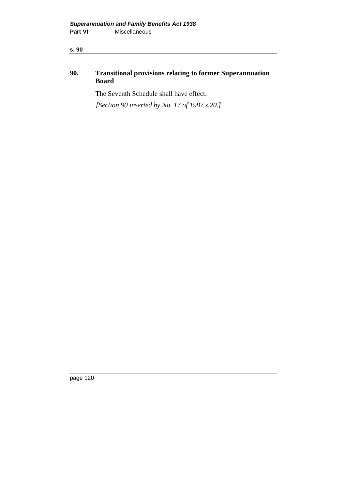**s. 90**

## **90. Transitional provisions relating to former Superannuation Board**

The Seventh Schedule shall have effect.

*[Section 90 inserted by No. 17 of 1987 s.20.]*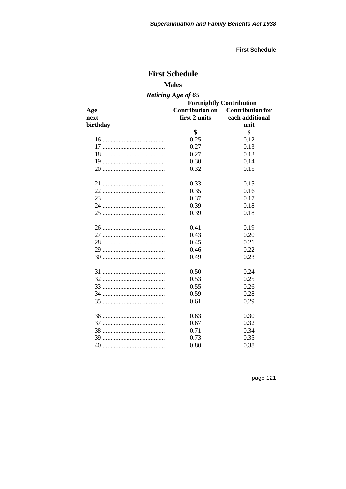# **First Schedule Males**

# Retiring Age of 65

|          | <b>Fortnightly Contribution</b> |                                         |
|----------|---------------------------------|-----------------------------------------|
| Age      |                                 | <b>Contribution on</b> Contribution for |
| next     | first 2 units                   | each additional                         |
| birthday |                                 | unit                                    |
|          | \$                              | \$                                      |
|          | 0.25                            | 0.12                                    |
|          | 0.27                            | 0.13                                    |
|          | 0.27                            | 0.13                                    |
|          | 0.30                            | 0.14                                    |
|          | 0.32                            | 0.15                                    |
|          | 0.33                            | 0.15                                    |
|          | 0.35                            | 0.16                                    |
|          | 0.37                            | 0.17                                    |
|          | 0.39                            | 0.18                                    |
|          | 0.39                            | 0.18                                    |
|          | 0.41                            | 0.19                                    |
|          | 0.43                            | 0.20                                    |
|          | 0.45                            | 0.21                                    |
|          | 0.46                            | 0.22                                    |
|          | 0.49                            | 0.23                                    |
|          | 0.50                            | 0.24                                    |
|          | 0.53                            | 0.25                                    |
|          | 0.55                            | 0.26                                    |
|          | 0.59                            | 0.28                                    |
|          | 0.61                            | 0.29                                    |
|          | 0.63                            | 0.30                                    |
|          | 0.67                            | 0.32                                    |
|          | 0.71                            | 0.34                                    |
|          | 0.73                            | 0.35                                    |
|          | 0.80                            | 0.38                                    |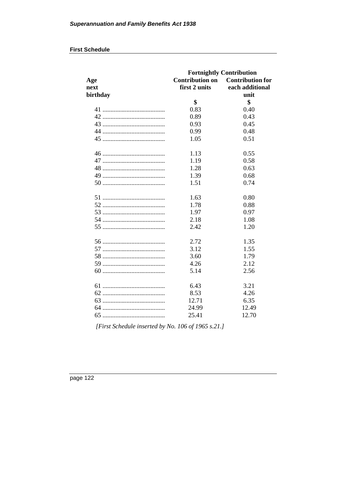#### **First Schedule**

|          | <b>Fortnightly Contribution</b>         |                 |
|----------|-----------------------------------------|-----------------|
| Age      | <b>Contribution on</b> Contribution for |                 |
| next     | first 2 units                           | each additional |
| birthday |                                         | unit            |
|          | \$                                      | \$              |
|          | 0.83                                    | 0.40            |
|          | 0.89                                    | 0.43            |
|          | 0.93                                    | 0.45            |
|          | 0.99                                    | 0.48            |
|          | 1.05                                    | 0.51            |
|          | 1.13                                    | 0.55            |
|          | 1.19                                    | 0.58            |
|          | 1.28                                    | 0.63            |
|          | 1.39                                    | 0.68            |
|          | 1.51                                    | 0.74            |
|          | 1.63                                    | 0.80            |
|          | 1.78                                    | 0.88            |
|          | 1.97                                    | 0.97            |
|          | 2.18                                    | 1.08            |
|          | 2.42                                    | 1.20            |
|          | 2.72                                    | 1.35            |
|          | 3.12                                    | 1.55            |
|          | 3.60                                    | 1.79            |
|          | 4.26                                    | 2.12            |
|          | 5.14                                    | 2.56            |
|          | 6.43                                    | 3.21            |
|          | 8.53                                    | 4.26            |
|          | 12.71                                   | 6.35            |
|          | 24.99                                   | 12.49           |
|          | 25.41                                   | 12.70           |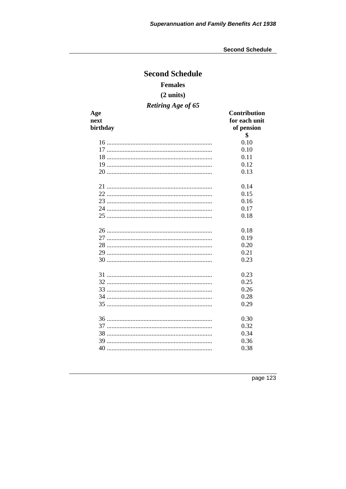# **Second Schedule Females**  $(2 \text{ units})$ Retiring Age of 65

| Age      | <b>Contribution</b> |
|----------|---------------------|
| next     | for each unit       |
| birthday | of pension          |
|          | \$                  |
|          | 0.10                |
|          | 0.10                |
|          | 0.11                |
|          | 0.12                |
|          | 0.13                |
|          | 0.14                |
|          | 0.15                |
|          | 0.16                |
|          | 0.17                |
|          | 0.18                |
|          | 0.18                |
|          | 0.19                |
|          | 0.20                |
|          | 0.21                |
|          | 0.23                |
|          | 0.23                |
|          | 0.25                |
|          | 0.26                |
|          | 0.28                |
|          | 0.29                |
|          | 0.30                |
|          | 0.32                |
|          | 0.34                |
|          | 0.36                |
|          | 0.38                |
|          |                     |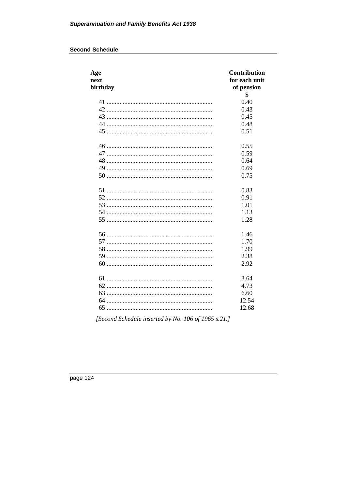## **Second Schedule**

| Age<br>next<br>birthday | Contribution<br>for each unit<br>of pension<br>\$ |
|-------------------------|---------------------------------------------------|
|                         | 0.40                                              |
|                         | 0.43                                              |
|                         | 0.45                                              |
|                         | 0.48                                              |
|                         | 0.51                                              |
|                         | 0.55                                              |
|                         | 0.59                                              |
|                         | 0.64                                              |
|                         | 0.69                                              |
|                         | 0.75                                              |
|                         | 0.83                                              |
|                         | 0.91                                              |
|                         | 1.01                                              |
|                         | 1.13                                              |
|                         | 1.28                                              |
|                         | 1.46                                              |
|                         | 1.70                                              |
|                         | 1.99                                              |
|                         | 2.38                                              |
|                         | 2.92                                              |
|                         | 3.64                                              |
|                         | 4.73                                              |
|                         | 6.60                                              |
|                         | 12.54                                             |
|                         | 12.68                                             |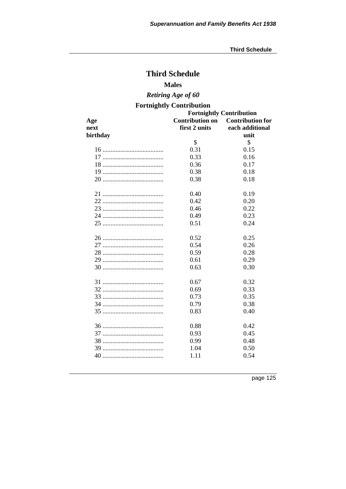# **Third Schedule Males**

# Retiring Age of 60

# **Fortnightly Contribution**

|          | <b>Fortnightly Contribution</b> |                                         |
|----------|---------------------------------|-----------------------------------------|
| Age      |                                 | <b>Contribution on</b> Contribution for |
| next     | first 2 units                   | each additional                         |
| birthday |                                 | unit                                    |
|          | \$                              | \$                                      |
|          | 0.31                            | 0.15                                    |
|          | 0.33                            | 0.16                                    |
|          | 0.36                            | 0.17                                    |
|          | 0.38                            | 0.18                                    |
|          | 0.38                            | 0.18                                    |
|          | 0.40                            | 0.19                                    |
|          | 0.42                            | 0.20                                    |
|          | 0.46                            | 0.22                                    |
|          | 0.49                            | 0.23                                    |
|          | 0.51                            | 0.24                                    |
|          | 0.52                            | 0.25                                    |
|          | 0.54                            | 0.26                                    |
|          | 0.59                            | 0.28                                    |
|          | 0.61                            | 0.29                                    |
|          | 0.63                            | 0.30                                    |
|          | 0.67                            | 0.32                                    |
|          | 0.69                            | 0.33                                    |
|          | 0.73                            | 0.35                                    |
|          | 0.79                            | 0.38                                    |
|          | 0.83                            | 0.40                                    |
|          | 0.88                            | 0.42                                    |
|          | 0.93                            | 0.45                                    |
|          | 0.99                            | 0.48                                    |
|          | 1.04                            | 0.50                                    |
|          | 1.11                            | 0.54                                    |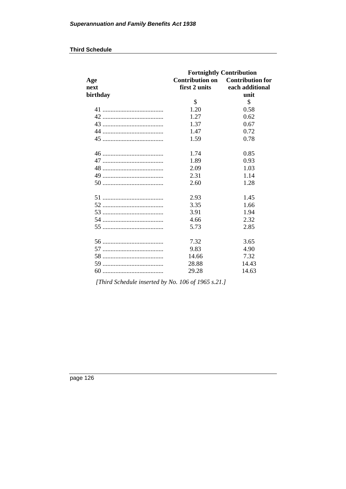#### **Third Schedule**

|          | <b>Fortnightly Contribution</b> |                                         |
|----------|---------------------------------|-----------------------------------------|
| Age      |                                 | <b>Contribution on</b> Contribution for |
| next     |                                 | first 2 units each additional           |
| birthday |                                 | unit                                    |
|          | \$                              | \$                                      |
|          | 1.20                            | 0.58                                    |
|          | 1.27                            | 0.62                                    |
|          | 1.37                            | 0.67                                    |
|          | 1.47                            | 0.72                                    |
|          | 1.59                            | 0.78                                    |
|          | 1.74                            | 0.85                                    |
|          | 1.89                            | 0.93                                    |
|          | 2.09                            | 1.03                                    |
|          | 2.31                            | 1.14                                    |
|          | 2.60                            | 1.28                                    |
|          | 2.93                            | 1.45                                    |
|          | 3.35                            | 1.66                                    |
|          | 3.91                            | 1.94                                    |
|          | 4.66                            | 2.32                                    |
|          | 5.73                            | 2.85                                    |
|          | 7.32                            | 3.65                                    |
|          | 9.83                            | 4.90                                    |
|          | 14.66                           | 7.32                                    |
|          | 28.88                           | 14.43                                   |
|          | 29.28                           | 14.63                                   |

*[Third Schedule inserted by No. 106 of 1965 s.21.]*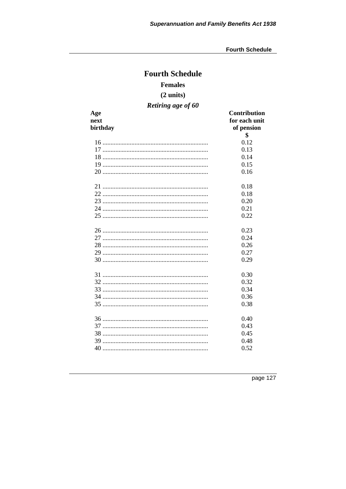# **Fourth Schedule Females**  $(2 \text{ units})$ Retiring age of 60

| Age      | Contribution  |
|----------|---------------|
| next     | for each unit |
| birthday | of pension    |
|          | \$            |
|          | 0.12          |
|          | 0.13          |
|          | 0.14          |
|          | 0.15          |
|          | 0.16          |
|          | 0.18          |
|          | 0.18          |
|          | 0.20          |
|          | 0.21          |
|          | 0.22          |
|          | 0.23          |
|          | 0.24          |
|          | 0.26          |
|          | 0.27          |
|          | 0.29          |
|          | 0.30          |
|          | 0.32          |
|          | 0.34          |
|          | 0.36          |
|          | 0.38          |
|          |               |
|          | 0.40          |
|          | 0.43          |
|          | 0.45          |
|          | 0.48          |
|          | 0.52          |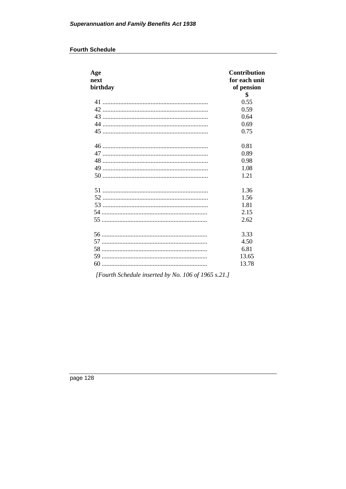#### **Fourth Schedule**

| Age<br>next<br>birthday | Contribution<br>for each unit<br>of pension<br>\$ |
|-------------------------|---------------------------------------------------|
|                         | 0.55                                              |
|                         | 0.59                                              |
|                         | 0.64                                              |
|                         | 0.69                                              |
|                         | 0.75                                              |
|                         | 0.81                                              |
|                         | 0.89                                              |
|                         | 0.98                                              |
|                         | 1.08                                              |
|                         | 1.21                                              |
|                         | 1.36                                              |
|                         | 1.56                                              |
|                         | 1.81                                              |
|                         | 2.15                                              |
|                         | 2.62                                              |
|                         | 3.33                                              |
|                         | 4.50                                              |
|                         | 6.81                                              |
|                         | 13.65                                             |
|                         | 13.78                                             |

[Fourth Schedule inserted by No. 106 of 1965 s.21.]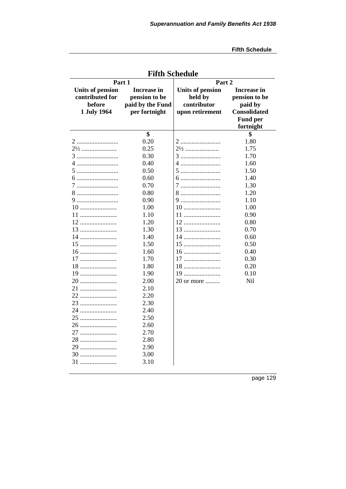**Fifth Schedule** 

| <b>Fifth Schedule</b>                                               |                                                                          |                                                                      |                                                                                                       |  |
|---------------------------------------------------------------------|--------------------------------------------------------------------------|----------------------------------------------------------------------|-------------------------------------------------------------------------------------------------------|--|
| Part 1                                                              |                                                                          | Part 2                                                               |                                                                                                       |  |
| <b>Units of pension</b><br>contributed for<br>before<br>1 July 1964 | <b>Increase in</b><br>pension to be<br>paid by the Fund<br>per fortnight | <b>Units of pension</b><br>held by<br>contributor<br>upon retirement | <b>Increase in</b><br>pension to be<br>paid by<br><b>Consolidated</b><br><b>Fund per</b><br>fortnight |  |
|                                                                     | \$                                                                       |                                                                      | \$                                                                                                    |  |
| 2                                                                   | 0.20                                                                     | 2                                                                    | 1.80                                                                                                  |  |
|                                                                     | 0.25                                                                     | $2\frac{1}{2}$                                                       | 1.75                                                                                                  |  |
| 3                                                                   | 0.30                                                                     |                                                                      | 1.70                                                                                                  |  |
| 4                                                                   | 0.40                                                                     | 4                                                                    | 1.60                                                                                                  |  |
|                                                                     | 0.50                                                                     | 5                                                                    | 1.50                                                                                                  |  |
| 6                                                                   | 0.60                                                                     | 6                                                                    | 1.40                                                                                                  |  |
| 7                                                                   | 0.70                                                                     | 7                                                                    | 1.30                                                                                                  |  |
| 8                                                                   | 0.80                                                                     | 8                                                                    | 1.20                                                                                                  |  |
| 9                                                                   | 0.90                                                                     | 9                                                                    | 1.10                                                                                                  |  |
| 10                                                                  | 1.00                                                                     | 10                                                                   | 1.00                                                                                                  |  |
| 11                                                                  | 1.10                                                                     | 11                                                                   | 0.90                                                                                                  |  |
| 12                                                                  | 1.20                                                                     | 12                                                                   | 0.80                                                                                                  |  |
| 13                                                                  | 1.30                                                                     | 13                                                                   | 0.70                                                                                                  |  |
| 14                                                                  | 1.40                                                                     | 14                                                                   | 0.60                                                                                                  |  |
| 15                                                                  | 1.50                                                                     | 15                                                                   | 0.50                                                                                                  |  |
| 16                                                                  | 1.60                                                                     | $16$                                                                 | 0.40                                                                                                  |  |
| 17                                                                  | 1.70                                                                     | 17                                                                   | 0.30                                                                                                  |  |
| 18                                                                  | 1.80                                                                     | 18                                                                   | 0.20                                                                                                  |  |
| 19                                                                  | 1.90                                                                     | 19                                                                   | 0.10                                                                                                  |  |
| 20                                                                  | 2.00                                                                     | 20 or more                                                           | Nil                                                                                                   |  |
| 21                                                                  | 2.10                                                                     |                                                                      |                                                                                                       |  |
| 22                                                                  | 2.20                                                                     |                                                                      |                                                                                                       |  |
| 23                                                                  | 2.30                                                                     |                                                                      |                                                                                                       |  |
| 24                                                                  | 2.40                                                                     |                                                                      |                                                                                                       |  |
| 25                                                                  | 2.50                                                                     |                                                                      |                                                                                                       |  |
| 26                                                                  | 2.60                                                                     |                                                                      |                                                                                                       |  |
|                                                                     | 2.70                                                                     |                                                                      |                                                                                                       |  |
| 28                                                                  | 2.80                                                                     |                                                                      |                                                                                                       |  |
| 29                                                                  | 2.90                                                                     |                                                                      |                                                                                                       |  |
| 30                                                                  | 3.00                                                                     |                                                                      |                                                                                                       |  |
| 31                                                                  | 3.10                                                                     |                                                                      |                                                                                                       |  |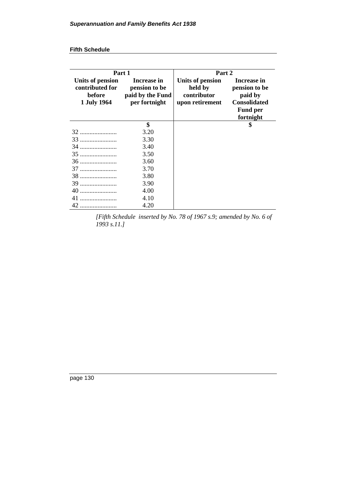#### **Fifth Schedule**

| Part 1                                                       |                                                                   | Part 2                                                        |                                                                                                |
|--------------------------------------------------------------|-------------------------------------------------------------------|---------------------------------------------------------------|------------------------------------------------------------------------------------------------|
| Units of pension<br>contributed for<br>before<br>1 July 1964 | Increase in<br>pension to be<br>paid by the Fund<br>per fortnight | Units of pension<br>held by<br>contributor<br>upon retirement | Increase in<br>pension to be<br>paid by<br><b>Consolidated</b><br><b>Fund per</b><br>fortnight |
|                                                              | \$                                                                |                                                               | \$                                                                                             |
| 32                                                           | 3.20                                                              |                                                               |                                                                                                |
| 33                                                           | 3.30                                                              |                                                               |                                                                                                |
| 34                                                           | 3.40                                                              |                                                               |                                                                                                |
| $35$                                                         | 3.50                                                              |                                                               |                                                                                                |
| 36                                                           | 3.60                                                              |                                                               |                                                                                                |
| 37                                                           | 3.70                                                              |                                                               |                                                                                                |
| 38                                                           | 3.80                                                              |                                                               |                                                                                                |
| 39                                                           | 3.90                                                              |                                                               |                                                                                                |
| 40                                                           | 4.00                                                              |                                                               |                                                                                                |
| 41                                                           | 4.10                                                              |                                                               |                                                                                                |
| 42                                                           | 4.20                                                              |                                                               |                                                                                                |

*[Fifth Schedule inserted by No. 78 of 1967 s.9; amended by No. 6 of 1993 s.11.]*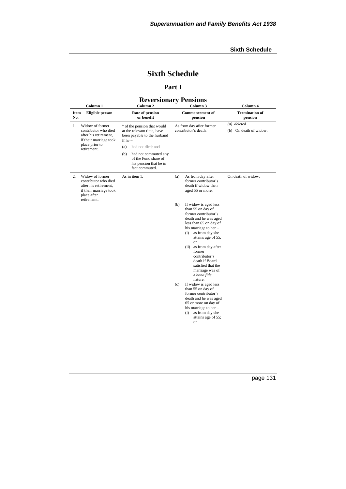## **Part I**

| <b>Reversionary Pensions</b><br>Column <sub>2</sub><br>Column 3<br>Column 4<br>Column 1 |                                                                                                                             |                                                                                                                                                                                                                    |                                                                                                                                                                                                                                                                                                                                                                                                                                                                                                                                                                             |                                         |  |  |  |
|-----------------------------------------------------------------------------------------|-----------------------------------------------------------------------------------------------------------------------------|--------------------------------------------------------------------------------------------------------------------------------------------------------------------------------------------------------------------|-----------------------------------------------------------------------------------------------------------------------------------------------------------------------------------------------------------------------------------------------------------------------------------------------------------------------------------------------------------------------------------------------------------------------------------------------------------------------------------------------------------------------------------------------------------------------------|-----------------------------------------|--|--|--|
| <b>Item</b><br>No.                                                                      | Eligible person                                                                                                             | Rate of pension<br>or benefit                                                                                                                                                                                      | <b>Commencement of</b><br>pension                                                                                                                                                                                                                                                                                                                                                                                                                                                                                                                                           | <b>Termination of</b><br>pension        |  |  |  |
| 1.                                                                                      | Widow of former<br>contributor who died<br>after his retirement,<br>if their marriage took<br>place prior to<br>retirement. | ° of the pension that would<br>at the relevant time, have<br>been payable to the husband<br>if he $-$<br>(a)<br>had not died; and<br>(b)<br>had not commuted any<br>of the Fund share of<br>his pension that he in | As from day after former<br>contributor's death.                                                                                                                                                                                                                                                                                                                                                                                                                                                                                                                            | $(a)$ deleted<br>(b) On death of widow. |  |  |  |
| 2.                                                                                      | Widow of former<br>contributor who died<br>after his retirement.<br>if their marriage took<br>place after                   | fact commuted.<br>As in item 1.                                                                                                                                                                                    | As from day after<br>(a)<br>former contributor's<br>death if widow then<br>aged 55 or more.                                                                                                                                                                                                                                                                                                                                                                                                                                                                                 | On death of widow.                      |  |  |  |
|                                                                                         | retirement.                                                                                                                 |                                                                                                                                                                                                                    | If widow is aged less<br>(b)<br>than 55 on day of<br>former contributor's<br>death and he was aged<br>less than 65 on day of<br>his marriage to her $-$<br>as from day she<br>(i)<br>attains age of 55;<br>or<br>(ii) as from day after<br>former<br>contributor's<br>death if Board<br>satisfied that the<br>marriage was of<br>a bona fide<br>nature.<br>(c)<br>If widow is aged less<br>than 55 on day of<br>former contributor's<br>death and he was aged<br>65 or more on day of<br>his marriage to her -<br>as from day she<br>(i)<br>attains age of 55;<br><b>or</b> |                                         |  |  |  |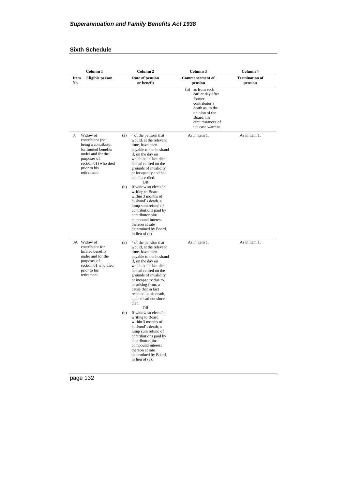| Column 1           |                                                                                                                                                                        | Column <sub>2</sub> |                                                                                                                                                                                                                                                                                                                               | Column 3                                                                                                                                                          | Column 4                         |
|--------------------|------------------------------------------------------------------------------------------------------------------------------------------------------------------------|---------------------|-------------------------------------------------------------------------------------------------------------------------------------------------------------------------------------------------------------------------------------------------------------------------------------------------------------------------------|-------------------------------------------------------------------------------------------------------------------------------------------------------------------|----------------------------------|
| <b>Item</b><br>No. | Eligible person                                                                                                                                                        |                     | Rate of pension<br>or benefit                                                                                                                                                                                                                                                                                                 | <b>Commencement</b> of<br>pension                                                                                                                                 | <b>Termination of</b><br>pension |
|                    |                                                                                                                                                                        |                     |                                                                                                                                                                                                                                                                                                                               | as from such<br>(ii)<br>earlier day after<br>former<br>contributor's<br>death as, in the<br>opinion of the<br>Board, the<br>circumstances of<br>the case warrant. |                                  |
| 3.                 | Widow of<br>contributor (not<br>being a contributor<br>for limited benefits<br>under and for the<br>purposes of<br>section 61) who died<br>prior to his<br>retirement. | (a)                 | ° of the pension that<br>would, at the relevant<br>time, have been<br>payable to the husband<br>if, on the day on<br>which he in fact died,<br>he had retired on the<br>grounds of invalidity<br>or incapacity and had<br>not since died.<br><b>OR</b>                                                                        | As in item 1.                                                                                                                                                     | As in item 1.                    |
|                    |                                                                                                                                                                        | (b)                 | If widow so elects in<br>writing to Board<br>within 3 months of<br>husband's death, a<br>lump sum refund of<br>contributions paid by<br>contributor plus<br>compound interest<br>thereon at rate<br>determined by Board,<br>in lieu of (a).                                                                                   |                                                                                                                                                                   |                                  |
|                    | 3A. Widow of<br>contributor for<br>limited benefits<br>under and for the<br>purposes of<br>section 61 who died<br>prior to his<br>retirement.                          | (a)                 | ° of the pension that<br>would, at the relevant<br>time, have been<br>payable to the husband<br>if, on the day on<br>which he in fact died,<br>he had retired on the<br>grounds of invalidity<br>or incapacity due to,<br>or arising from, a<br>cause that in fact<br>resulted in his death,<br>and he had not since<br>died. | As in item 1.                                                                                                                                                     | As in item 1.                    |
|                    |                                                                                                                                                                        | (b)                 | <b>OR</b><br>If widow so elects in<br>writing to Board<br>within 3 months of<br>husband's death, a<br>lump sum refund of<br>contributions paid by<br>contributor plus<br>compound interest<br>thereon at rate<br>determined by Board,<br>in lieu of (a).                                                                      |                                                                                                                                                                   |                                  |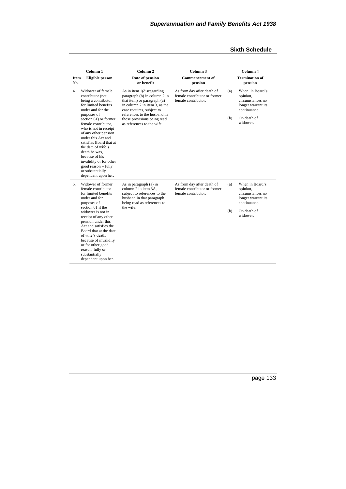|                    | Column <sub>1</sub>                                                                                                                                                                                                                                                                                                                                                      | Column <sub>2</sub>                                                                                                                                                                                                                                 | Column 3                                                                          |            | Column <sub>4</sub>                                                                                              |
|--------------------|--------------------------------------------------------------------------------------------------------------------------------------------------------------------------------------------------------------------------------------------------------------------------------------------------------------------------------------------------------------------------|-----------------------------------------------------------------------------------------------------------------------------------------------------------------------------------------------------------------------------------------------------|-----------------------------------------------------------------------------------|------------|------------------------------------------------------------------------------------------------------------------|
| <b>Item</b><br>No. | <b>Eligible person</b>                                                                                                                                                                                                                                                                                                                                                   | Rate of pension<br>or benefit                                                                                                                                                                                                                       | <b>Commencement of</b><br>pension                                                 |            | <b>Termination of</b><br>pension                                                                                 |
| 4.                 | Widower of female<br>contributor (not<br>being a contributor<br>for limited benefits<br>under and for the                                                                                                                                                                                                                                                                | As in item 1(disregarding<br>paragraph (b) in column 2 in<br>that item) or paragraph (a)<br>in column 2 in item 3, as the<br>case requires, subject to<br>references to the husband in<br>those provisions being read<br>as references to the wife. | As from day after death of<br>female contributor or former<br>female contributor. | (a)        | When, in Board's<br>opinion,<br>circumstances no<br>longer warrant its<br>continuance.                           |
|                    | purposes of<br>section 61) or former<br>female contributor.<br>who is not in receipt<br>of any other pension<br>under this Act and<br>satisfies Board that at<br>the date of wife's<br>death he was,<br>because of his<br>invalidity or for other<br>good reason - fully<br>or substantially<br>dependent upon her.                                                      |                                                                                                                                                                                                                                                     |                                                                                   | (b)        | On death of<br>widower.                                                                                          |
| 5.                 | Widower of former<br>female contributor<br>for limited benefits<br>under and for<br>purposes of<br>section 61 if the<br>widower is not in<br>receipt of any other<br>pension under this<br>Act and satisfies the<br>Board that at the date<br>of wife's death.<br>because of invalidity<br>or for other good<br>reason, fully or<br>substantially<br>dependent upon her. | As in paragraph (a) in<br>column 2 in item 3A,<br>subject to references to the<br>husband in that paragraph<br>being read as references to<br>the wife.                                                                                             | As from day after death of<br>female contributor or former<br>female contributor. | (a)<br>(b) | When in Board's<br>opinion,<br>circumstances no<br>longer warrant its<br>continuance.<br>On death of<br>widower. |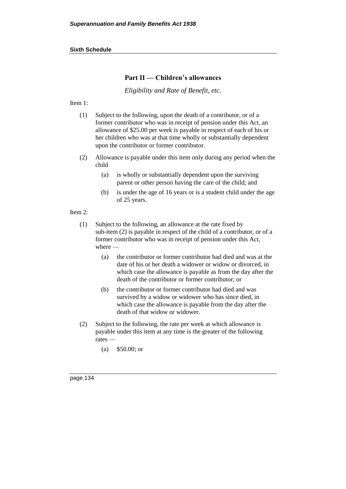## **Part II — Children's allowances**

*Eligibility and Rate of Benefit, etc.*

Item 1:

- (1) Subject to the following, upon the death of a contributor, or of a former contributor who was in receipt of pension under this Act, an allowance of \$25.00 per week is payable in respect of each of his or her children who was at that time wholly or substantially dependent upon the contributor or former contributor.
- (2) Allowance is payable under this item only during any period when the child
	- (a) is wholly or substantially dependent upon the surviving parent or other person having the care of the child; and
	- (b) is under the age of 16 years or is a student child under the age of 25 years.

#### Item 2:

- (1) Subject to the following, an allowance at the rate fixed by sub-item (2) is payable in respect of the child of a contributor, or of a former contributor who was in receipt of pension under this Act, where —
	- (a) the contributor or former contributor had died and was at the date of his or her death a widower or widow or divorced, in which case the allowance is payable as from the day after the death of the contributor or former contributor; or
	- (b) the contributor or former contributor had died and was survived by a widow or widower who has since died, in which case the allowance is payable from the day after the death of that widow or widower.
- (2) Subject to the following, the rate per week at which allowance is payable under this item at any time is the greater of the following rates —
	- (a) \$50.00; or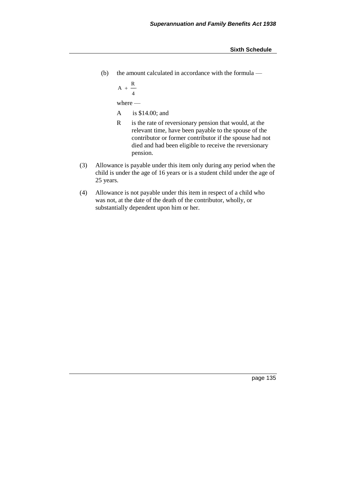(b) the amount calculated in accordance with the formula —

$$
A + \frac{R}{4}
$$

where —

A is \$14.00; and

- R is the rate of reversionary pension that would, at the relevant time, have been payable to the spouse of the contributor or former contributor if the spouse had not died and had been eligible to receive the reversionary pension.
- (3) Allowance is payable under this item only during any period when the child is under the age of 16 years or is a student child under the age of 25 years.
- (4) Allowance is not payable under this item in respect of a child who was not, at the date of the death of the contributor, wholly, or substantially dependent upon him or her.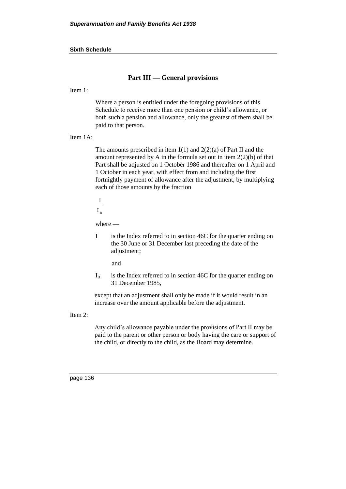#### **Part III — General provisions**

#### Item 1:

Where a person is entitled under the foregoing provisions of this Schedule to receive more than one pension or child's allowance, or both such a pension and allowance, only the greatest of them shall be paid to that person.

#### Item 1A:

The amounts prescribed in item  $1(1)$  and  $2(2)(a)$  of Part II and the amount represented by A in the formula set out in item  $2(2)(b)$  of that Part shall be adjusted on 1 October 1986 and thereafter on 1 April and 1 October in each year, with effect from and including the first fortnightly payment of allowance after the adjustment, by multiplying each of those amounts by the fraction

I

I<sub>B</sub>

where —

I is the Index referred to in section 46C for the quarter ending on the 30 June or 31 December last preceding the date of the adjustment;

and

 $I_B$  is the Index referred to in section 46C for the quarter ending on 31 December 1985,

except that an adjustment shall only be made if it would result in an increase over the amount applicable before the adjustment.

#### Item 2:

Any child's allowance payable under the provisions of Part II may be paid to the parent or other person or body having the care or support of the child, or directly to the child, as the Board may determine.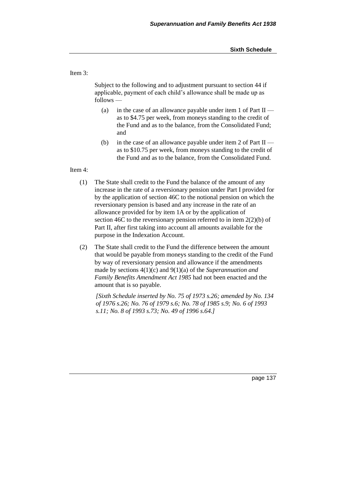## Item 3:

Subject to the following and to adjustment pursuant to section 44 if applicable, payment of each child's allowance shall be made up as follows —

- (a) in the case of an allowance payable under item 1 of Part  $II$  as to \$4.75 per week, from moneys standing to the credit of the Fund and as to the balance, from the Consolidated Fund; and
- (b) in the case of an allowance payable under item 2 of Part  $II$  as to \$10.75 per week, from moneys standing to the credit of the Fund and as to the balance, from the Consolidated Fund.

#### Item 4:

- (1) The State shall credit to the Fund the balance of the amount of any increase in the rate of a reversionary pension under Part I provided for by the application of section 46C to the notional pension on which the reversionary pension is based and any increase in the rate of an allowance provided for by item 1A or by the application of section 46C to the reversionary pension referred to in item 2(2)(b) of Part II, after first taking into account all amounts available for the purpose in the Indexation Account.
- (2) The State shall credit to the Fund the difference between the amount that would be payable from moneys standing to the credit of the Fund by way of reversionary pension and allowance if the amendments made by sections 4(1)(c) and 9(1)(a) of the *Superannuation and Family Benefits Amendment Act 1985* had not been enacted and the amount that is so payable.

*[Sixth Schedule inserted by No. 75 of 1973 s.26; amended by No. 134 of 1976 s.26; No. 76 of 1979 s.6; No. 78 of 1985 s.9; No. 6 of 1993 s.11; No. 8 of 1993 s.73; No. 49 of 1996 s.64.]*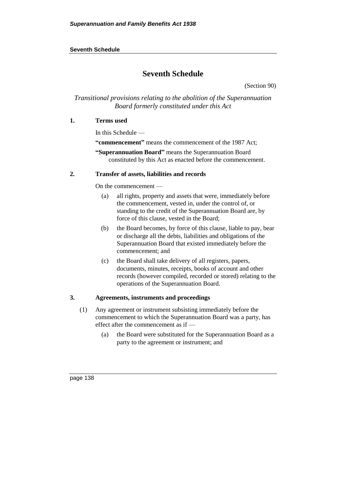## **Seventh Schedule**

# **Seventh Schedule**

(Section 90)

*Transitional provisions relating to the abolition of the Superannuation Board formerly constituted under this Act*

### **1. Terms used**

In this Schedule —

**"commencement"** means the commencement of the 1987 Act;

**"Superannuation Board"** means the Superannuation Board constituted by this Act as enacted before the commencement.

#### **2. Transfer of assets, liabilities and records**

On the commencement —

- (a) all rights, property and assets that were, immediately before the commencement, vested in, under the control of, or standing to the credit of the Superannuation Board are, by force of this clause, vested in the Board;
- (b) the Board becomes, by force of this clause, liable to pay, bear or discharge all the debts, liabilities and obligations of the Superannuation Board that existed immediately before the commencement; and
- (c) the Board shall take delivery of all registers, papers, documents, minutes, receipts, books of account and other records (however compiled, recorded or stored) relating to the operations of the Superannuation Board.

## **3. Agreements, instruments and proceedings**

- (1) Any agreement or instrument subsisting immediately before the commencement to which the Superannuation Board was a party, has effect after the commencement as if —
	- (a) the Board were substituted for the Superannuation Board as a party to the agreement or instrument; and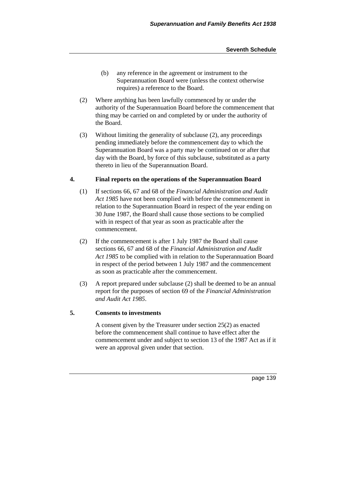- (b) any reference in the agreement or instrument to the Superannuation Board were (unless the context otherwise requires) a reference to the Board.
- (2) Where anything has been lawfully commenced by or under the authority of the Superannuation Board before the commencement that thing may be carried on and completed by or under the authority of the Board.
- (3) Without limiting the generality of subclause (2), any proceedings pending immediately before the commencement day to which the Superannuation Board was a party may be continued on or after that day with the Board, by force of this subclause, substituted as a party thereto in lieu of the Superannuation Board.

#### **4. Final reports on the operations of the Superannuation Board**

- (1) If sections 66, 67 and 68 of the *Financial Administration and Audit Act 1985* have not been complied with before the commencement in relation to the Superannuation Board in respect of the year ending on 30 June 1987, the Board shall cause those sections to be complied with in respect of that year as soon as practicable after the commencement.
- (2) If the commencement is after 1 July 1987 the Board shall cause sections 66, 67 and 68 of the *Financial Administration and Audit Act 1985* to be complied with in relation to the Superannuation Board in respect of the period between 1 July 1987 and the commencement as soon as practicable after the commencement.
- (3) A report prepared under subclause (2) shall be deemed to be an annual report for the purposes of section 69 of the *Financial Administration and Audit Act 1985*.

#### **5. Consents to investments**

A consent given by the Treasurer under section 25(2) as enacted before the commencement shall continue to have effect after the commencement under and subject to section 13 of the 1987 Act as if it were an approval given under that section.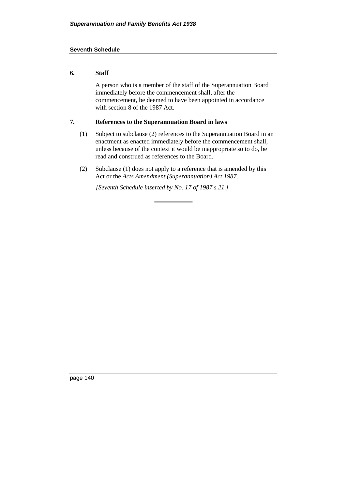#### **Seventh Schedule**

## **6. Staff**

A person who is a member of the staff of the Superannuation Board immediately before the commencement shall, after the commencement, be deemed to have been appointed in accordance with section 8 of the 1987 Act.

## **7. References to the Superannuation Board in laws**

- (1) Subject to subclause (2) references to the Superannuation Board in an enactment as enacted immediately before the commencement shall, unless because of the context it would be inappropriate so to do, be read and construed as references to the Board.
- (2) Subclause (1) does not apply to a reference that is amended by this Act or the *Acts Amendment (Superannuation) Act 1987*.

*[Seventh Schedule inserted by No. 17 of 1987 s.21.]*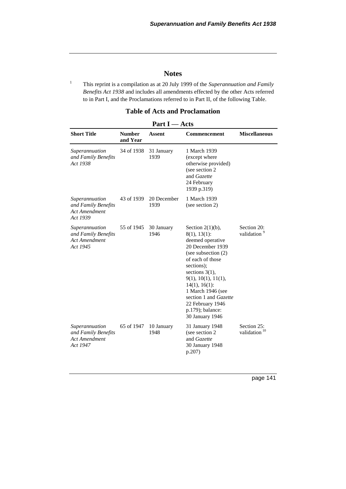# **Notes**

<sup>1</sup> This reprint is a compilation as at 20 July 1999 of the *Superannuation and Family Benefits Act 1938* and includes all amendments effected by the other Acts referred to in Part I, and the Proclamations referred to in Part II, of the following Table.

**Table of Acts and Proclamation**

| <b>Short Title</b>                                                        | <b>Number</b><br>and Year | Assent              | Commencement                                                                                                                                                                                                                                                                                                         | <b>Miscellaneous</b>                    |
|---------------------------------------------------------------------------|---------------------------|---------------------|----------------------------------------------------------------------------------------------------------------------------------------------------------------------------------------------------------------------------------------------------------------------------------------------------------------------|-----------------------------------------|
| Superannuation<br>and Family Benefits<br>Act 1938                         | 34 of 1938                | 31 January<br>1939  | 1 March 1939<br>(except where<br>otherwise provided)<br>(see section 2)<br>and Gazette<br>24 February<br>1939 p.319)                                                                                                                                                                                                 |                                         |
| Superannuation<br>and Family Benefits<br><b>Act Amendment</b><br>Act 1939 | 43 of 1939                | 20 December<br>1939 | 1 March 1939<br>(see section 2)                                                                                                                                                                                                                                                                                      |                                         |
| Superannuation<br>and Family Benefits<br><b>Act Amendment</b><br>Act 1945 | 55 of 1945                | 30 January<br>1946  | Section $2(1)(b)$ ,<br>$8(1), 13(1)$ :<br>deemed operative<br>20 December 1939<br>(see subsection $(2)$ )<br>of each of those<br>sections);<br>sections $3(1)$ ,<br>9(1), 10(1), 11(1),<br>$14(1), 16(1)$ :<br>1 March 1946 (see<br>section 1 and Gazette<br>22 February 1946<br>p.179); balance:<br>30 January 1946 | Section 20:<br>validation <sup>9</sup>  |
| Superannuation<br>and Family Benefits<br><b>Act Amendment</b><br>Act 1947 | 65 of 1947                | 10 January<br>1948  | 31 January 1948<br>(see section 2)<br>and Gazette<br>30 January 1948<br>p.207)                                                                                                                                                                                                                                       | Section 25:<br>validation <sup>10</sup> |

**Part I — Acts**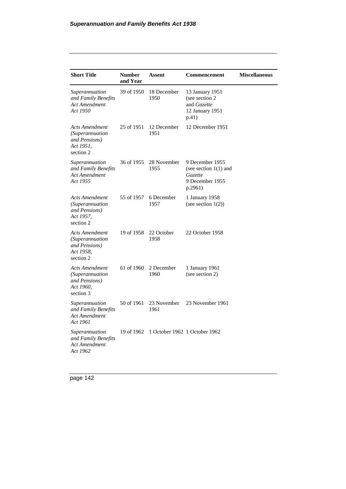| <b>Short Title</b>                                                                  | <b>Number</b><br>and Year | Assent              | <b>Commencement</b>                                                                        | <b>Miscellaneous</b> |
|-------------------------------------------------------------------------------------|---------------------------|---------------------|--------------------------------------------------------------------------------------------|----------------------|
| Superannuation<br>and Family Benefits<br><b>Act Amendment</b><br>Act 1950           | 39 of 1950                | 18 December<br>1950 | 13 January 1951<br>(see section 2)<br>and <i>Gazette</i><br>12 January 1951<br>p.41)       |                      |
| Acts Amendment<br>(Superannuation<br>and Pensions)<br>Act 1951,<br>section 2        | 25 of 1951                | 12 December<br>1951 | 12 December 1951                                                                           |                      |
| Superannuation<br>and Family Benefits<br><b>Act Amendment</b><br>Act 1955           | 36 of 1955                | 28 November<br>1955 | 9 December 1955<br>(see section $1(1)$ and<br><i>Gazette</i><br>9 December 1955<br>p.2961) |                      |
| Acts Amendment<br>(Superannuation<br>and Pensions)<br>Act 1957,<br>section 2        | 55 of 1957                | 6 December<br>1957  | 1 January 1958<br>(see section $1(2)$ )                                                    |                      |
| <b>Acts Amendment</b><br>(Superannuation<br>and Pensions)<br>Act 1958,<br>section 2 | 19 of 1958                | 22 October<br>1958  | 22 October 1958                                                                            |                      |
| Acts Amendment<br>(Superannuation<br>and Pensions)<br>Act 1960,<br>section 3        | 61 of 1960                | 2 December<br>1960  | 1 January 1961<br>(see section 2)                                                          |                      |
| Superannuation<br>and Family Benefits<br><b>Act Amendment</b><br>Act 1961           | 50 of 1961                | 23 November<br>1961 | 23 November 1961                                                                           |                      |
| Superannuation<br>and Family Benefits<br><b>Act Amendment</b><br>Act 1962           | 19 of 1962                |                     | 1 October 1962 1 October 1962                                                              |                      |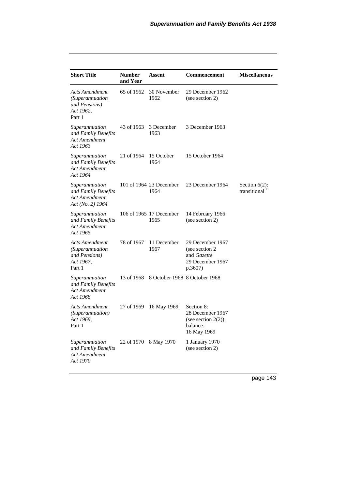| <b>Short Title</b>                                                                 | <b>Number</b><br>and Year | <b>Assent</b>                   | Commencement                                                                            | <b>Miscellaneous</b>             |
|------------------------------------------------------------------------------------|---------------------------|---------------------------------|-----------------------------------------------------------------------------------------|----------------------------------|
| Acts Amendment<br><i>(Superannuation</i> )<br>and Pensions)<br>Act 1962,<br>Part 1 | 65 of 1962                | 30 November<br>1962             | 29 December 1962<br>(see section 2)                                                     |                                  |
| Superannuation<br>and Family Benefits<br>Act Amendment<br>Act 1963                 | 43 of 1963                | 3 December<br>1963              | 3 December 1963                                                                         |                                  |
| Superannuation<br>and Family Benefits<br>Act Amendment<br>Act 1964                 | 21 of 1964                | 15 October<br>1964              | 15 October 1964                                                                         |                                  |
| Superannuation<br>and Family Benefits<br>Act Amendment<br>Act (No. 2) 1964         |                           | 101 of 1964 23 December<br>1964 | 23 December 1964                                                                        | Section $6(2)$ :<br>transitional |
| Superannuation<br>and Family Benefits<br><b>Act Amendment</b><br>Act 1965          |                           | 106 of 1965 17 December<br>1965 | 14 February 1966<br>(see section 2)                                                     |                                  |
| Acts Amendment<br>(Superannuation<br>and Pensions)<br>Act 1967,<br>Part 1          | 78 of 1967                | 11 December<br>1967             | 29 December 1967<br>(see section 2)<br>and <i>Gazette</i><br>29 December 1967<br>p.3607 |                                  |
| Superannuation<br>and Family Benefits<br>Act Amendment<br>Act 1968                 | 13 of 1968                |                                 | 8 October 1968 8 October 1968                                                           |                                  |
| <b>Acts Amendment</b><br>(Superannuation)<br>Act 1969,<br>Part 1                   | 27 of 1969                | 16 May 1969                     | Section 8:<br>28 December 1967<br>(see section $2(2)$ );<br>balance:<br>16 May 1969     |                                  |
| Superannuation<br>and Family Benefits<br>Act Amendment<br>Act 1970                 | 22 of 1970                | 8 May 1970                      | 1 January 1970<br>(see section 2)                                                       |                                  |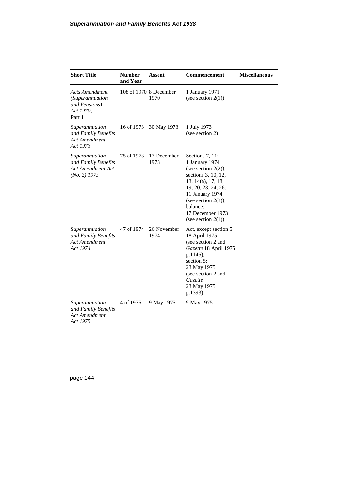| <b>Short Title</b>                                                                  | <b>Number</b><br>and Year | Assent                         | Commencement                                                                                                                                                                                                                          | <b>Miscellaneous</b> |
|-------------------------------------------------------------------------------------|---------------------------|--------------------------------|---------------------------------------------------------------------------------------------------------------------------------------------------------------------------------------------------------------------------------------|----------------------|
| Acts Amendment<br>(Superannuation<br>and Pensions)<br>Act 1970,<br>Part 1           |                           | 108 of 1970 8 December<br>1970 | 1 January 1971<br>(see section $2(1)$ )                                                                                                                                                                                               |                      |
| Superannuation<br>and Family Benefits<br>Act Amendment<br>Act 1973                  | 16 of 1973                | 30 May 1973                    | 1 July 1973<br>(see section 2)                                                                                                                                                                                                        |                      |
| Superannuation<br>and Family Benefits<br><b>Act Amendment Act</b><br>$(No. 2)$ 1973 | 75 of 1973                | 17 December<br>1973            | Sections 7, 11:<br>1 January 1974<br>(see section $2(2)$ );<br>sections 3, 10, 12,<br>13, 14(a), 17, 18,<br>19, 20, 23, 24, 26:<br>11 January 1974<br>(see section $2(3)$ );<br>balance:<br>17 December 1973<br>(see section $2(1)$ ) |                      |
| Superannuation<br>and Family Benefits<br>Act Amendment<br>Act 1974                  | 47 of 1974                | 26 November<br>1974            | Act, except section 5:<br>18 April 1975<br>(see section 2 and<br>Gazette 18 April 1975<br>$p.1145$ ;<br>section 5:<br>23 May 1975<br>(see section 2 and<br><i>Gazette</i><br>23 May 1975<br>p.1393)                                   |                      |
| Superannuation<br>and Family Benefits<br>Act Amendment<br>Act 1975                  | 4 of 1975                 | 9 May 1975                     | 9 May 1975                                                                                                                                                                                                                            |                      |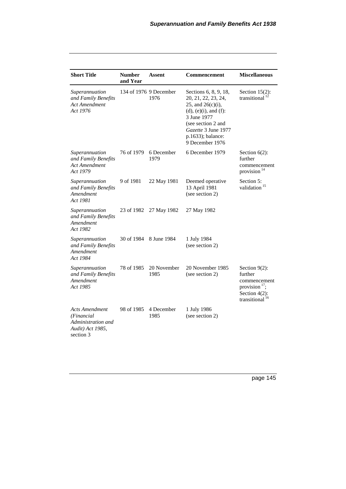| <b>Short Title</b>                                                                  | <b>Number</b><br>and Year | <b>Assent</b>                  | <b>Commencement</b>                                                                                                                                                                                        | <b>Miscellaneous</b>                                                                                              |
|-------------------------------------------------------------------------------------|---------------------------|--------------------------------|------------------------------------------------------------------------------------------------------------------------------------------------------------------------------------------------------------|-------------------------------------------------------------------------------------------------------------------|
| Superannuation<br>and Family Benefits<br><b>Act Amendment</b><br>Act 1976           |                           | 134 of 1976 9 December<br>1976 | Sections 6, 8, 9, 18,<br>20, 21, 22, 23, 24,<br>25, and $26(c)(i)$ ,<br>$(d)$ , $(e)(i)$ , and $(f)$ :<br>3 June 1977<br>(see section 2 and<br>Gazette 3 June 1977<br>p.1633); balance:<br>9 December 1976 | Section $15(2)$ :<br>transitional                                                                                 |
| Superannuation<br>and Family Benefits<br>Act Amendment<br>Act 1979                  | 76 of 1979                | 6 December<br>1979             | 6 December 1979                                                                                                                                                                                            | Section $6(2)$ :<br>further<br>commencement<br>provision <sup>14</sup>                                            |
| Superannuation<br>and Family Benefits<br>Amendment<br>Act 1981                      | 9 of 1981                 | 22 May 1981                    | Deemed operative<br>13 April 1981<br>(see section 2)                                                                                                                                                       | Section 5:<br>validation <sup>15</sup>                                                                            |
| Superannuation<br>and Family Benefits<br>Amendment<br>Act 1982                      | 23 of 1982                | 27 May 1982                    | 27 May 1982                                                                                                                                                                                                |                                                                                                                   |
| Superannuation<br>and Family Benefits<br>Amendment<br>Act 1984                      |                           | 30 of 1984 8 June 1984         | 1 July 1984<br>(see section 2)                                                                                                                                                                             |                                                                                                                   |
| Superannuation<br>and Family Benefits<br>Amendment<br>Act 1985                      | 78 of 1985                | 20 November<br>1985            | 20 November 1985<br>(see section 2)                                                                                                                                                                        | Section $9(2)$ :<br>further<br>commencement<br>provision $17$ ;<br>Section $4(2)$ :<br>transitional <sup>16</sup> |
| Acts Amendment<br>(Financial<br>Administration and<br>Audit) Act 1985,<br>section 3 | 98 of 1985                | 4 December<br>1985             | 1 July 1986<br>(see section 2)                                                                                                                                                                             |                                                                                                                   |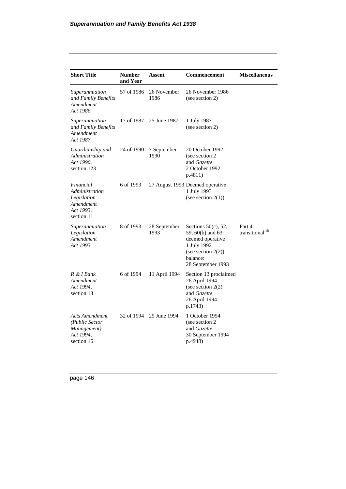| <b>Short Title</b>                                                                 | <b>Number</b><br>and Year | Assent               | Commencement                                                                                                                              | <b>Miscellaneous</b>                  |
|------------------------------------------------------------------------------------|---------------------------|----------------------|-------------------------------------------------------------------------------------------------------------------------------------------|---------------------------------------|
| Superannuation<br>and Family Benefits<br>Amendment<br>Act 1986                     | 57 of 1986                | 26 November<br>1986  | 26 November 1986<br>(see section 2)                                                                                                       |                                       |
| Superannuation<br>and Family Benefits<br>Amendment<br>Act 1987                     | 17 of 1987                | 25 June 1987         | 1 July 1987<br>(see section 2)                                                                                                            |                                       |
| Guardianship and<br>Administration<br>Act 1990,<br>section 123                     | 24 of 1990                | 7 September<br>1990  | 20 October 1992<br>(see section 2)<br>and <i>Gazette</i><br>2 October 1992<br>p.4811)                                                     |                                       |
| Financial<br>Administration<br>Legislation<br>Amendment<br>Act 1993,<br>section 11 | 6 of 1993                 |                      | 27 August 1993 Deemed operative<br>1 July 1993<br>(see section $2(1)$ )                                                                   |                                       |
| Superannuation<br>Legislation<br>Amendment<br>Act 1993                             | 8 of 1993                 | 28 September<br>1993 | Sections $50(c)$ , 52,<br>59, 60(b) and 63:<br>deemed operative<br>1 July 1992<br>(see section $2(2)$ );<br>balance:<br>28 September 1993 | Part 4:<br>transitional <sup>18</sup> |
| R & I Bank<br>Amendment<br>Act 1994,<br>section 13                                 | 6 of 1994                 | 11 April 1994        | Section 13 proclaimed<br>26 April 1994<br>(see section $2(2)$<br>and Gazette<br>26 April 1994<br>p.1743)                                  |                                       |
| Acts Amendment<br>(Public Sector<br>Management)<br>Act 1994,<br>section 16         | 32 of 1994                | 29 June 1994         | 1 October 1994<br>(see section 2)<br>and <i>Gazette</i><br>30 September 1994<br>p.4948)                                                   |                                       |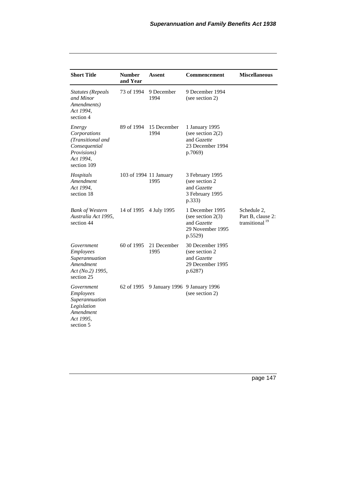| <b>Short Title</b>                                                                                      | <b>Number</b><br>and Year | Assent              | <b>Commencement</b>                                                                        | <b>Miscellaneous</b>                                  |
|---------------------------------------------------------------------------------------------------------|---------------------------|---------------------|--------------------------------------------------------------------------------------------|-------------------------------------------------------|
| <b>Statutes (Repeals</b><br>and Minor<br>Amendments)<br>Act 1994,<br>section 4                          | 73 of 1994                | 9 December<br>1994  | 9 December 1994<br>(see section 2)                                                         |                                                       |
| Energy<br>Corporations<br>(Transitional and<br>Consequential<br>Provisions)<br>Act 1994,<br>section 109 | 89 of 1994                | 15 December<br>1994 | 1 January 1995<br>(see section $2(2)$<br>and <i>Gazette</i><br>23 December 1994<br>p.7069) |                                                       |
| Hospitals<br>Amendment<br>Act 1994.<br>section 18                                                       | 103 of 1994 11 January    | 1995                | 3 February 1995<br>(see section 2)<br>and Gazette<br>3 February 1995<br>p.333)             |                                                       |
| <b>Bank of Western</b><br>Australia Act 1995,<br>section 44                                             | 14 of 1995                | 4 July 1995         | 1 December 1995<br>(see section $2(3)$<br>and Gazette<br>29 November 1995<br>p.5529)       | Schedule 2,<br>Part B, clause 2:<br>transitional $19$ |
| Government<br>Employees<br>Superannuation<br>Amendment<br>Act (No.2) 1995,<br>section 25                | 60 of 1995                | 21 December<br>1995 | 30 December 1995<br>(see section 2)<br>and Gazette<br>29 December 1995<br>p.6287)          |                                                       |
| Government<br><b>Employees</b><br>Superannuation<br>Legislation<br>Amendment<br>Act 1995,<br>section 5  | 62 of 1995                |                     | 9 January 1996 9 January 1996<br>(see section 2)                                           |                                                       |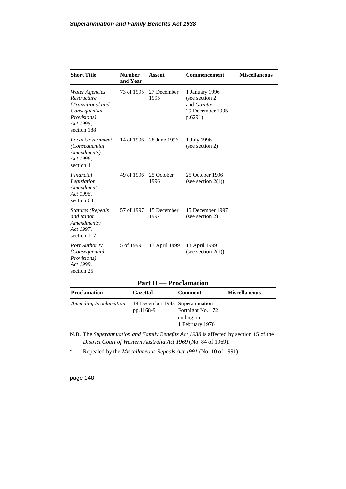| <b>Short Title</b>                                                                                                    | <b>Number</b><br>and Year | <b>Assent</b>       | <b>Commencement</b>                                                             | <b>Miscellaneous</b> |
|-----------------------------------------------------------------------------------------------------------------------|---------------------------|---------------------|---------------------------------------------------------------------------------|----------------------|
| <b>Water Agencies</b><br>Restructure<br>(Transitional and<br>Consequential<br>Provisions)<br>Act 1995,<br>section 188 | 73 of 1995                | 27 December<br>1995 | 1 January 1996<br>(see section 2)<br>and Gazette<br>29 December 1995<br>p.6291) |                      |
| <b>Local Government</b><br>(Consequential<br>Amendments)<br>Act 1996,<br>section 4                                    | 14 of 1996                | 28 June 1996        | 1 July 1996<br>(see section 2)                                                  |                      |
| Financial<br>Legislation<br>Amendment<br>Act 1996,<br>section 64                                                      | 49 of 1996                | 25 October<br>1996  | 25 October 1996<br>(see section $2(1)$ )                                        |                      |
| <b>Statutes (Repeals</b><br>and Minor<br>Amendments)<br>Act 1997,<br>section 117                                      | 57 of 1997                | 15 December<br>1997 | 15 December 1997<br>(see section 2)                                             |                      |
| <b>Port Authority</b><br>(Consequential<br>Provisions)<br>Act 1999,<br>section 25                                     | 5 of 1999                 | 13 April 1999       | 13 April 1999<br>(see section $2(1)$ )                                          |                      |

## **Part II — Proclamation**

| <b>Proclamation</b>          | <b>Gazettal</b>                 | <b>Comment</b>    | <b>Miscellaneous</b> |
|------------------------------|---------------------------------|-------------------|----------------------|
| <b>Amending Proclamation</b> | 14 December 1945 Superannuation |                   |                      |
|                              | pp.1168-9                       | Fortnight No. 172 |                      |
|                              |                                 | ending on         |                      |
|                              |                                 | 1 February 1976   |                      |

N.B. The *Superannuation and Family Benefits Act 1938* is affected by section 15 of the *District Court of Western Australia Act 1969* (No. 84 of 1969)*.*

<sup>2</sup> Repealed by the *Miscellaneous Repeals Act 1991* (No. 10 of 1991).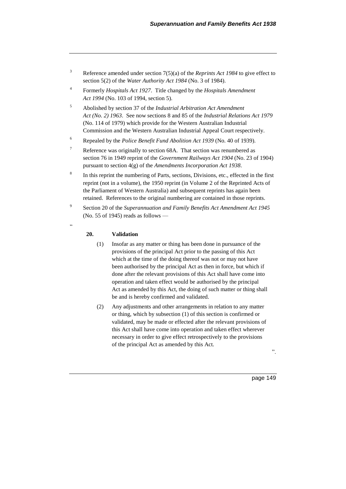- <sup>3</sup> Reference amended under section 7(5)(a) of the *Reprints Act 1984* to give effect to section 5(2) of the *Water Authority Act 1984* (No. 3 of 1984).
- 4 Formerly *Hospitals Act 1927*. Title changed by the *Hospitals Amendment Act 1994* (No. 103 of 1994, section 5).
- <sup>5</sup> Abolished by section 37 of the *Industrial Arbitration Act Amendment Act (No. 2) 1963*. See now sections 8 and 85 of the *Industrial Relations Act 1979* (No. 114 of 1979) which provide for the Western Australian Industrial Commission and the Western Australian Industrial Appeal Court respectively.
- <sup>6</sup> Repealed by the *Police Benefit Fund Abolition Act 1939* (No. 40 of 1939).
- <sup>7</sup> Reference was originally to section 68A. That section was renumbered as section 76 in 1949 reprint of the *Government Railways Act 1904* (No. 23 of 1904) pursuant to section 4(g) of the *Amendments Incorporation Act 1938*.
- 8 In this reprint the numbering of Parts, sections, Divisions, etc., effected in the first reprint (not in a volume), the 1950 reprint (in Volume 2 of the Reprinted Acts of the Parliament of Western Australia) and subsequent reprints has again been retained. References to the original numbering are contained in those reprints.
- 9 Section 20 of the *Superannuation and Family Benefits Act Amendment Act 1945* (No. 55 of 1945) reads as follows —
- .<br>.<br>.

#### **20. Validation**

- (1) Insofar as any matter or thing has been done in pursuance of the provisions of the principal Act prior to the passing of this Act which at the time of the doing thereof was not or may not have been authorised by the principal Act as then in force, but which if done after the relevant provisions of this Act shall have come into operation and taken effect would be authorised by the principal Act as amended by this Act, the doing of such matter or thing shall be and is hereby confirmed and validated.
- (2) Any adjustments and other arrangements in relation to any matter or thing, which by subsection (1) of this section is confirmed or validated, may be made or effected after the relevant provisions of this Act shall have come into operation and taken effect wherever necessary in order to give effect retrospectively to the provisions of the principal Act as amended by this Act.

".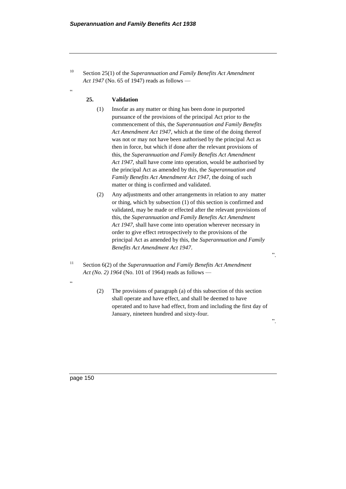<sup>10</sup> Section 25(1) of the *Superannuation and Family Benefits Act Amendment Act 1947* (No. 65 of 1947) reads as follows —

#### **25. Validation**

 $\alpha$ 

- (1) Insofar as any matter or thing has been done in purported pursuance of the provisions of the principal Act prior to the commencement of this, the *Superannuation and Family Benefits Act Amendment Act 1947*, which at the time of the doing thereof was not or may not have been authorised by the principal Act as then in force, but which if done after the relevant provisions of this, the *Superannuation and Family Benefits Act Amendment Act 1947*, shall have come into operation, would be authorised by the principal Act as amended by this, the *Superannuation and Family Benefits Act Amendment Act 1947*, the doing of such matter or thing is confirmed and validated.
- (2) Any adjustments and other arrangements in relation to any matter or thing, which by subsection (1) of this section is confirmed and validated, may be made or effected after the relevant provisions of this, the *Superannuation and Family Benefits Act Amendment Act 1947*, shall have come into operation wherever necessary in order to give effect retrospectively to the provisions of the principal Act as amended by this, the *Superannuation and Family Benefits Act Amendment Act 1947*.

".

".

- <sup>11</sup> Section 6(2) of the *Superannuation and Family Benefits Act Amendment Act (No. 2) 1964* (No. 101 of 1964) reads as follows —
	- (2) The provisions of paragraph (a) of this subsection of this section shall operate and have effect, and shall be deemed to have operated and to have had effect, from and including the first day of January, nineteen hundred and sixty-four.

page 150

.<br>.<br>.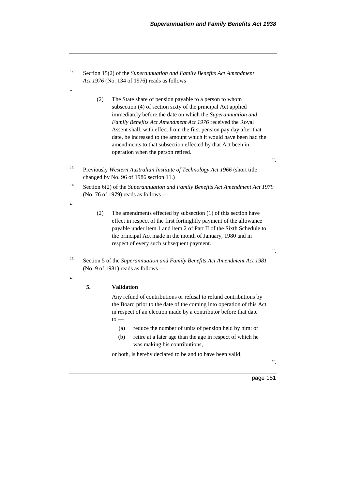<sup>12</sup> Section 15(2) of the *Superannuation and Family Benefits Act Amendment Act 1976* (No. 134 of 1976) reads as follows —

- (2) The State share of pension payable to a person to whom subsection (4) of section sixty of the principal Act applied immediately before the date on which the *Superannuation and Family Benefits Act Amendment Act 1976* received the Royal Assent shall, with effect from the first pension pay day after that date, be increased to the amount which it would have been had the amendments to that subsection effected by that Act been in operation when the person retired.
- <sup>13</sup> Previously *Western Australian Institute of Technology Act 1966* (short title changed by No. 96 of 1986 section 11.)
- <sup>14</sup> Section 6(2) of the *Superannuation and Family Benefits Act Amendment Act 1979*  $(No. 76 of 1979)$  reads as follows —
	- (2) The amendments effected by subsection (1) of this section have effect in respect of the first fortnightly payment of the allowance payable under item 1 and item 2 of Part II of the Sixth Schedule to the principal Act made in the month of January, 1980 and in respect of every such subsequent payment.
- <sup>15</sup> Section 5 of the *Superannuation and Family Benefits Act Amendment Act 1981* (No. 9 of 1981) reads as follows —

#### $\epsilon$

"

"

#### **5. Validation**

Any refund of contributions or refusal to refund contributions by the Board prior to the date of the coming into operation of this Act in respect of an election made by a contributor before that date  $to -$ 

- (a) reduce the number of units of pension held by him: or
- (b) retire at a later age than the age in respect of which he was making his contributions,

or both, is hereby declared to be and to have been valid.

".

".

".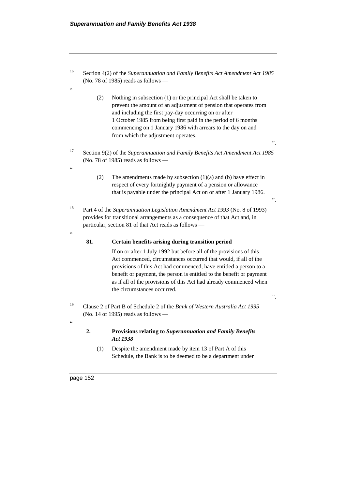<sup>16</sup> Section 4(2) of the *Superannuation and Family Benefits Act Amendment Act 1985* (No. 78 of 1985) reads as follows —

> (2) Nothing in subsection (1) or the principal Act shall be taken to prevent the amount of an adjustment of pension that operates from and including the first pay-day occurring on or after 1 October 1985 from being first paid in the period of 6 months commencing on 1 January 1986 with arrears to the day on and from which the adjustment operates.

> > ".

".

".

- <sup>17</sup> Section 9(2) of the *Superannuation and Family Benefits Act Amendment Act 1985* (No. 78 of 1985) reads as follows —
	- (2) The amendments made by subsection (1)(a) and (b) have effect in respect of every fortnightly payment of a pension or allowance that is payable under the principal Act on or after 1 January 1986.
- <sup>18</sup> Part 4 of the *Superannuation Legislation Amendment Act 1993* (No. 8 of 1993) provides for transitional arrangements as a consequence of that Act and, in particular, section 81 of that Act reads as follows —
	- **81. Certain benefits arising during transition period**

If on or after 1 July 1992 but before all of the provisions of this Act commenced, circumstances occurred that would, if all of the provisions of this Act had commenced, have entitled a person to a benefit or payment, the person is entitled to the benefit or payment as if all of the provisions of this Act had already commenced when the circumstances occurred.

- <sup>19</sup> Clause 2 of Part B of Schedule 2 of the *Bank of Western Australia Act 1995* (No. 14 of 1995) reads as follows —
	- **2. Provisions relating to** *Superannuation and Family Benefits Act 1938*
		- (1) Despite the amendment made by item 13 of Part A of this Schedule, the Bank is to be deemed to be a department under

page 152

.,

.<br>ده

.<br>cc

"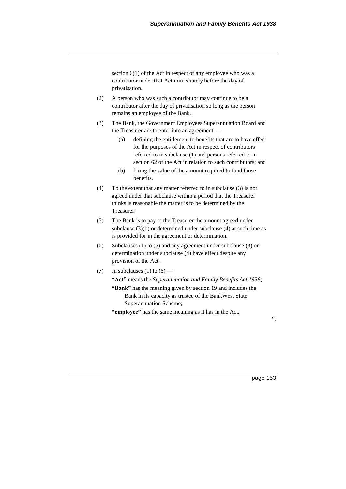section 6(1) of the Act in respect of any employee who was a contributor under that Act immediately before the day of privatisation.

- (2) A person who was such a contributor may continue to be a contributor after the day of privatisation so long as the person remains an employee of the Bank.
- (3) The Bank, the Government Employees Superannuation Board and the Treasurer are to enter into an agreement —
	- (a) defining the entitlement to benefits that are to have effect for the purposes of the Act in respect of contributors referred to in subclause (1) and persons referred to in section 62 of the Act in relation to such contributors; and
	- (b) fixing the value of the amount required to fund those benefits.
- (4) To the extent that any matter referred to in subclause (3) is not agreed under that subclause within a period that the Treasurer thinks is reasonable the matter is to be determined by the Treasurer.
- (5) The Bank is to pay to the Treasurer the amount agreed under subclause (3)(b) or determined under subclause (4) at such time as is provided for in the agreement or determination.
- (6) Subclauses (1) to (5) and any agreement under subclause (3) or determination under subclause (4) have effect despite any provision of the Act.
- (7) In subclauses (1) to  $(6)$  —

**"Act"** means the *Superannuation and Family Benefits Act 1938*;

**"Bank"** has the meaning given by section 19 and includes the Bank in its capacity as trustee of the BankWest State Superannuation Scheme;

**"employee"** has the same meaning as it has in the Act.

page 153

".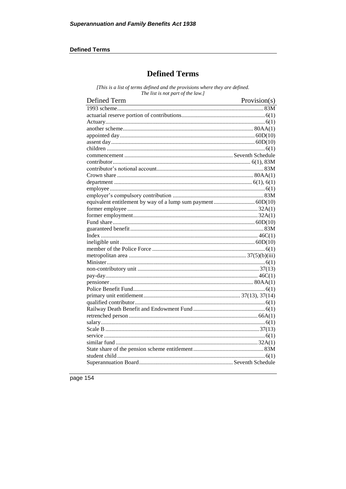#### **Defined Terms**

# **Defined Terms**

[This is a list of terms defined and the provisions where they are defined. The list is not part of the law.]

| Defined Term | Provision(s) |
|--------------|--------------|
|              |              |
|              |              |
|              |              |
|              |              |
|              |              |
|              |              |
|              |              |
|              |              |
|              |              |
|              |              |
|              |              |
|              |              |
|              |              |
|              |              |
|              |              |
|              |              |
|              |              |
|              |              |
|              |              |
|              |              |
|              |              |
|              |              |
|              |              |
|              |              |
|              |              |
|              |              |
|              |              |
|              |              |
|              |              |
|              |              |
|              |              |
|              |              |
|              |              |
|              |              |
|              |              |
|              |              |
|              |              |
|              |              |
|              |              |